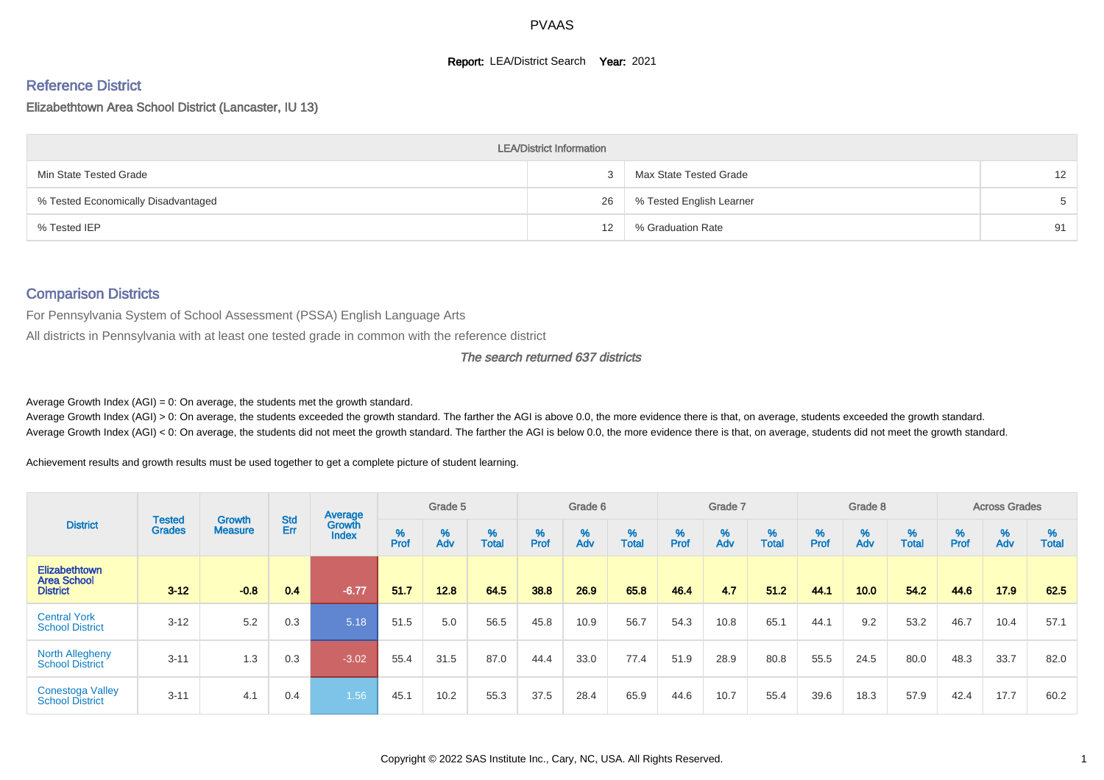#### **Report: LEA/District Search Year: 2021**

# Reference District

#### Elizabethtown Area School District (Lancaster, IU 13)

|                                     | <b>LEA/District Information</b> |                          |    |
|-------------------------------------|---------------------------------|--------------------------|----|
| Min State Tested Grade              |                                 | Max State Tested Grade   | 12 |
| % Tested Economically Disadvantaged | 26                              | % Tested English Learner | 5  |
| % Tested IEP                        | 12                              | % Graduation Rate        | 91 |

#### Comparison Districts

For Pennsylvania System of School Assessment (PSSA) English Language Arts

All districts in Pennsylvania with at least one tested grade in common with the reference district

#### The search returned 637 districts

Average Growth Index  $(AGI) = 0$ : On average, the students met the growth standard.

Average Growth Index (AGI) > 0: On average, the students exceeded the growth standard. The farther the AGI is above 0.0, the more evidence there is that, on average, students exceeded the growth standard. Average Growth Index (AGI) < 0: On average, the students did not meet the growth standard. The farther the AGI is below 0.0, the more evidence there is that, on average, students did not meet the growth standard.

Achievement results and growth results must be used together to get a complete picture of student learning.

| <b>District</b>                                        |                                |                                 |            | Average                |           | Grade 5  |                   |           | Grade 6  |                   |          | Grade 7  |                   |           | Grade 8  |                   |           | <b>Across Grades</b> |                   |
|--------------------------------------------------------|--------------------------------|---------------------------------|------------|------------------------|-----------|----------|-------------------|-----------|----------|-------------------|----------|----------|-------------------|-----------|----------|-------------------|-----------|----------------------|-------------------|
|                                                        | <b>Tested</b><br><b>Grades</b> | <b>Growth</b><br><b>Measure</b> | Std<br>Err | Growth<br><b>Index</b> | %<br>Prof | %<br>Adv | %<br><b>Total</b> | %<br>Prof | %<br>Adv | %<br><b>Total</b> | $%$ Prof | %<br>Adv | %<br><b>Total</b> | %<br>Prof | %<br>Adv | %<br><b>Total</b> | %<br>Prof | %<br>Adv             | %<br><b>Total</b> |
| Elizabethtown<br><b>Area School</b><br><b>District</b> | $3 - 12$                       | $-0.8$                          | 0.4        | $-6.77$                | 51.7      | 12.8     | 64.5              | 38.8      | 26.9     | 65.8              | 46.4     | 4.7      | 51.2              | 44.1      | 10.0     | 54.2              | 44.6      | 17.9                 | 62.5              |
| <b>Central York</b><br><b>School District</b>          | $3 - 12$                       | 5.2                             | 0.3        | 5.18                   | 51.5      | 5.0      | 56.5              | 45.8      | 10.9     | 56.7              | 54.3     | 10.8     | 65.1              | 44.1      | 9.2      | 53.2              | 46.7      | 10.4                 | 57.1              |
| <b>North Allegheny</b><br><b>School District</b>       | $3 - 11$                       | 1.3                             | 0.3        | $-3.02$                | 55.4      | 31.5     | 87.0              | 44.4      | 33.0     | 77.4              | 51.9     | 28.9     | 80.8              | 55.5      | 24.5     | 80.0              | 48.3      | 33.7                 | 82.0              |
| <b>Conestoga Valley</b><br><b>School District</b>      | $3 - 11$                       | 4.1                             | 0.4        | 1.56                   | 45.1      | 10.2     | 55.3              | 37.5      | 28.4     | 65.9              | 44.6     | 10.7     | 55.4              | 39.6      | 18.3     | 57.9              | 42.4      | 17.7                 | 60.2              |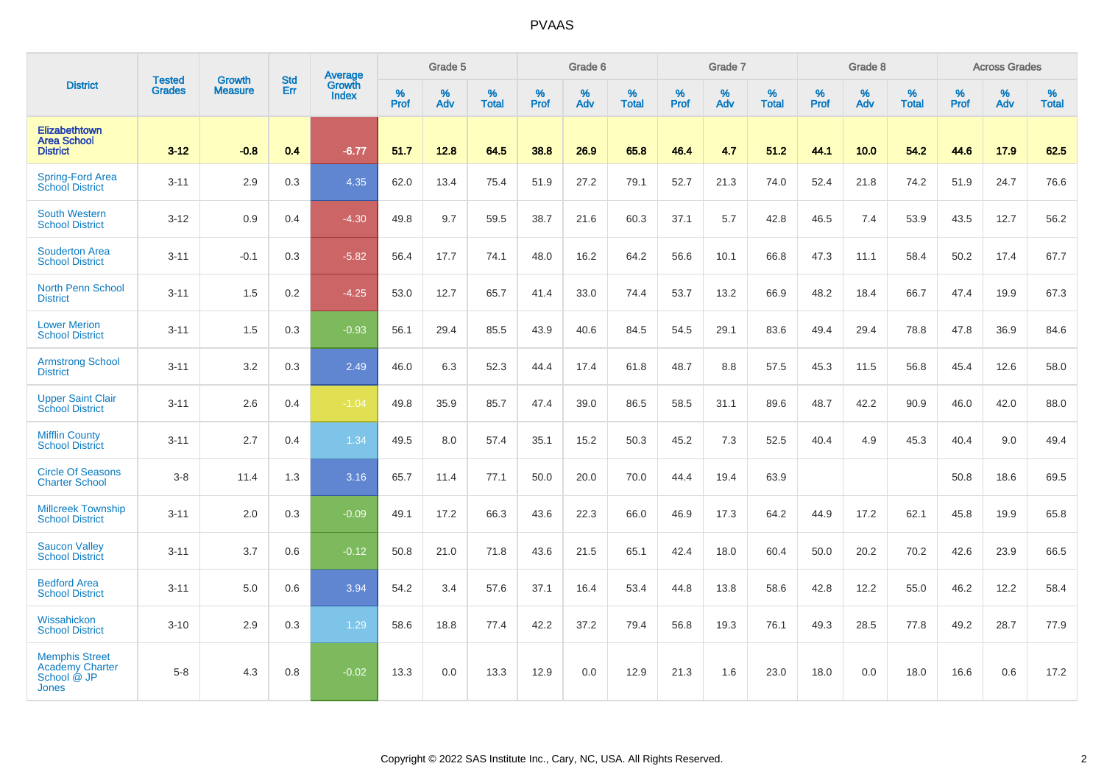|                                                                                |                                |                                 | <b>Std</b> | Average                       |           | Grade 5  |                   |           | Grade 6  |                   |           | Grade 7  |                   |           | Grade 8  |                   |           | <b>Across Grades</b> |                   |
|--------------------------------------------------------------------------------|--------------------------------|---------------------------------|------------|-------------------------------|-----------|----------|-------------------|-----------|----------|-------------------|-----------|----------|-------------------|-----------|----------|-------------------|-----------|----------------------|-------------------|
| <b>District</b>                                                                | <b>Tested</b><br><b>Grades</b> | <b>Growth</b><br><b>Measure</b> | Err        | <b>Growth</b><br><b>Index</b> | %<br>Prof | %<br>Adv | %<br><b>Total</b> | %<br>Prof | %<br>Adv | %<br><b>Total</b> | %<br>Prof | %<br>Adv | %<br><b>Total</b> | %<br>Prof | %<br>Adv | %<br><b>Total</b> | %<br>Prof | %<br>Adv             | %<br><b>Total</b> |
| Elizabethtown<br><b>Area School</b><br><b>District</b>                         | $3 - 12$                       | $-0.8$                          | 0.4        | $-6.77$                       | 51.7      | 12.8     | 64.5              | 38.8      | 26.9     | 65.8              | 46.4      | 4.7      | 51.2              | 44.1      | 10.0     | 54.2              | 44.6      | 17.9                 | 62.5              |
| Spring-Ford Area<br>School District                                            | $3 - 11$                       | 2.9                             | 0.3        | 4.35                          | 62.0      | 13.4     | 75.4              | 51.9      | 27.2     | 79.1              | 52.7      | 21.3     | 74.0              | 52.4      | 21.8     | 74.2              | 51.9      | 24.7                 | 76.6              |
| <b>South Western</b><br><b>School District</b>                                 | $3 - 12$                       | 0.9                             | 0.4        | $-4.30$                       | 49.8      | 9.7      | 59.5              | 38.7      | 21.6     | 60.3              | 37.1      | 5.7      | 42.8              | 46.5      | 7.4      | 53.9              | 43.5      | 12.7                 | 56.2              |
| <b>Souderton Area</b><br><b>School District</b>                                | $3 - 11$                       | $-0.1$                          | 0.3        | $-5.82$                       | 56.4      | 17.7     | 74.1              | 48.0      | 16.2     | 64.2              | 56.6      | 10.1     | 66.8              | 47.3      | 11.1     | 58.4              | 50.2      | 17.4                 | 67.7              |
| <b>North Penn School</b><br><b>District</b>                                    | $3 - 11$                       | 1.5                             | 0.2        | $-4.25$                       | 53.0      | 12.7     | 65.7              | 41.4      | 33.0     | 74.4              | 53.7      | 13.2     | 66.9              | 48.2      | 18.4     | 66.7              | 47.4      | 19.9                 | 67.3              |
| <b>Lower Merion</b><br><b>School District</b>                                  | $3 - 11$                       | 1.5                             | 0.3        | $-0.93$                       | 56.1      | 29.4     | 85.5              | 43.9      | 40.6     | 84.5              | 54.5      | 29.1     | 83.6              | 49.4      | 29.4     | 78.8              | 47.8      | 36.9                 | 84.6              |
| <b>Armstrong School</b><br><b>District</b>                                     | $3 - 11$                       | 3.2                             | 0.3        | 2.49                          | 46.0      | 6.3      | 52.3              | 44.4      | 17.4     | 61.8              | 48.7      | 8.8      | 57.5              | 45.3      | 11.5     | 56.8              | 45.4      | 12.6                 | 58.0              |
| <b>Upper Saint Clair</b><br><b>School District</b>                             | $3 - 11$                       | 2.6                             | 0.4        | $-1.04$                       | 49.8      | 35.9     | 85.7              | 47.4      | 39.0     | 86.5              | 58.5      | 31.1     | 89.6              | 48.7      | 42.2     | 90.9              | 46.0      | 42.0                 | 88.0              |
| <b>Mifflin County</b><br><b>School District</b>                                | $3 - 11$                       | 2.7                             | 0.4        | 1.34                          | 49.5      | 8.0      | 57.4              | 35.1      | 15.2     | 50.3              | 45.2      | 7.3      | 52.5              | 40.4      | 4.9      | 45.3              | 40.4      | 9.0                  | 49.4              |
| <b>Circle Of Seasons</b><br><b>Charter School</b>                              | $3-8$                          | 11.4                            | 1.3        | 3.16                          | 65.7      | 11.4     | 77.1              | 50.0      | 20.0     | 70.0              | 44.4      | 19.4     | 63.9              |           |          |                   | 50.8      | 18.6                 | 69.5              |
| <b>Millcreek Township</b><br><b>School District</b>                            | $3 - 11$                       | 2.0                             | 0.3        | $-0.09$                       | 49.1      | 17.2     | 66.3              | 43.6      | 22.3     | 66.0              | 46.9      | 17.3     | 64.2              | 44.9      | 17.2     | 62.1              | 45.8      | 19.9                 | 65.8              |
| <b>Saucon Valley</b><br><b>School District</b>                                 | $3 - 11$                       | 3.7                             | 0.6        | $-0.12$                       | 50.8      | 21.0     | 71.8              | 43.6      | 21.5     | 65.1              | 42.4      | 18.0     | 60.4              | 50.0      | 20.2     | 70.2              | 42.6      | 23.9                 | 66.5              |
| <b>Bedford Area</b><br><b>School District</b>                                  | $3 - 11$                       | 5.0                             | 0.6        | 3.94                          | 54.2      | 3.4      | 57.6              | 37.1      | 16.4     | 53.4              | 44.8      | 13.8     | 58.6              | 42.8      | 12.2     | 55.0              | 46.2      | 12.2                 | 58.4              |
| Wissahickon<br><b>School District</b>                                          | $3 - 10$                       | 2.9                             | 0.3        | 1.29                          | 58.6      | 18.8     | 77.4              | 42.2      | 37.2     | 79.4              | 56.8      | 19.3     | 76.1              | 49.3      | 28.5     | 77.8              | 49.2      | 28.7                 | 77.9              |
| <b>Memphis Street</b><br><b>Academy Charter</b><br>School @ JP<br><b>Jones</b> | $5-8$                          | 4.3                             | 0.8        | $-0.02$                       | 13.3      | 0.0      | 13.3              | 12.9      | 0.0      | 12.9              | 21.3      | 1.6      | 23.0              | 18.0      | 0.0      | 18.0              | 16.6      | 0.6                  | 17.2              |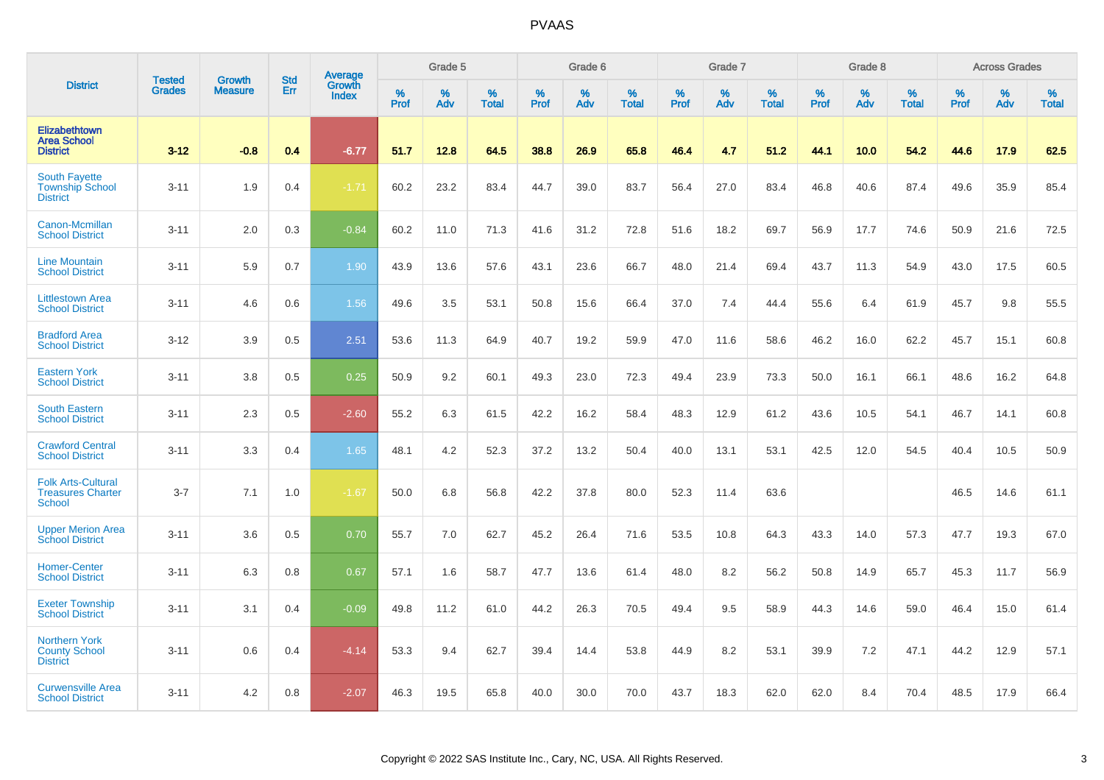|                                                                        |                                |                                 | <b>Std</b> | Average                |              | Grade 5  |                   |           | Grade 6  |                   |           | Grade 7  |                   |           | Grade 8  |                   |           | <b>Across Grades</b> |                   |
|------------------------------------------------------------------------|--------------------------------|---------------------------------|------------|------------------------|--------------|----------|-------------------|-----------|----------|-------------------|-----------|----------|-------------------|-----------|----------|-------------------|-----------|----------------------|-------------------|
| <b>District</b>                                                        | <b>Tested</b><br><b>Grades</b> | <b>Growth</b><br><b>Measure</b> | Err        | Growth<br><b>Index</b> | $\%$<br>Prof | %<br>Adv | %<br><b>Total</b> | %<br>Prof | %<br>Adv | %<br><b>Total</b> | %<br>Prof | %<br>Adv | %<br><b>Total</b> | %<br>Prof | %<br>Adv | %<br><b>Total</b> | %<br>Prof | %<br>Adv             | %<br><b>Total</b> |
| <b>Elizabethtown</b><br><b>Area School</b><br><b>District</b>          | $3 - 12$                       | $-0.8$                          | 0.4        | $-6.77$                | 51.7         | 12.8     | 64.5              | 38.8      | 26.9     | 65.8              | 46.4      | 4.7      | 51.2              | 44.1      | 10.0     | 54.2              | 44.6      | 17.9                 | 62.5              |
| <b>South Fayette</b><br><b>Township School</b><br><b>District</b>      | $3 - 11$                       | 1.9                             | 0.4        | $-1.71$                | 60.2         | 23.2     | 83.4              | 44.7      | 39.0     | 83.7              | 56.4      | 27.0     | 83.4              | 46.8      | 40.6     | 87.4              | 49.6      | 35.9                 | 85.4              |
| Canon-Mcmillan<br><b>School District</b>                               | $3 - 11$                       | 2.0                             | 0.3        | $-0.84$                | 60.2         | 11.0     | 71.3              | 41.6      | 31.2     | 72.8              | 51.6      | 18.2     | 69.7              | 56.9      | 17.7     | 74.6              | 50.9      | 21.6                 | 72.5              |
| <b>Line Mountain</b><br><b>School District</b>                         | $3 - 11$                       | 5.9                             | 0.7        | 1.90                   | 43.9         | 13.6     | 57.6              | 43.1      | 23.6     | 66.7              | 48.0      | 21.4     | 69.4              | 43.7      | 11.3     | 54.9              | 43.0      | 17.5                 | 60.5              |
| <b>Littlestown Area</b><br><b>School District</b>                      | $3 - 11$                       | 4.6                             | 0.6        | 1.56                   | 49.6         | 3.5      | 53.1              | 50.8      | 15.6     | 66.4              | 37.0      | 7.4      | 44.4              | 55.6      | 6.4      | 61.9              | 45.7      | 9.8                  | 55.5              |
| <b>Bradford Area</b><br><b>School District</b>                         | $3 - 12$                       | 3.9                             | 0.5        | 2.51                   | 53.6         | 11.3     | 64.9              | 40.7      | 19.2     | 59.9              | 47.0      | 11.6     | 58.6              | 46.2      | 16.0     | 62.2              | 45.7      | 15.1                 | 60.8              |
| <b>Eastern York</b><br><b>School District</b>                          | $3 - 11$                       | 3.8                             | 0.5        | 0.25                   | 50.9         | 9.2      | 60.1              | 49.3      | 23.0     | 72.3              | 49.4      | 23.9     | 73.3              | 50.0      | 16.1     | 66.1              | 48.6      | 16.2                 | 64.8              |
| <b>South Eastern</b><br><b>School District</b>                         | $3 - 11$                       | 2.3                             | 0.5        | $-2.60$                | 55.2         | 6.3      | 61.5              | 42.2      | 16.2     | 58.4              | 48.3      | 12.9     | 61.2              | 43.6      | 10.5     | 54.1              | 46.7      | 14.1                 | 60.8              |
| <b>Crawford Central</b><br><b>School District</b>                      | $3 - 11$                       | 3.3                             | 0.4        | 1.65                   | 48.1         | 4.2      | 52.3              | 37.2      | 13.2     | 50.4              | 40.0      | 13.1     | 53.1              | 42.5      | 12.0     | 54.5              | 40.4      | 10.5                 | 50.9              |
| <b>Folk Arts-Cultural</b><br><b>Treasures Charter</b><br><b>School</b> | $3 - 7$                        | 7.1                             | 1.0        | $-1.67$                | 50.0         | 6.8      | 56.8              | 42.2      | 37.8     | 80.0              | 52.3      | 11.4     | 63.6              |           |          |                   | 46.5      | 14.6                 | 61.1              |
| <b>Upper Merion Area</b><br><b>School District</b>                     | $3 - 11$                       | 3.6                             | 0.5        | 0.70                   | 55.7         | 7.0      | 62.7              | 45.2      | 26.4     | 71.6              | 53.5      | 10.8     | 64.3              | 43.3      | 14.0     | 57.3              | 47.7      | 19.3                 | 67.0              |
| <b>Homer-Center</b><br><b>School District</b>                          | $3 - 11$                       | 6.3                             | 0.8        | 0.67                   | 57.1         | 1.6      | 58.7              | 47.7      | 13.6     | 61.4              | 48.0      | 8.2      | 56.2              | 50.8      | 14.9     | 65.7              | 45.3      | 11.7                 | 56.9              |
| <b>Exeter Township</b><br><b>School District</b>                       | $3 - 11$                       | 3.1                             | 0.4        | $-0.09$                | 49.8         | 11.2     | 61.0              | 44.2      | 26.3     | 70.5              | 49.4      | 9.5      | 58.9              | 44.3      | 14.6     | 59.0              | 46.4      | 15.0                 | 61.4              |
| <b>Northern York</b><br><b>County School</b><br><b>District</b>        | $3 - 11$                       | 0.6                             | 0.4        | $-4.14$                | 53.3         | 9.4      | 62.7              | 39.4      | 14.4     | 53.8              | 44.9      | 8.2      | 53.1              | 39.9      | 7.2      | 47.1              | 44.2      | 12.9                 | 57.1              |
| <b>Curwensville Area</b><br><b>School District</b>                     | $3 - 11$                       | 4.2                             | 0.8        | $-2.07$                | 46.3         | 19.5     | 65.8              | 40.0      | 30.0     | 70.0              | 43.7      | 18.3     | 62.0              | 62.0      | 8.4      | 70.4              | 48.5      | 17.9                 | 66.4              |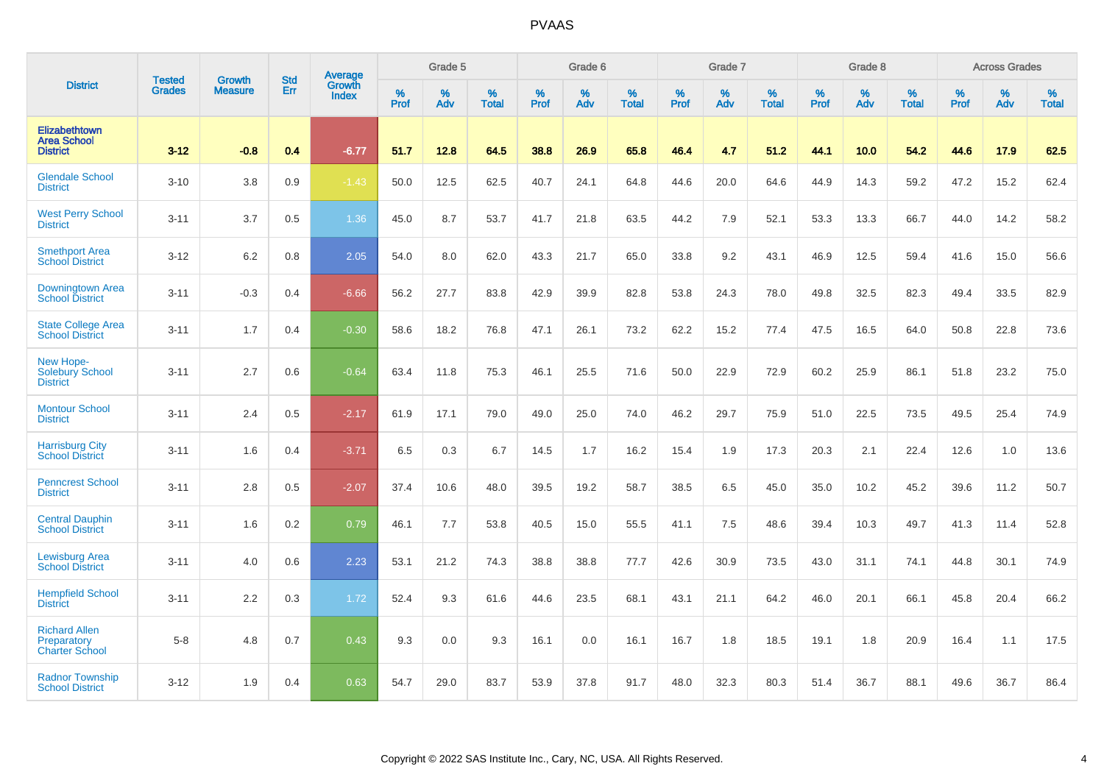|                                                              | <b>Tested</b> | <b>Growth</b>  | <b>Std</b> | Average                |           | Grade 5  |                   |           | Grade 6  |                   |           | Grade 7  |                   |           | Grade 8  |                   |           | <b>Across Grades</b> |                   |
|--------------------------------------------------------------|---------------|----------------|------------|------------------------|-----------|----------|-------------------|-----------|----------|-------------------|-----------|----------|-------------------|-----------|----------|-------------------|-----------|----------------------|-------------------|
| <b>District</b>                                              | <b>Grades</b> | <b>Measure</b> | Err        | <b>Growth</b><br>Index | %<br>Prof | %<br>Adv | %<br><b>Total</b> | %<br>Prof | %<br>Adv | %<br><b>Total</b> | %<br>Prof | %<br>Adv | %<br><b>Total</b> | %<br>Prof | %<br>Adv | %<br><b>Total</b> | %<br>Prof | %<br>Adv             | %<br><b>Total</b> |
| Elizabethtown<br><b>Area School</b><br><b>District</b>       | $3 - 12$      | $-0.8$         | 0.4        | $-6.77$                | 51.7      | 12.8     | 64.5              | 38.8      | 26.9     | 65.8              | 46.4      | 4.7      | 51.2              | 44.1      | 10.0     | 54.2              | 44.6      | 17.9                 | 62.5              |
| <b>Glendale School</b><br><b>District</b>                    | $3 - 10$      | 3.8            | 0.9        | $-1.43$                | 50.0      | 12.5     | 62.5              | 40.7      | 24.1     | 64.8              | 44.6      | 20.0     | 64.6              | 44.9      | 14.3     | 59.2              | 47.2      | 15.2                 | 62.4              |
| <b>West Perry School</b><br><b>District</b>                  | $3 - 11$      | 3.7            | 0.5        | 1.36                   | 45.0      | 8.7      | 53.7              | 41.7      | 21.8     | 63.5              | 44.2      | 7.9      | 52.1              | 53.3      | 13.3     | 66.7              | 44.0      | 14.2                 | 58.2              |
| <b>Smethport Area</b><br><b>School District</b>              | $3 - 12$      | 6.2            | 0.8        | 2.05                   | 54.0      | 8.0      | 62.0              | 43.3      | 21.7     | 65.0              | 33.8      | 9.2      | 43.1              | 46.9      | 12.5     | 59.4              | 41.6      | 15.0                 | 56.6              |
| <b>Downingtown Area</b><br><b>School District</b>            | $3 - 11$      | $-0.3$         | 0.4        | $-6.66$                | 56.2      | 27.7     | 83.8              | 42.9      | 39.9     | 82.8              | 53.8      | 24.3     | 78.0              | 49.8      | 32.5     | 82.3              | 49.4      | 33.5                 | 82.9              |
| <b>State College Area</b><br><b>School District</b>          | $3 - 11$      | 1.7            | 0.4        | $-0.30$                | 58.6      | 18.2     | 76.8              | 47.1      | 26.1     | 73.2              | 62.2      | 15.2     | 77.4              | 47.5      | 16.5     | 64.0              | 50.8      | 22.8                 | 73.6              |
| New Hope-<br><b>Solebury School</b><br><b>District</b>       | $3 - 11$      | 2.7            | 0.6        | $-0.64$                | 63.4      | 11.8     | 75.3              | 46.1      | 25.5     | 71.6              | 50.0      | 22.9     | 72.9              | 60.2      | 25.9     | 86.1              | 51.8      | 23.2                 | 75.0              |
| <b>Montour School</b><br><b>District</b>                     | $3 - 11$      | 2.4            | 0.5        | $-2.17$                | 61.9      | 17.1     | 79.0              | 49.0      | 25.0     | 74.0              | 46.2      | 29.7     | 75.9              | 51.0      | 22.5     | 73.5              | 49.5      | 25.4                 | 74.9              |
| <b>Harrisburg City</b><br><b>School District</b>             | $3 - 11$      | 1.6            | 0.4        | $-3.71$                | 6.5       | 0.3      | 6.7               | 14.5      | 1.7      | 16.2              | 15.4      | 1.9      | 17.3              | 20.3      | 2.1      | 22.4              | 12.6      | 1.0                  | 13.6              |
| <b>Penncrest School</b><br><b>District</b>                   | $3 - 11$      | 2.8            | 0.5        | $-2.07$                | 37.4      | 10.6     | 48.0              | 39.5      | 19.2     | 58.7              | 38.5      | 6.5      | 45.0              | 35.0      | 10.2     | 45.2              | 39.6      | 11.2                 | 50.7              |
| <b>Central Dauphin</b><br><b>School District</b>             | $3 - 11$      | 1.6            | 0.2        | 0.79                   | 46.1      | 7.7      | 53.8              | 40.5      | 15.0     | 55.5              | 41.1      | 7.5      | 48.6              | 39.4      | 10.3     | 49.7              | 41.3      | 11.4                 | 52.8              |
| <b>Lewisburg Area</b><br><b>School District</b>              | $3 - 11$      | 4.0            | 0.6        | 2.23                   | 53.1      | 21.2     | 74.3              | 38.8      | 38.8     | 77.7              | 42.6      | 30.9     | 73.5              | 43.0      | 31.1     | 74.1              | 44.8      | 30.1                 | 74.9              |
| <b>Hempfield School</b><br><b>District</b>                   | $3 - 11$      | 2.2            | 0.3        | 1.72                   | 52.4      | 9.3      | 61.6              | 44.6      | 23.5     | 68.1              | 43.1      | 21.1     | 64.2              | 46.0      | 20.1     | 66.1              | 45.8      | 20.4                 | 66.2              |
| <b>Richard Allen</b><br>Preparatory<br><b>Charter School</b> | $5-8$         | 4.8            | 0.7        | 0.43                   | 9.3       | 0.0      | 9.3               | 16.1      | 0.0      | 16.1              | 16.7      | 1.8      | 18.5              | 19.1      | 1.8      | 20.9              | 16.4      | 1.1                  | 17.5              |
| <b>Radnor Township</b><br><b>School District</b>             | $3 - 12$      | 1.9            | 0.4        | 0.63                   | 54.7      | 29.0     | 83.7              | 53.9      | 37.8     | 91.7              | 48.0      | 32.3     | 80.3              | 51.4      | 36.7     | 88.1              | 49.6      | 36.7                 | 86.4              |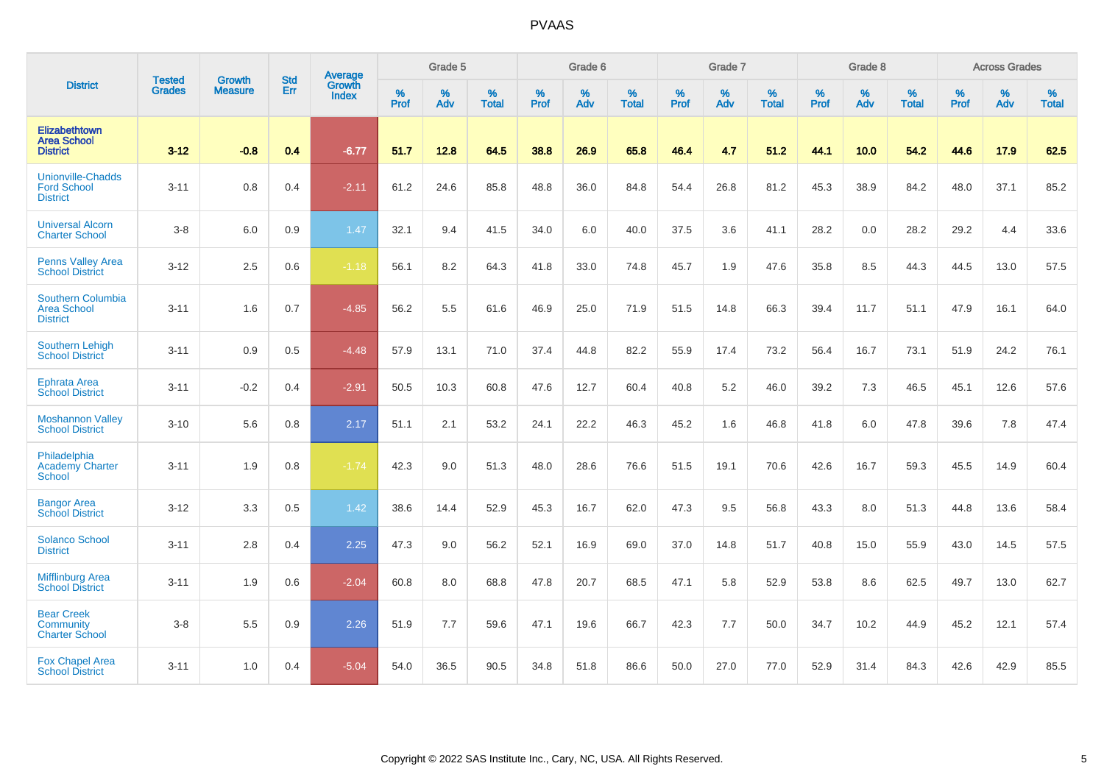|                                                                   |                                | <b>Growth</b>  | <b>Std</b> | Average                       |                     | Grade 5  |                   |                  | Grade 6  |                   |           | Grade 7  |                   |           | Grade 8  |                   |                  | <b>Across Grades</b> |                   |
|-------------------------------------------------------------------|--------------------------------|----------------|------------|-------------------------------|---------------------|----------|-------------------|------------------|----------|-------------------|-----------|----------|-------------------|-----------|----------|-------------------|------------------|----------------------|-------------------|
| <b>District</b>                                                   | <b>Tested</b><br><b>Grades</b> | <b>Measure</b> | <b>Err</b> | <b>Growth</b><br><b>Index</b> | $\%$<br><b>Prof</b> | %<br>Adv | %<br><b>Total</b> | %<br><b>Prof</b> | %<br>Adv | %<br><b>Total</b> | %<br>Prof | %<br>Adv | %<br><b>Total</b> | %<br>Prof | %<br>Adv | %<br><b>Total</b> | %<br><b>Prof</b> | %<br>Adv             | %<br><b>Total</b> |
| Elizabethtown<br><b>Area School</b><br><b>District</b>            | $3 - 12$                       | $-0.8$         | 0.4        | $-6.77$                       | 51.7                | 12.8     | 64.5              | 38.8             | 26.9     | 65.8              | 46.4      | 4.7      | 51.2              | 44.1      | 10.0     | 54.2              | 44.6             | 17.9                 | 62.5              |
| <b>Unionville-Chadds</b><br><b>Ford School</b><br><b>District</b> | $3 - 11$                       | 0.8            | 0.4        | $-2.11$                       | 61.2                | 24.6     | 85.8              | 48.8             | 36.0     | 84.8              | 54.4      | 26.8     | 81.2              | 45.3      | 38.9     | 84.2              | 48.0             | 37.1                 | 85.2              |
| <b>Universal Alcorn</b><br><b>Charter School</b>                  | $3-8$                          | 6.0            | 0.9        | 1.47                          | 32.1                | 9.4      | 41.5              | 34.0             | 6.0      | 40.0              | 37.5      | 3.6      | 41.1              | 28.2      | 0.0      | 28.2              | 29.2             | 4.4                  | 33.6              |
| <b>Penns Valley Area</b><br><b>School District</b>                | $3 - 12$                       | 2.5            | 0.6        | $-1.18$                       | 56.1                | 8.2      | 64.3              | 41.8             | 33.0     | 74.8              | 45.7      | 1.9      | 47.6              | 35.8      | 8.5      | 44.3              | 44.5             | 13.0                 | 57.5              |
| Southern Columbia<br><b>Area School</b><br><b>District</b>        | $3 - 11$                       | 1.6            | 0.7        | $-4.85$                       | 56.2                | 5.5      | 61.6              | 46.9             | 25.0     | 71.9              | 51.5      | 14.8     | 66.3              | 39.4      | 11.7     | 51.1              | 47.9             | 16.1                 | 64.0              |
| Southern Lehigh<br><b>School District</b>                         | $3 - 11$                       | 0.9            | 0.5        | $-4.48$                       | 57.9                | 13.1     | 71.0              | 37.4             | 44.8     | 82.2              | 55.9      | 17.4     | 73.2              | 56.4      | 16.7     | 73.1              | 51.9             | 24.2                 | 76.1              |
| Ephrata Area<br><b>School District</b>                            | $3 - 11$                       | $-0.2$         | 0.4        | $-2.91$                       | 50.5                | 10.3     | 60.8              | 47.6             | 12.7     | 60.4              | 40.8      | 5.2      | 46.0              | 39.2      | 7.3      | 46.5              | 45.1             | 12.6                 | 57.6              |
| <b>Moshannon Valley</b><br><b>School District</b>                 | $3 - 10$                       | 5.6            | 0.8        | 2.17                          | 51.1                | 2.1      | 53.2              | 24.1             | 22.2     | 46.3              | 45.2      | 1.6      | 46.8              | 41.8      | 6.0      | 47.8              | 39.6             | 7.8                  | 47.4              |
| Philadelphia<br><b>Academy Charter</b><br><b>School</b>           | $3 - 11$                       | 1.9            | 0.8        | $-1.74$                       | 42.3                | 9.0      | 51.3              | 48.0             | 28.6     | 76.6              | 51.5      | 19.1     | 70.6              | 42.6      | 16.7     | 59.3              | 45.5             | 14.9                 | 60.4              |
| <b>Bangor Area</b><br><b>School District</b>                      | $3 - 12$                       | 3.3            | 0.5        | 1.42                          | 38.6                | 14.4     | 52.9              | 45.3             | 16.7     | 62.0              | 47.3      | 9.5      | 56.8              | 43.3      | 8.0      | 51.3              | 44.8             | 13.6                 | 58.4              |
| <b>Solanco School</b><br><b>District</b>                          | $3 - 11$                       | 2.8            | 0.4        | 2.25                          | 47.3                | 9.0      | 56.2              | 52.1             | 16.9     | 69.0              | 37.0      | 14.8     | 51.7              | 40.8      | 15.0     | 55.9              | 43.0             | 14.5                 | 57.5              |
| <b>Mifflinburg Area</b><br><b>School District</b>                 | $3 - 11$                       | 1.9            | 0.6        | $-2.04$                       | 60.8                | 8.0      | 68.8              | 47.8             | 20.7     | 68.5              | 47.1      | 5.8      | 52.9              | 53.8      | 8.6      | 62.5              | 49.7             | 13.0                 | 62.7              |
| <b>Bear Creek</b><br>Community<br><b>Charter School</b>           | $3 - 8$                        | 5.5            | 0.9        | 2.26                          | 51.9                | 7.7      | 59.6              | 47.1             | 19.6     | 66.7              | 42.3      | 7.7      | 50.0              | 34.7      | 10.2     | 44.9              | 45.2             | 12.1                 | 57.4              |
| <b>Fox Chapel Area</b><br><b>School District</b>                  | $3 - 11$                       | 1.0            | 0.4        | $-5.04$                       | 54.0                | 36.5     | 90.5              | 34.8             | 51.8     | 86.6              | 50.0      | 27.0     | 77.0              | 52.9      | 31.4     | 84.3              | 42.6             | 42.9                 | 85.5              |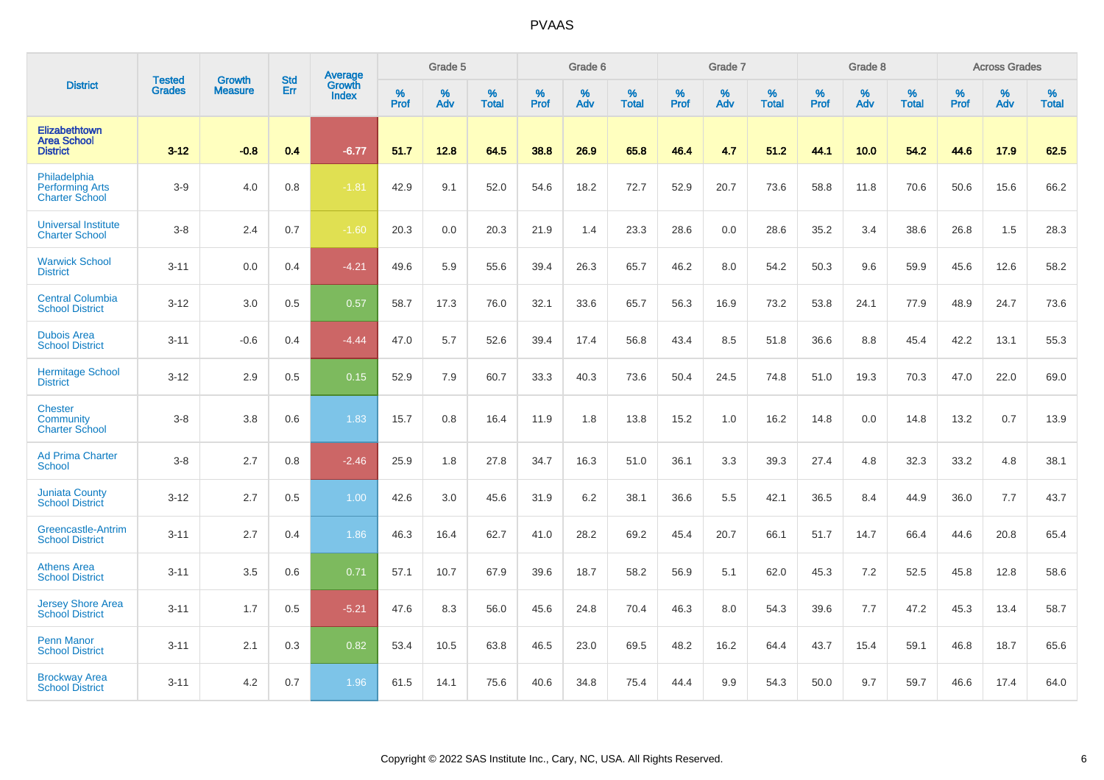|                                                                 | <b>Tested</b> | <b>Growth</b>  | <b>Std</b> | Average                       |           | Grade 5  |                   |           | Grade 6  |                   |           | Grade 7  |                   |           | Grade 8  |                   |           | <b>Across Grades</b> |                   |
|-----------------------------------------------------------------|---------------|----------------|------------|-------------------------------|-----------|----------|-------------------|-----------|----------|-------------------|-----------|----------|-------------------|-----------|----------|-------------------|-----------|----------------------|-------------------|
| <b>District</b>                                                 | <b>Grades</b> | <b>Measure</b> | Err        | <b>Growth</b><br><b>Index</b> | %<br>Prof | %<br>Adv | %<br><b>Total</b> | %<br>Prof | %<br>Adv | %<br><b>Total</b> | %<br>Prof | %<br>Adv | %<br><b>Total</b> | %<br>Prof | %<br>Adv | %<br><b>Total</b> | %<br>Prof | %<br>Adv             | %<br><b>Total</b> |
| Elizabethtown<br><b>Area School</b><br><b>District</b>          | $3 - 12$      | $-0.8$         | 0.4        | $-6.77$                       | 51.7      | 12.8     | 64.5              | 38.8      | 26.9     | 65.8              | 46.4      | 4.7      | 51.2              | 44.1      | 10.0     | 54.2              | 44.6      | 17.9                 | 62.5              |
| Philadelphia<br><b>Performing Arts</b><br><b>Charter School</b> | $3-9$         | 4.0            | 0.8        | $-1.81$                       | 42.9      | 9.1      | 52.0              | 54.6      | 18.2     | 72.7              | 52.9      | 20.7     | 73.6              | 58.8      | 11.8     | 70.6              | 50.6      | 15.6                 | 66.2              |
| <b>Universal Institute</b><br><b>Charter School</b>             | $3-8$         | 2.4            | 0.7        | $-1.60$                       | 20.3      | 0.0      | 20.3              | 21.9      | 1.4      | 23.3              | 28.6      | 0.0      | 28.6              | 35.2      | 3.4      | 38.6              | 26.8      | 1.5                  | 28.3              |
| <b>Warwick School</b><br><b>District</b>                        | $3 - 11$      | 0.0            | 0.4        | $-4.21$                       | 49.6      | 5.9      | 55.6              | 39.4      | 26.3     | 65.7              | 46.2      | 8.0      | 54.2              | 50.3      | 9.6      | 59.9              | 45.6      | 12.6                 | 58.2              |
| <b>Central Columbia</b><br><b>School District</b>               | $3 - 12$      | 3.0            | 0.5        | 0.57                          | 58.7      | 17.3     | 76.0              | 32.1      | 33.6     | 65.7              | 56.3      | 16.9     | 73.2              | 53.8      | 24.1     | 77.9              | 48.9      | 24.7                 | 73.6              |
| <b>Dubois Area</b><br><b>School District</b>                    | $3 - 11$      | $-0.6$         | 0.4        | $-4.44$                       | 47.0      | 5.7      | 52.6              | 39.4      | 17.4     | 56.8              | 43.4      | 8.5      | 51.8              | 36.6      | 8.8      | 45.4              | 42.2      | 13.1                 | 55.3              |
| <b>Hermitage School</b><br><b>District</b>                      | $3 - 12$      | 2.9            | 0.5        | 0.15                          | 52.9      | 7.9      | 60.7              | 33.3      | 40.3     | 73.6              | 50.4      | 24.5     | 74.8              | 51.0      | 19.3     | 70.3              | 47.0      | 22.0                 | 69.0              |
| <b>Chester</b><br>Community<br><b>Charter School</b>            | $3 - 8$       | 3.8            | 0.6        | 1.83                          | 15.7      | 0.8      | 16.4              | 11.9      | 1.8      | 13.8              | 15.2      | 1.0      | 16.2              | 14.8      | 0.0      | 14.8              | 13.2      | 0.7                  | 13.9              |
| <b>Ad Prima Charter</b><br>School                               | $3 - 8$       | 2.7            | 0.8        | $-2.46$                       | 25.9      | 1.8      | 27.8              | 34.7      | 16.3     | 51.0              | 36.1      | 3.3      | 39.3              | 27.4      | 4.8      | 32.3              | 33.2      | 4.8                  | 38.1              |
| <b>Juniata County</b><br><b>School District</b>                 | $3 - 12$      | 2.7            | 0.5        | 1.00                          | 42.6      | 3.0      | 45.6              | 31.9      | 6.2      | 38.1              | 36.6      | 5.5      | 42.1              | 36.5      | 8.4      | 44.9              | 36.0      | 7.7                  | 43.7              |
| Greencastle-Antrim<br><b>School District</b>                    | $3 - 11$      | 2.7            | 0.4        | 1.86                          | 46.3      | 16.4     | 62.7              | 41.0      | 28.2     | 69.2              | 45.4      | 20.7     | 66.1              | 51.7      | 14.7     | 66.4              | 44.6      | 20.8                 | 65.4              |
| <b>Athens Area</b><br><b>School District</b>                    | $3 - 11$      | 3.5            | 0.6        | 0.71                          | 57.1      | 10.7     | 67.9              | 39.6      | 18.7     | 58.2              | 56.9      | 5.1      | 62.0              | 45.3      | 7.2      | 52.5              | 45.8      | 12.8                 | 58.6              |
| <b>Jersey Shore Area</b><br><b>School District</b>              | $3 - 11$      | 1.7            | 0.5        | $-5.21$                       | 47.6      | 8.3      | 56.0              | 45.6      | 24.8     | 70.4              | 46.3      | 8.0      | 54.3              | 39.6      | 7.7      | 47.2              | 45.3      | 13.4                 | 58.7              |
| <b>Penn Manor</b><br><b>School District</b>                     | $3 - 11$      | 2.1            | 0.3        | 0.82                          | 53.4      | 10.5     | 63.8              | 46.5      | 23.0     | 69.5              | 48.2      | 16.2     | 64.4              | 43.7      | 15.4     | 59.1              | 46.8      | 18.7                 | 65.6              |
| <b>Brockway Area</b><br><b>School District</b>                  | $3 - 11$      | 4.2            | 0.7        | 1.96                          | 61.5      | 14.1     | 75.6              | 40.6      | 34.8     | 75.4              | 44.4      | 9.9      | 54.3              | 50.0      | 9.7      | 59.7              | 46.6      | 17.4                 | 64.0              |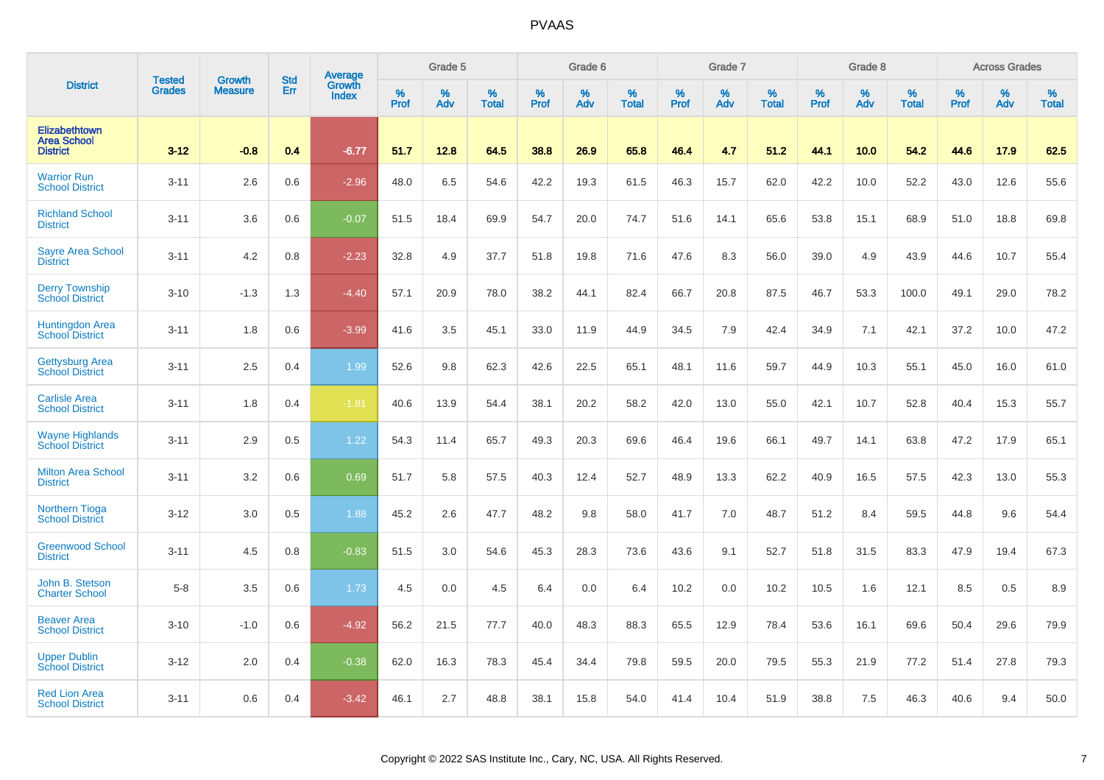|                                                               |                         | <b>Growth</b>  | <b>Std</b> | Average                |                     | Grade 5  |                      |              | Grade 6  |                   |                     | Grade 7     |                      |                     | Grade 8     |                   |              | <b>Across Grades</b> |                   |
|---------------------------------------------------------------|-------------------------|----------------|------------|------------------------|---------------------|----------|----------------------|--------------|----------|-------------------|---------------------|-------------|----------------------|---------------------|-------------|-------------------|--------------|----------------------|-------------------|
| <b>District</b>                                               | <b>Tested</b><br>Grades | <b>Measure</b> | Err        | Growth<br><b>Index</b> | $\%$<br><b>Prof</b> | %<br>Adv | $\%$<br><b>Total</b> | $\%$<br>Prof | %<br>Adv | %<br><b>Total</b> | $\%$<br><b>Prof</b> | $\%$<br>Adv | $\%$<br><b>Total</b> | $\%$<br><b>Prof</b> | $\%$<br>Adv | %<br><b>Total</b> | $\%$<br>Prof | %<br>Adv             | %<br><b>Total</b> |
| <b>Elizabethtown</b><br><b>Area School</b><br><b>District</b> | $3 - 12$                | $-0.8$         | 0.4        | $-6.77$                | 51.7                | 12.8     | 64.5                 | 38.8         | 26.9     | 65.8              | 46.4                | 4.7         | 51.2                 | 44.1                | 10.0        | 54.2              | 44.6         | 17.9                 | 62.5              |
| <b>Warrior Run</b><br><b>School District</b>                  | $3 - 11$                | 2.6            | 0.6        | $-2.96$                | 48.0                | 6.5      | 54.6                 | 42.2         | 19.3     | 61.5              | 46.3                | 15.7        | 62.0                 | 42.2                | 10.0        | 52.2              | 43.0         | 12.6                 | 55.6              |
| <b>Richland School</b><br><b>District</b>                     | $3 - 11$                | 3.6            | 0.6        | $-0.07$                | 51.5                | 18.4     | 69.9                 | 54.7         | 20.0     | 74.7              | 51.6                | 14.1        | 65.6                 | 53.8                | 15.1        | 68.9              | 51.0         | 18.8                 | 69.8              |
| <b>Sayre Area School</b><br><b>District</b>                   | $3 - 11$                | 4.2            | 0.8        | $-2.23$                | 32.8                | 4.9      | 37.7                 | 51.8         | 19.8     | 71.6              | 47.6                | 8.3         | 56.0                 | 39.0                | 4.9         | 43.9              | 44.6         | 10.7                 | 55.4              |
| <b>Derry Township</b><br><b>School District</b>               | $3 - 10$                | $-1.3$         | 1.3        | $-4.40$                | 57.1                | 20.9     | 78.0                 | 38.2         | 44.1     | 82.4              | 66.7                | 20.8        | 87.5                 | 46.7                | 53.3        | 100.0             | 49.1         | 29.0                 | 78.2              |
| <b>Huntingdon Area</b><br><b>School District</b>              | $3 - 11$                | 1.8            | 0.6        | $-3.99$                | 41.6                | 3.5      | 45.1                 | 33.0         | 11.9     | 44.9              | 34.5                | 7.9         | 42.4                 | 34.9                | 7.1         | 42.1              | 37.2         | 10.0                 | 47.2              |
| <b>Gettysburg Area</b><br><b>School District</b>              | $3 - 11$                | 2.5            | 0.4        | 1.99                   | 52.6                | 9.8      | 62.3                 | 42.6         | 22.5     | 65.1              | 48.1                | 11.6        | 59.7                 | 44.9                | 10.3        | 55.1              | 45.0         | 16.0                 | 61.0              |
| <b>Carlisle Area</b><br><b>School District</b>                | $3 - 11$                | 1.8            | 0.4        | $-1.81$                | 40.6                | 13.9     | 54.4                 | 38.1         | 20.2     | 58.2              | 42.0                | 13.0        | 55.0                 | 42.1                | 10.7        | 52.8              | 40.4         | 15.3                 | 55.7              |
| <b>Wayne Highlands</b><br><b>School District</b>              | $3 - 11$                | 2.9            | 0.5        | 1.22                   | 54.3                | 11.4     | 65.7                 | 49.3         | 20.3     | 69.6              | 46.4                | 19.6        | 66.1                 | 49.7                | 14.1        | 63.8              | 47.2         | 17.9                 | 65.1              |
| <b>Milton Area School</b><br><b>District</b>                  | $3 - 11$                | 3.2            | 0.6        | 0.69                   | 51.7                | 5.8      | 57.5                 | 40.3         | 12.4     | 52.7              | 48.9                | 13.3        | 62.2                 | 40.9                | 16.5        | 57.5              | 42.3         | 13.0                 | 55.3              |
| <b>Northern Tioga</b><br><b>School District</b>               | $3 - 12$                | 3.0            | 0.5        | 1.88                   | 45.2                | 2.6      | 47.7                 | 48.2         | 9.8      | 58.0              | 41.7                | 7.0         | 48.7                 | 51.2                | 8.4         | 59.5              | 44.8         | 9.6                  | 54.4              |
| <b>Greenwood School</b><br><b>District</b>                    | $3 - 11$                | 4.5            | 0.8        | $-0.83$                | 51.5                | 3.0      | 54.6                 | 45.3         | 28.3     | 73.6              | 43.6                | 9.1         | 52.7                 | 51.8                | 31.5        | 83.3              | 47.9         | 19.4                 | 67.3              |
| John B. Stetson<br><b>Charter School</b>                      | $5-8$                   | 3.5            | 0.6        | 1.73                   | 4.5                 | 0.0      | 4.5                  | 6.4          | 0.0      | 6.4               | 10.2                | 0.0         | 10.2                 | 10.5                | 1.6         | 12.1              | 8.5          | 0.5                  | 8.9               |
| <b>Beaver Area</b><br><b>School District</b>                  | $3 - 10$                | $-1.0$         | 0.6        | $-4.92$                | 56.2                | 21.5     | 77.7                 | 40.0         | 48.3     | 88.3              | 65.5                | 12.9        | 78.4                 | 53.6                | 16.1        | 69.6              | 50.4         | 29.6                 | 79.9              |
| <b>Upper Dublin</b><br><b>School District</b>                 | $3 - 12$                | 2.0            | 0.4        | $-0.38$                | 62.0                | 16.3     | 78.3                 | 45.4         | 34.4     | 79.8              | 59.5                | 20.0        | 79.5                 | 55.3                | 21.9        | 77.2              | 51.4         | 27.8                 | 79.3              |
| <b>Red Lion Area</b><br><b>School District</b>                | $3 - 11$                | 0.6            | 0.4        | $-3.42$                | 46.1                | 2.7      | 48.8                 | 38.1         | 15.8     | 54.0              | 41.4                | 10.4        | 51.9                 | 38.8                | 7.5         | 46.3              | 40.6         | 9.4                  | 50.0              |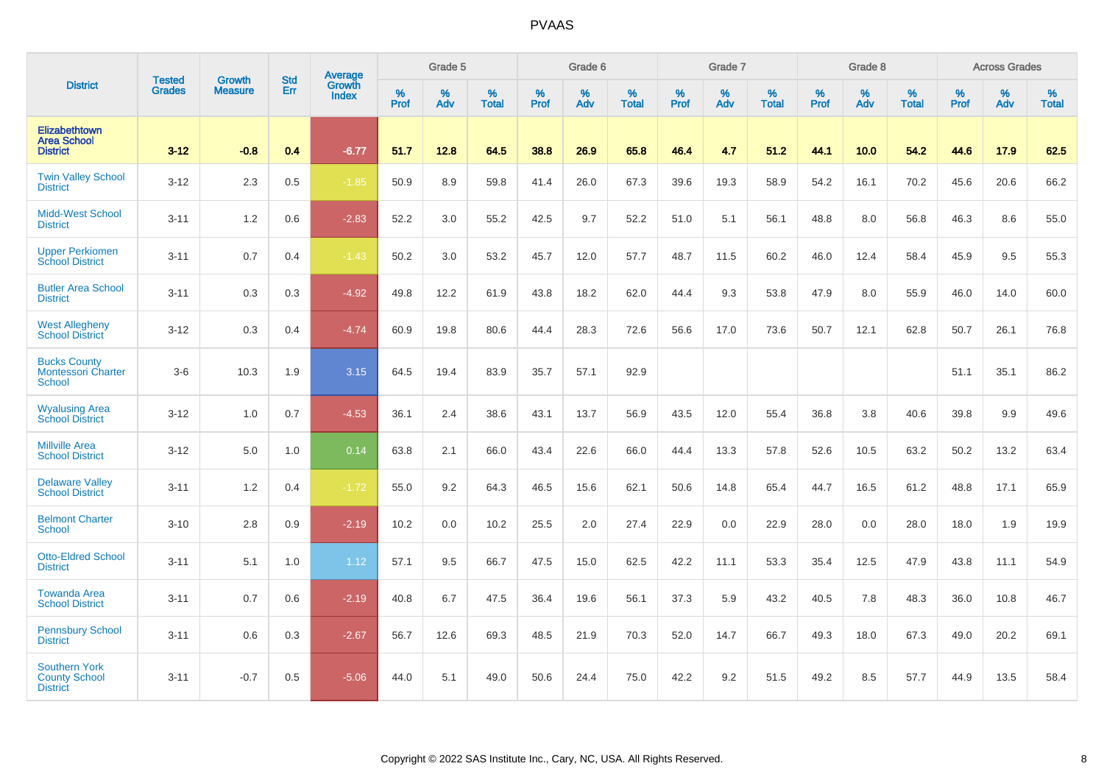|                                                                   |                                | <b>Growth</b>  | <b>Std</b> | Average         |           | Grade 5  |                   |           | Grade 6  |                   |           | Grade 7  |                   |           | Grade 8  |                   |           | <b>Across Grades</b> |                   |
|-------------------------------------------------------------------|--------------------------------|----------------|------------|-----------------|-----------|----------|-------------------|-----------|----------|-------------------|-----------|----------|-------------------|-----------|----------|-------------------|-----------|----------------------|-------------------|
| <b>District</b>                                                   | <b>Tested</b><br><b>Grades</b> | <b>Measure</b> | Err        | Growth<br>Index | %<br>Prof | %<br>Adv | %<br><b>Total</b> | %<br>Prof | %<br>Adv | %<br><b>Total</b> | %<br>Prof | %<br>Adv | %<br><b>Total</b> | %<br>Prof | %<br>Adv | %<br><b>Total</b> | %<br>Prof | %<br>Adv             | %<br><b>Total</b> |
| Elizabethtown<br><b>Area School</b><br><b>District</b>            | $3 - 12$                       | $-0.8$         | 0.4        | $-6.77$         | 51.7      | 12.8     | 64.5              | 38.8      | 26.9     | 65.8              | 46.4      | 4.7      | 51.2              | 44.1      | 10.0     | 54.2              | 44.6      | 17.9                 | 62.5              |
| <b>Twin Valley School</b><br><b>District</b>                      | $3 - 12$                       | 2.3            | 0.5        | $-1.85$         | 50.9      | 8.9      | 59.8              | 41.4      | 26.0     | 67.3              | 39.6      | 19.3     | 58.9              | 54.2      | 16.1     | 70.2              | 45.6      | 20.6                 | 66.2              |
| <b>Midd-West School</b><br><b>District</b>                        | $3 - 11$                       | 1.2            | 0.6        | $-2.83$         | 52.2      | 3.0      | 55.2              | 42.5      | 9.7      | 52.2              | 51.0      | 5.1      | 56.1              | 48.8      | 8.0      | 56.8              | 46.3      | 8.6                  | 55.0              |
| <b>Upper Perkiomen</b><br><b>School District</b>                  | $3 - 11$                       | 0.7            | 0.4        | $-1.43$         | 50.2      | 3.0      | 53.2              | 45.7      | 12.0     | 57.7              | 48.7      | 11.5     | 60.2              | 46.0      | 12.4     | 58.4              | 45.9      | 9.5                  | 55.3              |
| <b>Butler Area School</b><br><b>District</b>                      | $3 - 11$                       | 0.3            | 0.3        | $-4.92$         | 49.8      | 12.2     | 61.9              | 43.8      | 18.2     | 62.0              | 44.4      | 9.3      | 53.8              | 47.9      | 8.0      | 55.9              | 46.0      | 14.0                 | 60.0              |
| <b>West Allegheny</b><br><b>School District</b>                   | $3 - 12$                       | 0.3            | 0.4        | $-4.74$         | 60.9      | 19.8     | 80.6              | 44.4      | 28.3     | 72.6              | 56.6      | 17.0     | 73.6              | 50.7      | 12.1     | 62.8              | 50.7      | 26.1                 | 76.8              |
| <b>Bucks County</b><br><b>Montessori Charter</b><br><b>School</b> | $3-6$                          | 10.3           | 1.9        | 3.15            | 64.5      | 19.4     | 83.9              | 35.7      | 57.1     | 92.9              |           |          |                   |           |          |                   | 51.1      | 35.1                 | 86.2              |
| <b>Wyalusing Area</b><br><b>School District</b>                   | $3 - 12$                       | 1.0            | 0.7        | $-4.53$         | 36.1      | 2.4      | 38.6              | 43.1      | 13.7     | 56.9              | 43.5      | 12.0     | 55.4              | 36.8      | 3.8      | 40.6              | 39.8      | 9.9                  | 49.6              |
| <b>Millville Area</b><br><b>School District</b>                   | $3 - 12$                       | 5.0            | 1.0        | 0.14            | 63.8      | 2.1      | 66.0              | 43.4      | 22.6     | 66.0              | 44.4      | 13.3     | 57.8              | 52.6      | 10.5     | 63.2              | 50.2      | 13.2                 | 63.4              |
| <b>Delaware Valley</b><br><b>School District</b>                  | $3 - 11$                       | 1.2            | 0.4        | $-1.72$         | 55.0      | 9.2      | 64.3              | 46.5      | 15.6     | 62.1              | 50.6      | 14.8     | 65.4              | 44.7      | 16.5     | 61.2              | 48.8      | 17.1                 | 65.9              |
| <b>Belmont Charter</b><br><b>School</b>                           | $3 - 10$                       | 2.8            | 0.9        | $-2.19$         | 10.2      | 0.0      | 10.2              | 25.5      | 2.0      | 27.4              | 22.9      | 0.0      | 22.9              | 28.0      | 0.0      | 28.0              | 18.0      | 1.9                  | 19.9              |
| <b>Otto-Eldred School</b><br><b>District</b>                      | $3 - 11$                       | 5.1            | 1.0        | 1.12            | 57.1      | 9.5      | 66.7              | 47.5      | 15.0     | 62.5              | 42.2      | 11.1     | 53.3              | 35.4      | 12.5     | 47.9              | 43.8      | 11.1                 | 54.9              |
| <b>Towanda Area</b><br><b>School District</b>                     | $3 - 11$                       | 0.7            | 0.6        | $-2.19$         | 40.8      | 6.7      | 47.5              | 36.4      | 19.6     | 56.1              | 37.3      | 5.9      | 43.2              | 40.5      | 7.8      | 48.3              | 36.0      | 10.8                 | 46.7              |
| <b>Pennsbury School</b><br><b>District</b>                        | $3 - 11$                       | 0.6            | 0.3        | $-2.67$         | 56.7      | 12.6     | 69.3              | 48.5      | 21.9     | 70.3              | 52.0      | 14.7     | 66.7              | 49.3      | 18.0     | 67.3              | 49.0      | 20.2                 | 69.1              |
| <b>Southern York</b><br><b>County School</b><br><b>District</b>   | $3 - 11$                       | $-0.7$         | 0.5        | $-5.06$         | 44.0      | 5.1      | 49.0              | 50.6      | 24.4     | 75.0              | 42.2      | 9.2      | 51.5              | 49.2      | 8.5      | 57.7              | 44.9      | 13.5                 | 58.4              |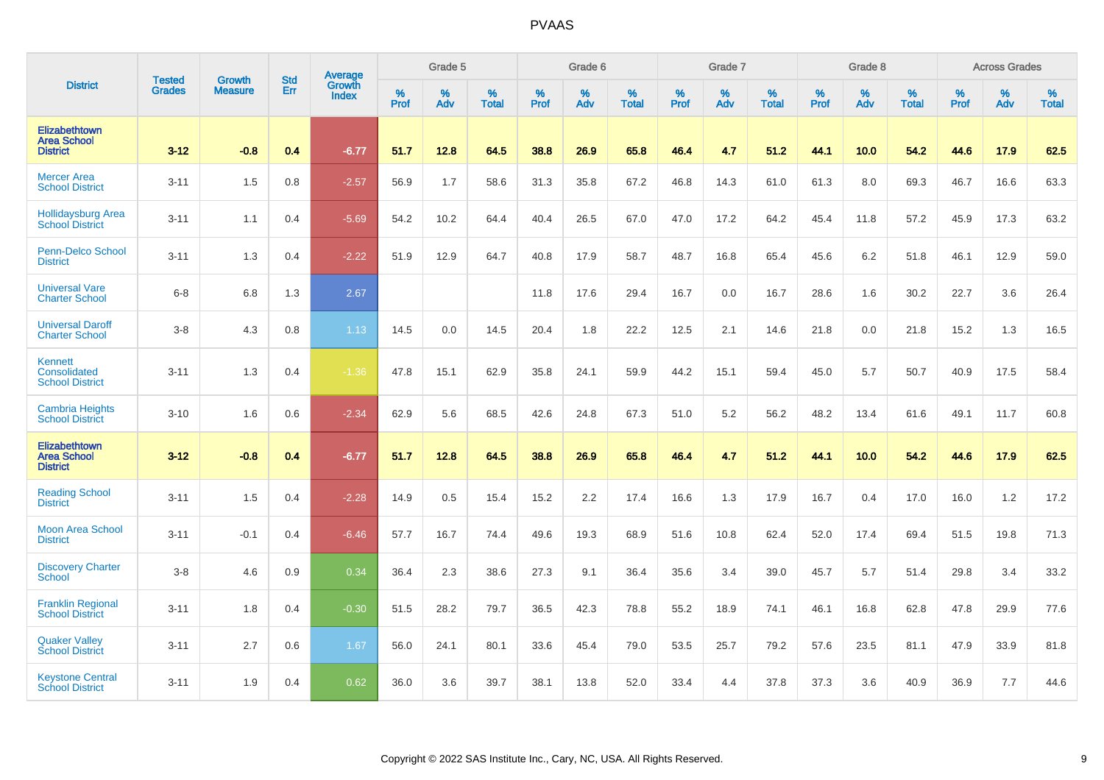|                                                        | <b>Tested</b> | <b>Growth</b>  | <b>Std</b> | Average                       |           | Grade 5  |                   |           | Grade 6  |                   |           | Grade 7  |                   |           | Grade 8  |                   |           | <b>Across Grades</b> |                   |
|--------------------------------------------------------|---------------|----------------|------------|-------------------------------|-----------|----------|-------------------|-----------|----------|-------------------|-----------|----------|-------------------|-----------|----------|-------------------|-----------|----------------------|-------------------|
| <b>District</b>                                        | <b>Grades</b> | <b>Measure</b> | Err        | <b>Growth</b><br><b>Index</b> | %<br>Prof | %<br>Adv | %<br><b>Total</b> | %<br>Prof | %<br>Adv | %<br><b>Total</b> | %<br>Prof | %<br>Adv | %<br><b>Total</b> | %<br>Prof | %<br>Adv | %<br><b>Total</b> | %<br>Prof | %<br>Adv             | %<br><b>Total</b> |
| Elizabethtown<br><b>Area School</b><br><b>District</b> | $3 - 12$      | $-0.8$         | 0.4        | $-6.77$                       | 51.7      | 12.8     | 64.5              | 38.8      | 26.9     | 65.8              | 46.4      | 4.7      | 51.2              | 44.1      | 10.0     | 54.2              | 44.6      | 17.9                 | 62.5              |
| <b>Mercer Area</b><br><b>School District</b>           | $3 - 11$      | 1.5            | 0.8        | $-2.57$                       | 56.9      | 1.7      | 58.6              | 31.3      | 35.8     | 67.2              | 46.8      | 14.3     | 61.0              | 61.3      | 8.0      | 69.3              | 46.7      | 16.6                 | 63.3              |
| <b>Hollidaysburg Area</b><br><b>School District</b>    | $3 - 11$      | 1.1            | 0.4        | $-5.69$                       | 54.2      | 10.2     | 64.4              | 40.4      | 26.5     | 67.0              | 47.0      | 17.2     | 64.2              | 45.4      | 11.8     | 57.2              | 45.9      | 17.3                 | 63.2              |
| <b>Penn-Delco School</b><br><b>District</b>            | $3 - 11$      | 1.3            | 0.4        | $-2.22$                       | 51.9      | 12.9     | 64.7              | 40.8      | 17.9     | 58.7              | 48.7      | 16.8     | 65.4              | 45.6      | 6.2      | 51.8              | 46.1      | 12.9                 | 59.0              |
| <b>Universal Vare</b><br><b>Charter School</b>         | $6 - 8$       | 6.8            | 1.3        | 2.67                          |           |          |                   | 11.8      | 17.6     | 29.4              | 16.7      | 0.0      | 16.7              | 28.6      | 1.6      | 30.2              | 22.7      | 3.6                  | 26.4              |
| <b>Universal Daroff</b><br><b>Charter School</b>       | $3-8$         | 4.3            | 0.8        | 1.13                          | 14.5      | 0.0      | 14.5              | 20.4      | 1.8      | 22.2              | 12.5      | 2.1      | 14.6              | 21.8      | 0.0      | 21.8              | 15.2      | 1.3                  | 16.5              |
| Kennett<br>Consolidated<br><b>School District</b>      | $3 - 11$      | 1.3            | 0.4        | $-1.36$                       | 47.8      | 15.1     | 62.9              | 35.8      | 24.1     | 59.9              | 44.2      | 15.1     | 59.4              | 45.0      | 5.7      | 50.7              | 40.9      | 17.5                 | 58.4              |
| <b>Cambria Heights</b><br><b>School District</b>       | $3 - 10$      | 1.6            | 0.6        | $-2.34$                       | 62.9      | 5.6      | 68.5              | 42.6      | 24.8     | 67.3              | 51.0      | 5.2      | 56.2              | 48.2      | 13.4     | 61.6              | 49.1      | 11.7                 | 60.8              |
| Elizabethtown<br><b>Area School</b><br><b>District</b> | $3 - 12$      | $-0.8$         | 0.4        | $-6.77$                       | 51.7      | 12.8     | 64.5              | 38.8      | 26.9     | 65.8              | 46.4      | 4.7      | 51.2              | 44.1      | 10.0     | 54.2              | 44.6      | 17.9                 | 62.5              |
| <b>Reading School</b><br><b>District</b>               | $3 - 11$      | 1.5            | 0.4        | $-2.28$                       | 14.9      | 0.5      | 15.4              | 15.2      | 2.2      | 17.4              | 16.6      | 1.3      | 17.9              | 16.7      | 0.4      | 17.0              | 16.0      | 1.2                  | 17.2              |
| <b>Moon Area School</b><br><b>District</b>             | $3 - 11$      | $-0.1$         | 0.4        | $-6.46$                       | 57.7      | 16.7     | 74.4              | 49.6      | 19.3     | 68.9              | 51.6      | 10.8     | 62.4              | 52.0      | 17.4     | 69.4              | 51.5      | 19.8                 | 71.3              |
| <b>Discovery Charter</b><br><b>School</b>              | $3 - 8$       | 4.6            | 0.9        | 0.34                          | 36.4      | 2.3      | 38.6              | 27.3      | 9.1      | 36.4              | 35.6      | 3.4      | 39.0              | 45.7      | 5.7      | 51.4              | 29.8      | 3.4                  | 33.2              |
| <b>Franklin Regional</b><br><b>School District</b>     | $3 - 11$      | 1.8            | 0.4        | $-0.30$                       | 51.5      | 28.2     | 79.7              | 36.5      | 42.3     | 78.8              | 55.2      | 18.9     | 74.1              | 46.1      | 16.8     | 62.8              | 47.8      | 29.9                 | 77.6              |
| <b>Quaker Valley</b><br><b>School District</b>         | $3 - 11$      | 2.7            | 0.6        | 1.67                          | 56.0      | 24.1     | 80.1              | 33.6      | 45.4     | 79.0              | 53.5      | 25.7     | 79.2              | 57.6      | 23.5     | 81.1              | 47.9      | 33.9                 | 81.8              |
| <b>Keystone Central</b><br><b>School District</b>      | $3 - 11$      | 1.9            | 0.4        | 0.62                          | 36.0      | 3.6      | 39.7              | 38.1      | 13.8     | 52.0              | 33.4      | 4.4      | 37.8              | 37.3      | 3.6      | 40.9              | 36.9      | 7.7                  | 44.6              |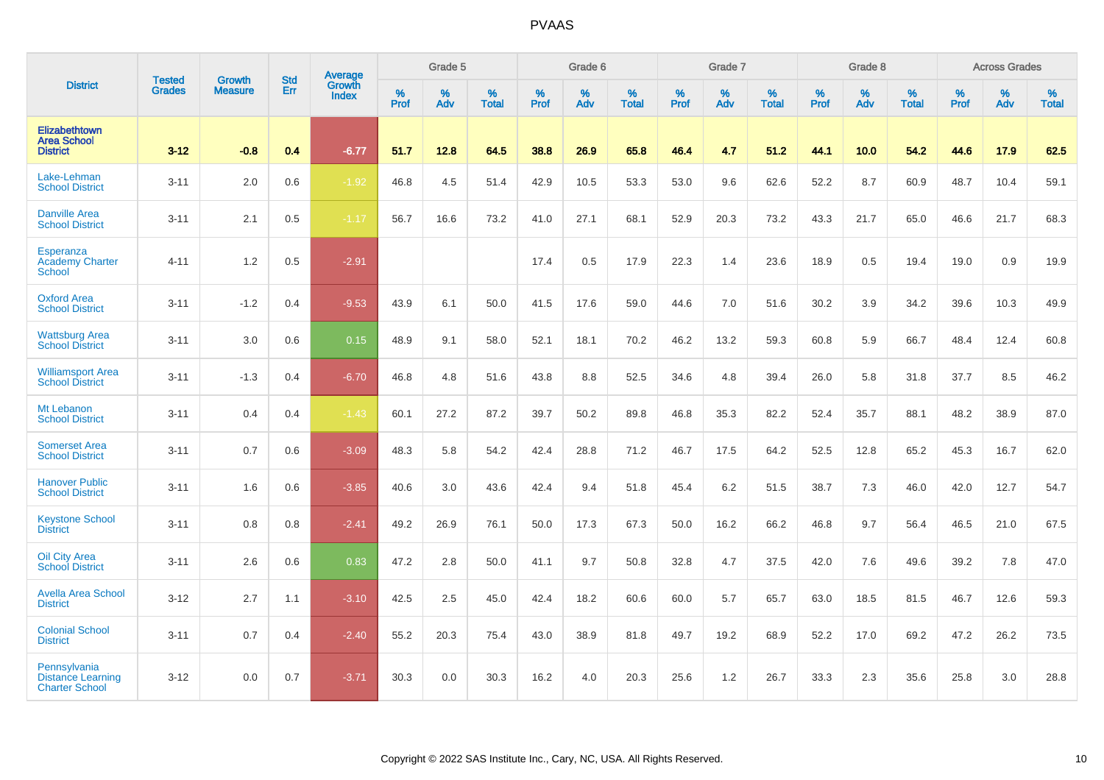|                                                                   |                                |                                 | <b>Std</b> | Average                       |           | Grade 5  |                   |           | Grade 6  |                   |           | Grade 7  |                   |           | Grade 8  |                   |           | <b>Across Grades</b> |                   |
|-------------------------------------------------------------------|--------------------------------|---------------------------------|------------|-------------------------------|-----------|----------|-------------------|-----------|----------|-------------------|-----------|----------|-------------------|-----------|----------|-------------------|-----------|----------------------|-------------------|
| <b>District</b>                                                   | <b>Tested</b><br><b>Grades</b> | <b>Growth</b><br><b>Measure</b> | Err        | <b>Growth</b><br><b>Index</b> | %<br>Prof | %<br>Adv | %<br><b>Total</b> | %<br>Prof | %<br>Adv | %<br><b>Total</b> | %<br>Prof | %<br>Adv | %<br><b>Total</b> | %<br>Prof | %<br>Adv | %<br><b>Total</b> | %<br>Prof | %<br>Adv             | %<br><b>Total</b> |
| Elizabethtown<br><b>Area School</b><br><b>District</b>            | $3 - 12$                       | $-0.8$                          | 0.4        | $-6.77$                       | 51.7      | 12.8     | 64.5              | 38.8      | 26.9     | 65.8              | 46.4      | 4.7      | 51.2              | 44.1      | 10.0     | 54.2              | 44.6      | 17.9                 | 62.5              |
| Lake-Lehman<br><b>School District</b>                             | $3 - 11$                       | 2.0                             | 0.6        | $-1.92$                       | 46.8      | 4.5      | 51.4              | 42.9      | 10.5     | 53.3              | 53.0      | 9.6      | 62.6              | 52.2      | 8.7      | 60.9              | 48.7      | 10.4                 | 59.1              |
| <b>Danville Area</b><br><b>School District</b>                    | $3 - 11$                       | 2.1                             | 0.5        | $-1.17$                       | 56.7      | 16.6     | 73.2              | 41.0      | 27.1     | 68.1              | 52.9      | 20.3     | 73.2              | 43.3      | 21.7     | 65.0              | 46.6      | 21.7                 | 68.3              |
| Esperanza<br><b>Academy Charter</b><br><b>School</b>              | $4 - 11$                       | 1.2                             | 0.5        | $-2.91$                       |           |          |                   | 17.4      | 0.5      | 17.9              | 22.3      | 1.4      | 23.6              | 18.9      | $0.5\,$  | 19.4              | 19.0      | 0.9                  | 19.9              |
| <b>Oxford Area</b><br><b>School District</b>                      | $3 - 11$                       | $-1.2$                          | 0.4        | $-9.53$                       | 43.9      | 6.1      | 50.0              | 41.5      | 17.6     | 59.0              | 44.6      | 7.0      | 51.6              | 30.2      | 3.9      | 34.2              | 39.6      | 10.3                 | 49.9              |
| <b>Wattsburg Area</b><br><b>School District</b>                   | $3 - 11$                       | 3.0                             | 0.6        | 0.15                          | 48.9      | 9.1      | 58.0              | 52.1      | 18.1     | 70.2              | 46.2      | 13.2     | 59.3              | 60.8      | 5.9      | 66.7              | 48.4      | 12.4                 | 60.8              |
| <b>Williamsport Area</b><br><b>School District</b>                | $3 - 11$                       | $-1.3$                          | 0.4        | $-6.70$                       | 46.8      | 4.8      | 51.6              | 43.8      | 8.8      | 52.5              | 34.6      | 4.8      | 39.4              | 26.0      | 5.8      | 31.8              | 37.7      | 8.5                  | 46.2              |
| Mt Lebanon<br><b>School District</b>                              | $3 - 11$                       | 0.4                             | 0.4        | $-1.43$                       | 60.1      | 27.2     | 87.2              | 39.7      | 50.2     | 89.8              | 46.8      | 35.3     | 82.2              | 52.4      | 35.7     | 88.1              | 48.2      | 38.9                 | 87.0              |
| <b>Somerset Area</b><br><b>School District</b>                    | $3 - 11$                       | 0.7                             | 0.6        | $-3.09$                       | 48.3      | 5.8      | 54.2              | 42.4      | 28.8     | 71.2              | 46.7      | 17.5     | 64.2              | 52.5      | 12.8     | 65.2              | 45.3      | 16.7                 | 62.0              |
| <b>Hanover Public</b><br><b>School District</b>                   | $3 - 11$                       | 1.6                             | 0.6        | $-3.85$                       | 40.6      | 3.0      | 43.6              | 42.4      | 9.4      | 51.8              | 45.4      | 6.2      | 51.5              | 38.7      | 7.3      | 46.0              | 42.0      | 12.7                 | 54.7              |
| <b>Keystone School</b><br><b>District</b>                         | $3 - 11$                       | 0.8                             | 0.8        | $-2.41$                       | 49.2      | 26.9     | 76.1              | 50.0      | 17.3     | 67.3              | 50.0      | 16.2     | 66.2              | 46.8      | 9.7      | 56.4              | 46.5      | 21.0                 | 67.5              |
| <b>Oil City Area</b><br><b>School District</b>                    | $3 - 11$                       | 2.6                             | 0.6        | 0.83                          | 47.2      | 2.8      | 50.0              | 41.1      | 9.7      | 50.8              | 32.8      | 4.7      | 37.5              | 42.0      | 7.6      | 49.6              | 39.2      | 7.8                  | 47.0              |
| <b>Avella Area School</b><br><b>District</b>                      | $3 - 12$                       | 2.7                             | 1.1        | $-3.10$                       | 42.5      | 2.5      | 45.0              | 42.4      | 18.2     | 60.6              | 60.0      | 5.7      | 65.7              | 63.0      | 18.5     | 81.5              | 46.7      | 12.6                 | 59.3              |
| <b>Colonial School</b><br><b>District</b>                         | $3 - 11$                       | 0.7                             | 0.4        | $-2.40$                       | 55.2      | 20.3     | 75.4              | 43.0      | 38.9     | 81.8              | 49.7      | 19.2     | 68.9              | 52.2      | 17.0     | 69.2              | 47.2      | 26.2                 | 73.5              |
| Pennsylvania<br><b>Distance Learning</b><br><b>Charter School</b> | $3 - 12$                       | 0.0                             | 0.7        | $-3.71$                       | 30.3      | 0.0      | 30.3              | 16.2      | 4.0      | 20.3              | 25.6      | 1.2      | 26.7              | 33.3      | 2.3      | 35.6              | 25.8      | 3.0                  | 28.8              |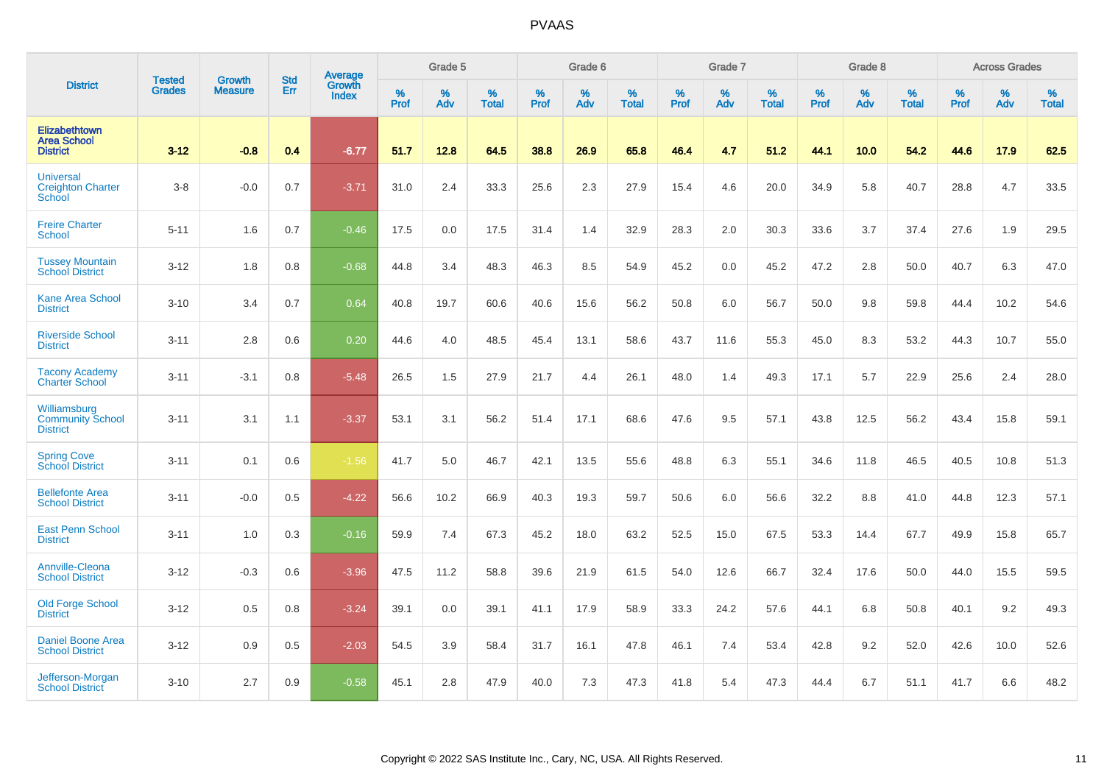|                                                            |                                |                                 | <b>Std</b> | Average                       |              | Grade 5  |                   |           | Grade 6  |                   |           | Grade 7  |                   |           | Grade 8  |                   |           | <b>Across Grades</b> |                   |
|------------------------------------------------------------|--------------------------------|---------------------------------|------------|-------------------------------|--------------|----------|-------------------|-----------|----------|-------------------|-----------|----------|-------------------|-----------|----------|-------------------|-----------|----------------------|-------------------|
| <b>District</b>                                            | <b>Tested</b><br><b>Grades</b> | <b>Growth</b><br><b>Measure</b> | Err        | <b>Growth</b><br><b>Index</b> | $\%$<br>Prof | %<br>Adv | %<br><b>Total</b> | %<br>Prof | %<br>Adv | %<br><b>Total</b> | %<br>Prof | %<br>Adv | %<br><b>Total</b> | %<br>Prof | %<br>Adv | %<br><b>Total</b> | %<br>Prof | %<br>Adv             | %<br><b>Total</b> |
| Elizabethtown<br><b>Area School</b><br><b>District</b>     | $3 - 12$                       | $-0.8$                          | 0.4        | $-6.77$                       | 51.7         | 12.8     | 64.5              | 38.8      | 26.9     | 65.8              | 46.4      | 4.7      | 51.2              | 44.1      | 10.0     | 54.2              | 44.6      | 17.9                 | 62.5              |
| <b>Universal</b><br><b>Creighton Charter</b><br>School     | $3-8$                          | $-0.0$                          | 0.7        | $-3.71$                       | 31.0         | 2.4      | 33.3              | 25.6      | 2.3      | 27.9              | 15.4      | 4.6      | 20.0              | 34.9      | 5.8      | 40.7              | 28.8      | 4.7                  | 33.5              |
| <b>Freire Charter</b><br>School                            | $5 - 11$                       | 1.6                             | 0.7        | $-0.46$                       | 17.5         | 0.0      | 17.5              | 31.4      | 1.4      | 32.9              | 28.3      | 2.0      | 30.3              | 33.6      | 3.7      | 37.4              | 27.6      | 1.9                  | 29.5              |
| <b>Tussey Mountain</b><br><b>School District</b>           | $3 - 12$                       | 1.8                             | 0.8        | $-0.68$                       | 44.8         | 3.4      | 48.3              | 46.3      | 8.5      | 54.9              | 45.2      | 0.0      | 45.2              | 47.2      | 2.8      | 50.0              | 40.7      | 6.3                  | 47.0              |
| <b>Kane Area School</b><br><b>District</b>                 | $3 - 10$                       | 3.4                             | 0.7        | 0.64                          | 40.8         | 19.7     | 60.6              | 40.6      | 15.6     | 56.2              | 50.8      | 6.0      | 56.7              | 50.0      | 9.8      | 59.8              | 44.4      | 10.2                 | 54.6              |
| <b>Riverside School</b><br><b>District</b>                 | $3 - 11$                       | 2.8                             | 0.6        | 0.20                          | 44.6         | 4.0      | 48.5              | 45.4      | 13.1     | 58.6              | 43.7      | 11.6     | 55.3              | 45.0      | 8.3      | 53.2              | 44.3      | 10.7                 | 55.0              |
| <b>Tacony Academy</b><br><b>Charter School</b>             | $3 - 11$                       | $-3.1$                          | 0.8        | $-5.48$                       | 26.5         | 1.5      | 27.9              | 21.7      | 4.4      | 26.1              | 48.0      | 1.4      | 49.3              | 17.1      | 5.7      | 22.9              | 25.6      | 2.4                  | 28.0              |
| Williamsburg<br><b>Community School</b><br><b>District</b> | $3 - 11$                       | 3.1                             | 1.1        | $-3.37$                       | 53.1         | 3.1      | 56.2              | 51.4      | 17.1     | 68.6              | 47.6      | 9.5      | 57.1              | 43.8      | 12.5     | 56.2              | 43.4      | 15.8                 | 59.1              |
| <b>Spring Cove</b><br><b>School District</b>               | $3 - 11$                       | 0.1                             | 0.6        | $-1.56$                       | 41.7         | 5.0      | 46.7              | 42.1      | 13.5     | 55.6              | 48.8      | 6.3      | 55.1              | 34.6      | 11.8     | 46.5              | 40.5      | 10.8                 | 51.3              |
| <b>Bellefonte Area</b><br><b>School District</b>           | $3 - 11$                       | $-0.0$                          | 0.5        | $-4.22$                       | 56.6         | 10.2     | 66.9              | 40.3      | 19.3     | 59.7              | 50.6      | 6.0      | 56.6              | 32.2      | 8.8      | 41.0              | 44.8      | 12.3                 | 57.1              |
| <b>East Penn School</b><br><b>District</b>                 | $3 - 11$                       | 1.0                             | 0.3        | $-0.16$                       | 59.9         | 7.4      | 67.3              | 45.2      | 18.0     | 63.2              | 52.5      | 15.0     | 67.5              | 53.3      | 14.4     | 67.7              | 49.9      | 15.8                 | 65.7              |
| Annville-Cleona<br><b>School District</b>                  | $3 - 12$                       | $-0.3$                          | 0.6        | $-3.96$                       | 47.5         | 11.2     | 58.8              | 39.6      | 21.9     | 61.5              | 54.0      | 12.6     | 66.7              | 32.4      | 17.6     | 50.0              | 44.0      | 15.5                 | 59.5              |
| Old Forge School<br><b>District</b>                        | $3 - 12$                       | 0.5                             | 0.8        | $-3.24$                       | 39.1         | 0.0      | 39.1              | 41.1      | 17.9     | 58.9              | 33.3      | 24.2     | 57.6              | 44.1      | 6.8      | 50.8              | 40.1      | 9.2                  | 49.3              |
| <b>Daniel Boone Area</b><br><b>School District</b>         | $3 - 12$                       | 0.9                             | 0.5        | $-2.03$                       | 54.5         | 3.9      | 58.4              | 31.7      | 16.1     | 47.8              | 46.1      | 7.4      | 53.4              | 42.8      | 9.2      | 52.0              | 42.6      | 10.0                 | 52.6              |
| Jefferson-Morgan<br><b>School District</b>                 | $3 - 10$                       | 2.7                             | 0.9        | $-0.58$                       | 45.1         | 2.8      | 47.9              | 40.0      | 7.3      | 47.3              | 41.8      | 5.4      | 47.3              | 44.4      | 6.7      | 51.1              | 41.7      | 6.6                  | 48.2              |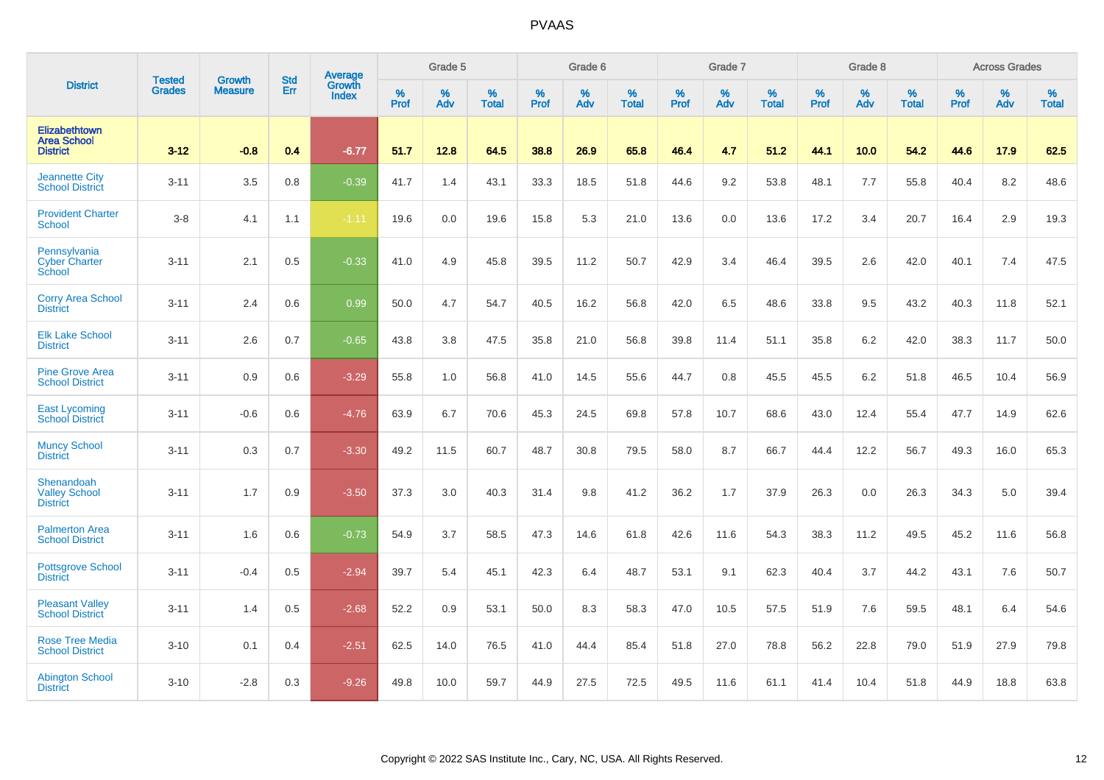|                                                        | <b>Tested</b> | <b>Growth</b>  | <b>Std</b> | Average                |           | Grade 5  |                   |           | Grade 6  |                   |           | Grade 7  |                   |           | Grade 8  |                   |           | <b>Across Grades</b> |                   |
|--------------------------------------------------------|---------------|----------------|------------|------------------------|-----------|----------|-------------------|-----------|----------|-------------------|-----------|----------|-------------------|-----------|----------|-------------------|-----------|----------------------|-------------------|
| <b>District</b>                                        | <b>Grades</b> | <b>Measure</b> | Err        | <b>Growth</b><br>Index | %<br>Prof | %<br>Adv | %<br><b>Total</b> | %<br>Prof | %<br>Adv | %<br><b>Total</b> | %<br>Prof | %<br>Adv | %<br><b>Total</b> | %<br>Prof | %<br>Adv | %<br><b>Total</b> | %<br>Prof | %<br>Adv             | %<br><b>Total</b> |
| Elizabethtown<br><b>Area School</b><br><b>District</b> | $3 - 12$      | $-0.8$         | 0.4        | $-6.77$                | 51.7      | 12.8     | 64.5              | 38.8      | 26.9     | 65.8              | 46.4      | 4.7      | 51.2              | 44.1      | 10.0     | 54.2              | 44.6      | 17.9                 | 62.5              |
| <b>Jeannette City</b><br><b>School District</b>        | $3 - 11$      | 3.5            | 0.8        | $-0.39$                | 41.7      | 1.4      | 43.1              | 33.3      | 18.5     | 51.8              | 44.6      | 9.2      | 53.8              | 48.1      | 7.7      | 55.8              | 40.4      | 8.2                  | 48.6              |
| <b>Provident Charter</b><br><b>School</b>              | $3-8$         | 4.1            | 1.1        | $-1.11$                | 19.6      | 0.0      | 19.6              | 15.8      | 5.3      | 21.0              | 13.6      | 0.0      | 13.6              | 17.2      | 3.4      | 20.7              | 16.4      | 2.9                  | 19.3              |
| Pennsylvania<br><b>Cyber Charter</b><br>School         | $3 - 11$      | 2.1            | 0.5        | $-0.33$                | 41.0      | 4.9      | 45.8              | 39.5      | 11.2     | 50.7              | 42.9      | 3.4      | 46.4              | 39.5      | 2.6      | 42.0              | 40.1      | 7.4                  | 47.5              |
| <b>Corry Area School</b><br><b>District</b>            | $3 - 11$      | 2.4            | 0.6        | 0.99                   | 50.0      | 4.7      | 54.7              | 40.5      | 16.2     | 56.8              | 42.0      | 6.5      | 48.6              | 33.8      | 9.5      | 43.2              | 40.3      | 11.8                 | 52.1              |
| <b>Elk Lake School</b><br><b>District</b>              | $3 - 11$      | 2.6            | 0.7        | $-0.65$                | 43.8      | 3.8      | 47.5              | 35.8      | 21.0     | 56.8              | 39.8      | 11.4     | 51.1              | 35.8      | 6.2      | 42.0              | 38.3      | 11.7                 | 50.0              |
| <b>Pine Grove Area</b><br><b>School District</b>       | $3 - 11$      | 0.9            | 0.6        | $-3.29$                | 55.8      | 1.0      | 56.8              | 41.0      | 14.5     | 55.6              | 44.7      | 0.8      | 45.5              | 45.5      | 6.2      | 51.8              | 46.5      | 10.4                 | 56.9              |
| <b>East Lycoming</b><br><b>School District</b>         | $3 - 11$      | $-0.6$         | 0.6        | $-4.76$                | 63.9      | 6.7      | 70.6              | 45.3      | 24.5     | 69.8              | 57.8      | 10.7     | 68.6              | 43.0      | 12.4     | 55.4              | 47.7      | 14.9                 | 62.6              |
| <b>Muncy School</b><br><b>District</b>                 | $3 - 11$      | 0.3            | 0.7        | $-3.30$                | 49.2      | 11.5     | 60.7              | 48.7      | 30.8     | 79.5              | 58.0      | 8.7      | 66.7              | 44.4      | 12.2     | 56.7              | 49.3      | 16.0                 | 65.3              |
| Shenandoah<br>Valley School<br><b>District</b>         | $3 - 11$      | 1.7            | 0.9        | $-3.50$                | 37.3      | 3.0      | 40.3              | 31.4      | 9.8      | 41.2              | 36.2      | 1.7      | 37.9              | 26.3      | 0.0      | 26.3              | 34.3      | 5.0                  | 39.4              |
| <b>Palmerton Area</b><br><b>School District</b>        | $3 - 11$      | 1.6            | 0.6        | $-0.73$                | 54.9      | 3.7      | 58.5              | 47.3      | 14.6     | 61.8              | 42.6      | 11.6     | 54.3              | 38.3      | 11.2     | 49.5              | 45.2      | 11.6                 | 56.8              |
| <b>Pottsgrove School</b><br><b>District</b>            | $3 - 11$      | $-0.4$         | 0.5        | $-2.94$                | 39.7      | 5.4      | 45.1              | 42.3      | 6.4      | 48.7              | 53.1      | 9.1      | 62.3              | 40.4      | 3.7      | 44.2              | 43.1      | 7.6                  | 50.7              |
| <b>Pleasant Valley</b><br><b>School District</b>       | $3 - 11$      | 1.4            | 0.5        | $-2.68$                | 52.2      | 0.9      | 53.1              | 50.0      | 8.3      | 58.3              | 47.0      | 10.5     | 57.5              | 51.9      | 7.6      | 59.5              | 48.1      | 6.4                  | 54.6              |
| <b>Rose Tree Media</b><br><b>School District</b>       | $3 - 10$      | 0.1            | 0.4        | $-2.51$                | 62.5      | 14.0     | 76.5              | 41.0      | 44.4     | 85.4              | 51.8      | 27.0     | 78.8              | 56.2      | 22.8     | 79.0              | 51.9      | 27.9                 | 79.8              |
| <b>Abington School</b><br><b>District</b>              | $3 - 10$      | $-2.8$         | 0.3        | $-9.26$                | 49.8      | 10.0     | 59.7              | 44.9      | 27.5     | 72.5              | 49.5      | 11.6     | 61.1              | 41.4      | 10.4     | 51.8              | 44.9      | 18.8                 | 63.8              |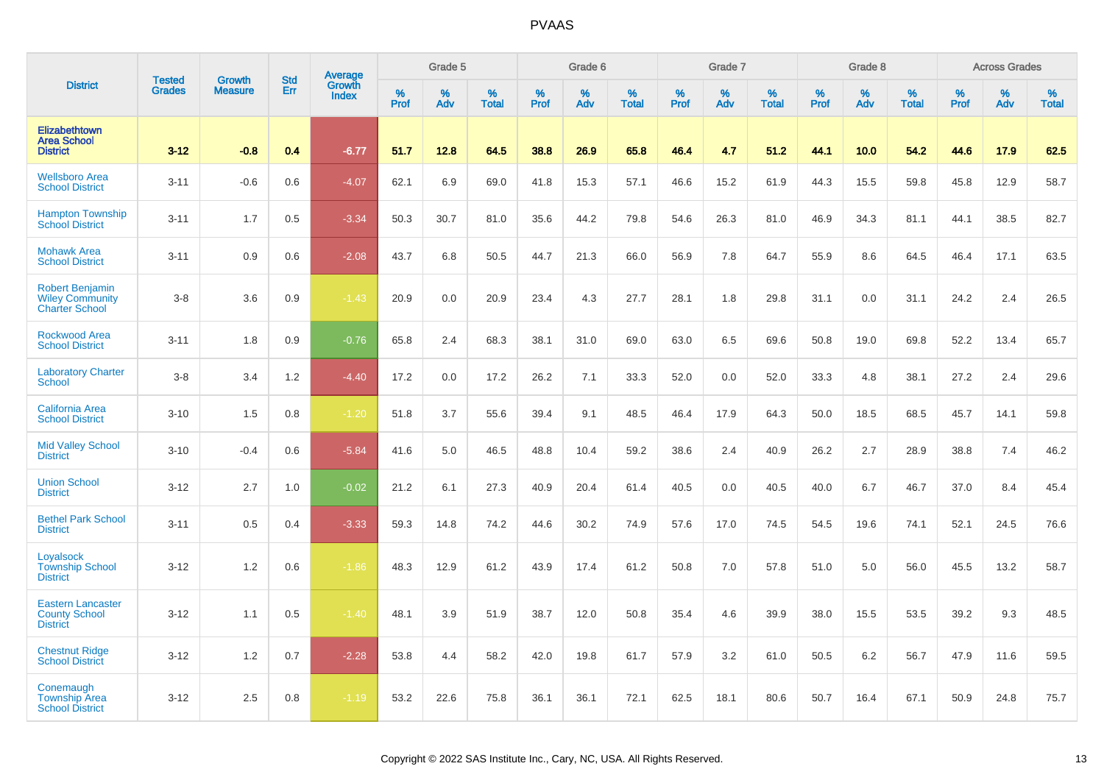|                                                                           |                                |                                 |                   | Average                |                  | Grade 5  |                   |           | Grade 6  |                   |           | Grade 7  |                   |           | Grade 8  |                   |                  | <b>Across Grades</b> |                   |
|---------------------------------------------------------------------------|--------------------------------|---------------------------------|-------------------|------------------------|------------------|----------|-------------------|-----------|----------|-------------------|-----------|----------|-------------------|-----------|----------|-------------------|------------------|----------------------|-------------------|
| <b>District</b>                                                           | <b>Tested</b><br><b>Grades</b> | <b>Growth</b><br><b>Measure</b> | <b>Std</b><br>Err | Growth<br><b>Index</b> | %<br><b>Prof</b> | %<br>Adv | %<br><b>Total</b> | %<br>Prof | %<br>Adv | %<br><b>Total</b> | %<br>Prof | %<br>Adv | %<br><b>Total</b> | %<br>Prof | %<br>Adv | %<br><b>Total</b> | %<br><b>Prof</b> | %<br>Adv             | %<br><b>Total</b> |
| <b>Elizabethtown</b><br><b>Area School</b><br><b>District</b>             | $3 - 12$                       | $-0.8$                          | 0.4               | $-6.77$                | 51.7             | 12.8     | 64.5              | 38.8      | 26.9     | 65.8              | 46.4      | 4.7      | 51.2              | 44.1      | 10.0     | 54.2              | 44.6             | 17.9                 | 62.5              |
| <b>Wellsboro Area</b><br><b>School District</b>                           | $3 - 11$                       | $-0.6$                          | 0.6               | $-4.07$                | 62.1             | 6.9      | 69.0              | 41.8      | 15.3     | 57.1              | 46.6      | 15.2     | 61.9              | 44.3      | 15.5     | 59.8              | 45.8             | 12.9                 | 58.7              |
| <b>Hampton Township</b><br><b>School District</b>                         | $3 - 11$                       | 1.7                             | 0.5               | $-3.34$                | 50.3             | 30.7     | 81.0              | 35.6      | 44.2     | 79.8              | 54.6      | 26.3     | 81.0              | 46.9      | 34.3     | 81.1              | 44.1             | 38.5                 | 82.7              |
| <b>Mohawk Area</b><br><b>School District</b>                              | $3 - 11$                       | 0.9                             | 0.6               | $-2.08$                | 43.7             | 6.8      | 50.5              | 44.7      | 21.3     | 66.0              | 56.9      | 7.8      | 64.7              | 55.9      | 8.6      | 64.5              | 46.4             | 17.1                 | 63.5              |
| <b>Robert Benjamin</b><br><b>Wiley Community</b><br><b>Charter School</b> | $3-8$                          | 3.6                             | 0.9               | $-1.43$                | 20.9             | 0.0      | 20.9              | 23.4      | 4.3      | 27.7              | 28.1      | 1.8      | 29.8              | 31.1      | 0.0      | 31.1              | 24.2             | 2.4                  | 26.5              |
| <b>Rockwood Area</b><br><b>School District</b>                            | $3 - 11$                       | 1.8                             | 0.9               | $-0.76$                | 65.8             | 2.4      | 68.3              | 38.1      | 31.0     | 69.0              | 63.0      | 6.5      | 69.6              | 50.8      | 19.0     | 69.8              | 52.2             | 13.4                 | 65.7              |
| <b>Laboratory Charter</b><br><b>School</b>                                | $3-8$                          | 3.4                             | 1.2               | $-4.40$                | 17.2             | 0.0      | 17.2              | 26.2      | 7.1      | 33.3              | 52.0      | 0.0      | 52.0              | 33.3      | 4.8      | 38.1              | 27.2             | 2.4                  | 29.6              |
| <b>California Area</b><br><b>School District</b>                          | $3 - 10$                       | 1.5                             | 0.8               | $-1.20$                | 51.8             | 3.7      | 55.6              | 39.4      | 9.1      | 48.5              | 46.4      | 17.9     | 64.3              | 50.0      | 18.5     | 68.5              | 45.7             | 14.1                 | 59.8              |
| <b>Mid Valley School</b><br><b>District</b>                               | $3 - 10$                       | $-0.4$                          | 0.6               | $-5.84$                | 41.6             | 5.0      | 46.5              | 48.8      | 10.4     | 59.2              | 38.6      | 2.4      | 40.9              | 26.2      | 2.7      | 28.9              | 38.8             | 7.4                  | 46.2              |
| <b>Union School</b><br><b>District</b>                                    | $3 - 12$                       | 2.7                             | 1.0               | $-0.02$                | 21.2             | 6.1      | 27.3              | 40.9      | 20.4     | 61.4              | 40.5      | 0.0      | 40.5              | 40.0      | 6.7      | 46.7              | 37.0             | 8.4                  | 45.4              |
| <b>Bethel Park School</b><br><b>District</b>                              | $3 - 11$                       | 0.5                             | 0.4               | $-3.33$                | 59.3             | 14.8     | 74.2              | 44.6      | 30.2     | 74.9              | 57.6      | 17.0     | 74.5              | 54.5      | 19.6     | 74.1              | 52.1             | 24.5                 | 76.6              |
| Loyalsock<br><b>Township School</b><br><b>District</b>                    | $3 - 12$                       | 1.2                             | 0.6               | $-1.86$                | 48.3             | 12.9     | 61.2              | 43.9      | 17.4     | 61.2              | 50.8      | 7.0      | 57.8              | 51.0      | 5.0      | 56.0              | 45.5             | 13.2                 | 58.7              |
| <b>Eastern Lancaster</b><br><b>County School</b><br><b>District</b>       | $3 - 12$                       | 1.1                             | 0.5               | $-1.40$                | 48.1             | 3.9      | 51.9              | 38.7      | 12.0     | 50.8              | 35.4      | 4.6      | 39.9              | 38.0      | 15.5     | 53.5              | 39.2             | 9.3                  | 48.5              |
| <b>Chestnut Ridge</b><br><b>School District</b>                           | $3 - 12$                       | 1.2                             | 0.7               | $-2.28$                | 53.8             | 4.4      | 58.2              | 42.0      | 19.8     | 61.7              | 57.9      | 3.2      | 61.0              | 50.5      | 6.2      | 56.7              | 47.9             | 11.6                 | 59.5              |
| Conemaugh<br><b>Township Area</b><br><b>School District</b>               | $3 - 12$                       | 2.5                             | 0.8               | $-1.19$                | 53.2             | 22.6     | 75.8              | 36.1      | 36.1     | 72.1              | 62.5      | 18.1     | 80.6              | 50.7      | 16.4     | 67.1              | 50.9             | 24.8                 | 75.7              |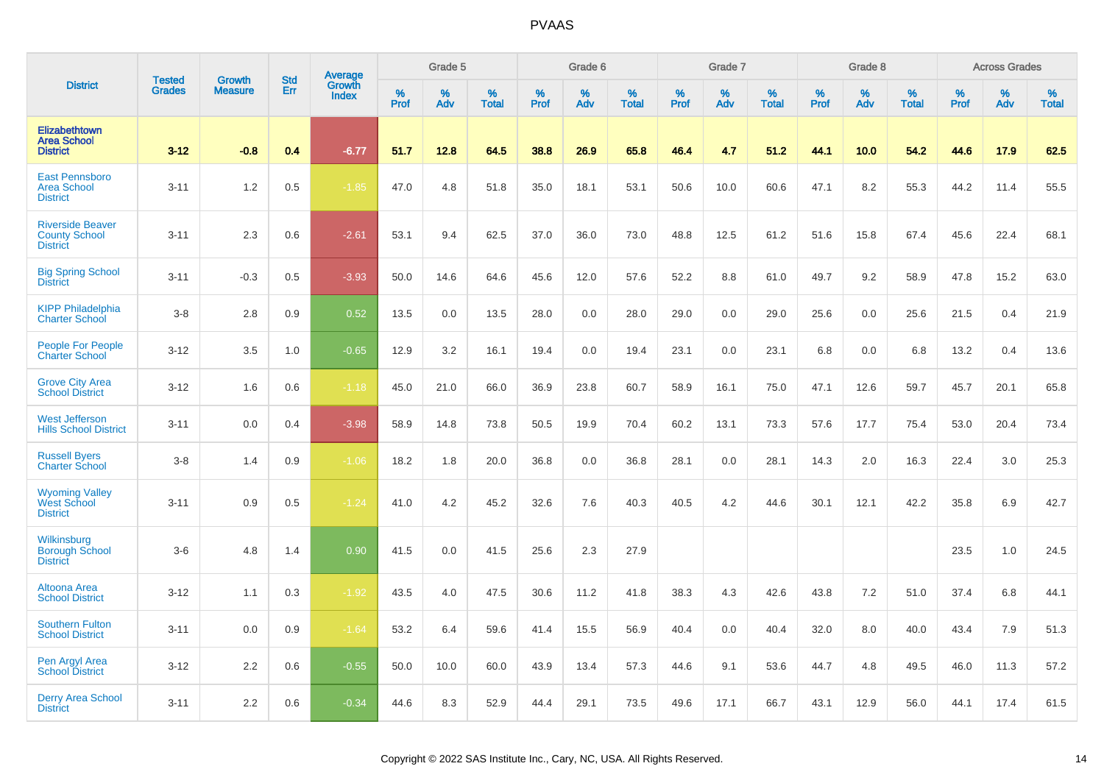|                                                                    |                                |                                 | <b>Std</b> | Average                |              | Grade 5  |                   |              | Grade 6  |                   |              | Grade 7  |                   |              | Grade 8           |                   |           | <b>Across Grades</b> |                   |
|--------------------------------------------------------------------|--------------------------------|---------------------------------|------------|------------------------|--------------|----------|-------------------|--------------|----------|-------------------|--------------|----------|-------------------|--------------|-------------------|-------------------|-----------|----------------------|-------------------|
| <b>District</b>                                                    | <b>Tested</b><br><b>Grades</b> | <b>Growth</b><br><b>Measure</b> | Err        | Growth<br><b>Index</b> | $\%$<br>Prof | %<br>Adv | %<br><b>Total</b> | $\%$<br>Prof | %<br>Adv | %<br><b>Total</b> | $\%$<br>Prof | %<br>Adv | %<br><b>Total</b> | $\%$<br>Prof | %<br>Adv          | %<br><b>Total</b> | %<br>Prof | %<br>Adv             | %<br><b>Total</b> |
| <b>Elizabethtown</b><br><b>Area School</b><br><b>District</b>      | $3 - 12$                       | $-0.8$                          | 0.4        | $-6.77$                | 51.7         | 12.8     | 64.5              | 38.8         | 26.9     | 65.8              | 46.4         | 4.7      | 51.2              | 44.1         | 10.0 <sub>1</sub> | 54.2              | 44.6      | 17.9                 | 62.5              |
| <b>East Pennsboro</b><br><b>Area School</b><br><b>District</b>     | $3 - 11$                       | 1.2                             | 0.5        | $-1.85$                | 47.0         | 4.8      | 51.8              | 35.0         | 18.1     | 53.1              | 50.6         | 10.0     | 60.6              | 47.1         | 8.2               | 55.3              | 44.2      | 11.4                 | 55.5              |
| <b>Riverside Beaver</b><br><b>County School</b><br><b>District</b> | $3 - 11$                       | 2.3                             | 0.6        | $-2.61$                | 53.1         | 9.4      | 62.5              | 37.0         | 36.0     | 73.0              | 48.8         | 12.5     | 61.2              | 51.6         | 15.8              | 67.4              | 45.6      | 22.4                 | 68.1              |
| <b>Big Spring School</b><br><b>District</b>                        | $3 - 11$                       | $-0.3$                          | 0.5        | $-3.93$                | 50.0         | 14.6     | 64.6              | 45.6         | 12.0     | 57.6              | 52.2         | 8.8      | 61.0              | 49.7         | 9.2               | 58.9              | 47.8      | 15.2                 | 63.0              |
| <b>KIPP Philadelphia</b><br><b>Charter School</b>                  | $3 - 8$                        | 2.8                             | 0.9        | 0.52                   | 13.5         | 0.0      | 13.5              | 28.0         | 0.0      | 28.0              | 29.0         | 0.0      | 29.0              | 25.6         | 0.0               | 25.6              | 21.5      | 0.4                  | 21.9              |
| People For People<br><b>Charter School</b>                         | $3 - 12$                       | 3.5                             | 1.0        | $-0.65$                | 12.9         | 3.2      | 16.1              | 19.4         | 0.0      | 19.4              | 23.1         | 0.0      | 23.1              | 6.8          | 0.0               | 6.8               | 13.2      | 0.4                  | 13.6              |
| <b>Grove City Area</b><br><b>School District</b>                   | $3 - 12$                       | 1.6                             | 0.6        | $-1.18$                | 45.0         | 21.0     | 66.0              | 36.9         | 23.8     | 60.7              | 58.9         | 16.1     | 75.0              | 47.1         | 12.6              | 59.7              | 45.7      | 20.1                 | 65.8              |
| <b>West Jefferson</b><br><b>Hills School District</b>              | $3 - 11$                       | 0.0                             | 0.4        | $-3.98$                | 58.9         | 14.8     | 73.8              | 50.5         | 19.9     | 70.4              | 60.2         | 13.1     | 73.3              | 57.6         | 17.7              | 75.4              | 53.0      | 20.4                 | 73.4              |
| <b>Russell Byers</b><br><b>Charter School</b>                      | $3-8$                          | 1.4                             | 0.9        | $-1.06$                | 18.2         | 1.8      | 20.0              | 36.8         | 0.0      | 36.8              | 28.1         | 0.0      | 28.1              | 14.3         | 2.0               | 16.3              | 22.4      | 3.0                  | 25.3              |
| Wyoming Valley<br>West School<br><b>District</b>                   | $3 - 11$                       | 0.9                             | 0.5        | $-1.24$                | 41.0         | 4.2      | 45.2              | 32.6         | 7.6      | 40.3              | 40.5         | 4.2      | 44.6              | 30.1         | 12.1              | 42.2              | 35.8      | 6.9                  | 42.7              |
| Wilkinsburg<br><b>Borough School</b><br><b>District</b>            | $3-6$                          | 4.8                             | 1.4        | 0.90                   | 41.5         | 0.0      | 41.5              | 25.6         | 2.3      | 27.9              |              |          |                   |              |                   |                   | 23.5      | 1.0                  | 24.5              |
| Altoona Area<br><b>School District</b>                             | $3 - 12$                       | 1.1                             | 0.3        | $-1.92$                | 43.5         | 4.0      | 47.5              | 30.6         | 11.2     | 41.8              | 38.3         | 4.3      | 42.6              | 43.8         | 7.2               | 51.0              | 37.4      | 6.8                  | 44.1              |
| <b>Southern Fulton</b><br><b>School District</b>                   | $3 - 11$                       | 0.0                             | 0.9        | $-1.64$                | 53.2         | 6.4      | 59.6              | 41.4         | 15.5     | 56.9              | 40.4         | 0.0      | 40.4              | 32.0         | 8.0               | 40.0              | 43.4      | 7.9                  | 51.3              |
| Pen Argyl Area<br><b>School District</b>                           | $3 - 12$                       | 2.2                             | 0.6        | $-0.55$                | 50.0         | 10.0     | 60.0              | 43.9         | 13.4     | 57.3              | 44.6         | 9.1      | 53.6              | 44.7         | 4.8               | 49.5              | 46.0      | 11.3                 | 57.2              |
| <b>Derry Area School</b><br><b>District</b>                        | $3 - 11$                       | 2.2                             | 0.6        | $-0.34$                | 44.6         | 8.3      | 52.9              | 44.4         | 29.1     | 73.5              | 49.6         | 17.1     | 66.7              | 43.1         | 12.9              | 56.0              | 44.1      | 17.4                 | 61.5              |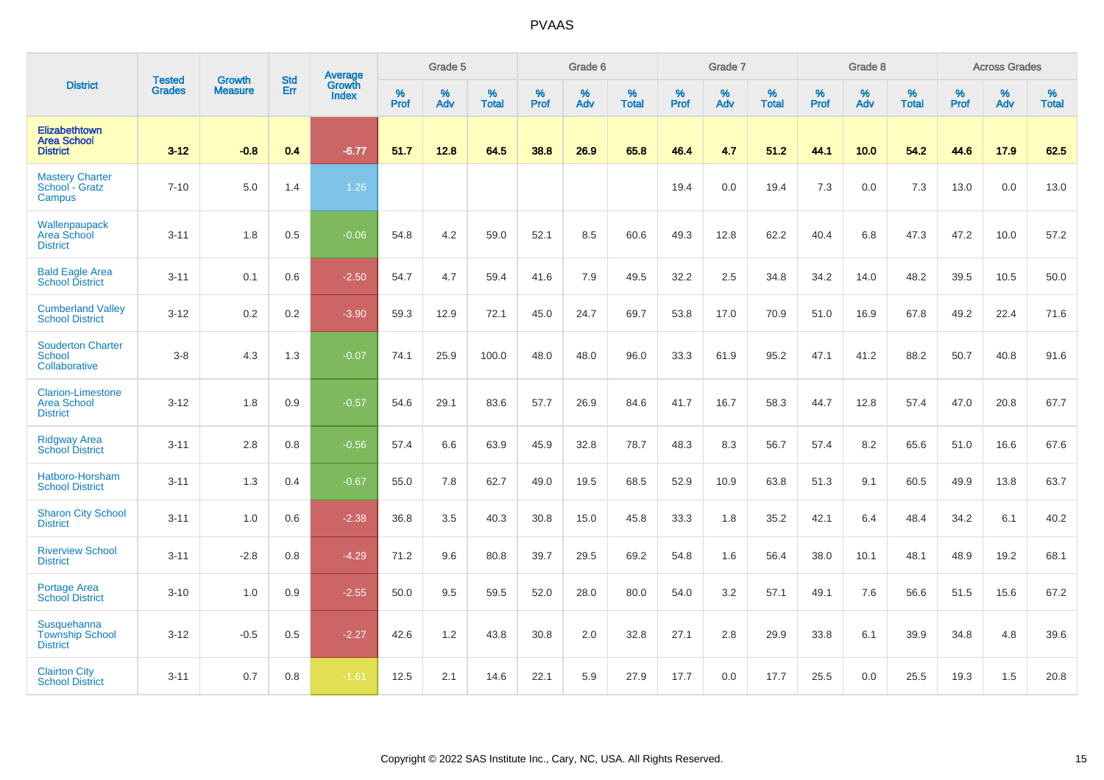|                                                                   | <b>Tested</b> | <b>Growth</b>  | <b>Std</b> | Average                |              | Grade 5  |                   |           | Grade 6  |                   |           | Grade 7  |                   |           | Grade 8  |                   |                  | <b>Across Grades</b> |                   |
|-------------------------------------------------------------------|---------------|----------------|------------|------------------------|--------------|----------|-------------------|-----------|----------|-------------------|-----------|----------|-------------------|-----------|----------|-------------------|------------------|----------------------|-------------------|
| <b>District</b>                                                   | <b>Grades</b> | <b>Measure</b> | Err        | Growth<br><b>Index</b> | $\%$<br>Prof | %<br>Adv | %<br><b>Total</b> | %<br>Prof | %<br>Adv | %<br><b>Total</b> | %<br>Prof | %<br>Adv | %<br><b>Total</b> | %<br>Prof | %<br>Adv | %<br><b>Total</b> | %<br><b>Prof</b> | %<br>Adv             | %<br><b>Total</b> |
| <b>Elizabethtown</b><br><b>Area School</b><br><b>District</b>     | $3 - 12$      | $-0.8$         | 0.4        | $-6.77$                | 51.7         | 12.8     | 64.5              | 38.8      | 26.9     | 65.8              | 46.4      | 4.7      | 51.2              | 44.1      | 10.0     | 54.2              | 44.6             | 17.9                 | 62.5              |
| <b>Mastery Charter</b><br>School - Gratz<br>Campus                | $7 - 10$      | 5.0            | 1.4        | 1.26                   |              |          |                   |           |          |                   | 19.4      | 0.0      | 19.4              | 7.3       | 0.0      | 7.3               | 13.0             | 0.0                  | 13.0              |
| Wallenpaupack<br>Area School<br><b>District</b>                   | $3 - 11$      | 1.8            | 0.5        | $-0.06$                | 54.8         | 4.2      | 59.0              | 52.1      | 8.5      | 60.6              | 49.3      | 12.8     | 62.2              | 40.4      | 6.8      | 47.3              | 47.2             | 10.0                 | 57.2              |
| <b>Bald Eagle Area</b><br><b>School District</b>                  | $3 - 11$      | 0.1            | 0.6        | $-2.50$                | 54.7         | 4.7      | 59.4              | 41.6      | 7.9      | 49.5              | 32.2      | 2.5      | 34.8              | 34.2      | 14.0     | 48.2              | 39.5             | 10.5                 | 50.0              |
| <b>Cumberland Valley</b><br><b>School District</b>                | $3 - 12$      | 0.2            | 0.2        | $-3.90$                | 59.3         | 12.9     | 72.1              | 45.0      | 24.7     | 69.7              | 53.8      | 17.0     | 70.9              | 51.0      | 16.9     | 67.8              | 49.2             | 22.4                 | 71.6              |
| <b>Souderton Charter</b><br><b>School</b><br>Collaborative        | $3 - 8$       | 4.3            | 1.3        | $-0.07$                | 74.1         | 25.9     | 100.0             | 48.0      | 48.0     | 96.0              | 33.3      | 61.9     | 95.2              | 47.1      | 41.2     | 88.2              | 50.7             | 40.8                 | 91.6              |
| <b>Clarion-Limestone</b><br><b>Area School</b><br><b>District</b> | $3 - 12$      | 1.8            | 0.9        | $-0.57$                | 54.6         | 29.1     | 83.6              | 57.7      | 26.9     | 84.6              | 41.7      | 16.7     | 58.3              | 44.7      | 12.8     | 57.4              | 47.0             | 20.8                 | 67.7              |
| <b>Ridgway Area</b><br><b>School District</b>                     | $3 - 11$      | 2.8            | 0.8        | $-0.56$                | 57.4         | 6.6      | 63.9              | 45.9      | 32.8     | 78.7              | 48.3      | 8.3      | 56.7              | 57.4      | 8.2      | 65.6              | 51.0             | 16.6                 | 67.6              |
| Hatboro-Horsham<br><b>School District</b>                         | $3 - 11$      | 1.3            | 0.4        | $-0.67$                | 55.0         | 7.8      | 62.7              | 49.0      | 19.5     | 68.5              | 52.9      | 10.9     | 63.8              | 51.3      | 9.1      | 60.5              | 49.9             | 13.8                 | 63.7              |
| <b>Sharon City School</b><br><b>District</b>                      | $3 - 11$      | 1.0            | 0.6        | $-2.38$                | 36.8         | 3.5      | 40.3              | 30.8      | 15.0     | 45.8              | 33.3      | 1.8      | 35.2              | 42.1      | 6.4      | 48.4              | 34.2             | 6.1                  | 40.2              |
| <b>Riverview School</b><br><b>District</b>                        | $3 - 11$      | $-2.8$         | 0.8        | $-4.29$                | 71.2         | 9.6      | 80.8              | 39.7      | 29.5     | 69.2              | 54.8      | 1.6      | 56.4              | 38.0      | 10.1     | 48.1              | 48.9             | 19.2                 | 68.1              |
| Portage Area<br>School District                                   | $3 - 10$      | 1.0            | 0.9        | $-2.55$                | 50.0         | 9.5      | 59.5              | 52.0      | 28.0     | 80.0              | 54.0      | 3.2      | 57.1              | 49.1      | 7.6      | 56.6              | 51.5             | 15.6                 | 67.2              |
| Susquehanna<br><b>Township School</b><br><b>District</b>          | $3 - 12$      | $-0.5$         | 0.5        | $-2.27$                | 42.6         | 1.2      | 43.8              | 30.8      | 2.0      | 32.8              | 27.1      | 2.8      | 29.9              | 33.8      | 6.1      | 39.9              | 34.8             | 4.8                  | 39.6              |
| <b>Clairton City</b><br><b>School District</b>                    | $3 - 11$      | 0.7            | 0.8        | $-1.61$                | 12.5         | 2.1      | 14.6              | 22.1      | 5.9      | 27.9              | 17.7      | 0.0      | 17.7              | 25.5      | 0.0      | 25.5              | 19.3             | 1.5                  | 20.8              |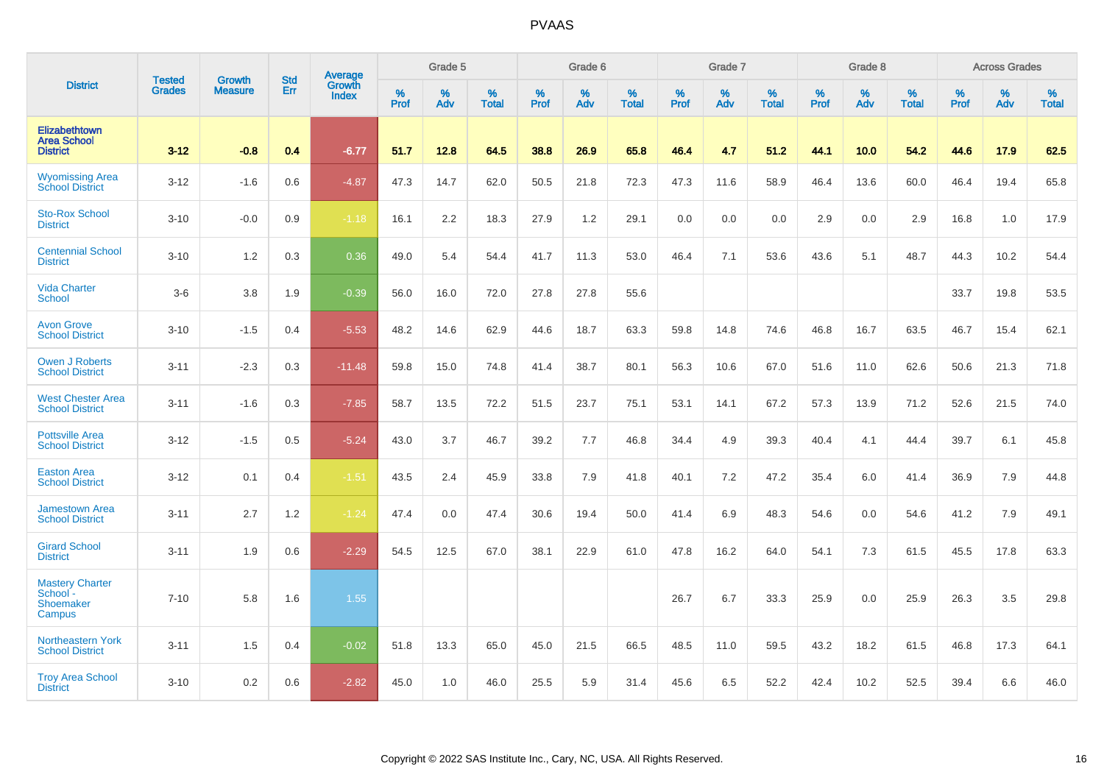|                                                           | <b>Tested</b> | <b>Growth</b>  | <b>Std</b> | Average                |           | Grade 5  |                   |           | Grade 6  |                   |           | Grade 7  |                   |           | Grade 8  |                   |           | <b>Across Grades</b> |                   |
|-----------------------------------------------------------|---------------|----------------|------------|------------------------|-----------|----------|-------------------|-----------|----------|-------------------|-----------|----------|-------------------|-----------|----------|-------------------|-----------|----------------------|-------------------|
| <b>District</b>                                           | <b>Grades</b> | <b>Measure</b> | Err        | Growth<br><b>Index</b> | %<br>Prof | %<br>Adv | %<br><b>Total</b> | %<br>Prof | %<br>Adv | %<br><b>Total</b> | %<br>Prof | %<br>Adv | %<br><b>Total</b> | %<br>Prof | %<br>Adv | %<br><b>Total</b> | %<br>Prof | %<br>Adv             | %<br><b>Total</b> |
| Elizabethtown<br><b>Area School</b><br><b>District</b>    | $3 - 12$      | $-0.8$         | 0.4        | $-6.77$                | 51.7      | 12.8     | 64.5              | 38.8      | 26.9     | 65.8              | 46.4      | 4.7      | 51.2              | 44.1      | 10.0     | 54.2              | 44.6      | 17.9                 | 62.5              |
| <b>Wyomissing Area</b><br>School District                 | $3 - 12$      | $-1.6$         | 0.6        | $-4.87$                | 47.3      | 14.7     | 62.0              | 50.5      | 21.8     | 72.3              | 47.3      | 11.6     | 58.9              | 46.4      | 13.6     | 60.0              | 46.4      | 19.4                 | 65.8              |
| <b>Sto-Rox School</b><br><b>District</b>                  | $3 - 10$      | $-0.0$         | 0.9        | $-1.18$                | 16.1      | 2.2      | 18.3              | 27.9      | 1.2      | 29.1              | 0.0       | 0.0      | 0.0               | 2.9       | 0.0      | 2.9               | 16.8      | 1.0                  | 17.9              |
| <b>Centennial School</b><br><b>District</b>               | $3 - 10$      | 1.2            | 0.3        | 0.36                   | 49.0      | 5.4      | 54.4              | 41.7      | 11.3     | 53.0              | 46.4      | 7.1      | 53.6              | 43.6      | 5.1      | 48.7              | 44.3      | 10.2                 | 54.4              |
| <b>Vida Charter</b><br><b>School</b>                      | $3-6$         | 3.8            | 1.9        | $-0.39$                | 56.0      | 16.0     | 72.0              | 27.8      | 27.8     | 55.6              |           |          |                   |           |          |                   | 33.7      | 19.8                 | 53.5              |
| <b>Avon Grove</b><br><b>School District</b>               | $3 - 10$      | $-1.5$         | 0.4        | $-5.53$                | 48.2      | 14.6     | 62.9              | 44.6      | 18.7     | 63.3              | 59.8      | 14.8     | 74.6              | 46.8      | 16.7     | 63.5              | 46.7      | 15.4                 | 62.1              |
| <b>Owen J Roberts</b><br><b>School District</b>           | $3 - 11$      | $-2.3$         | 0.3        | $-11.48$               | 59.8      | 15.0     | 74.8              | 41.4      | 38.7     | 80.1              | 56.3      | 10.6     | 67.0              | 51.6      | 11.0     | 62.6              | 50.6      | 21.3                 | 71.8              |
| <b>West Chester Area</b><br><b>School District</b>        | $3 - 11$      | $-1.6$         | 0.3        | $-7.85$                | 58.7      | 13.5     | 72.2              | 51.5      | 23.7     | 75.1              | 53.1      | 14.1     | 67.2              | 57.3      | 13.9     | 71.2              | 52.6      | 21.5                 | 74.0              |
| <b>Pottsville Area</b><br><b>School District</b>          | $3 - 12$      | $-1.5$         | 0.5        | $-5.24$                | 43.0      | 3.7      | 46.7              | 39.2      | 7.7      | 46.8              | 34.4      | 4.9      | 39.3              | 40.4      | 4.1      | 44.4              | 39.7      | 6.1                  | 45.8              |
| <b>Easton Area</b><br><b>School District</b>              | $3 - 12$      | 0.1            | 0.4        | $-1.51$                | 43.5      | 2.4      | 45.9              | 33.8      | 7.9      | 41.8              | 40.1      | 7.2      | 47.2              | 35.4      | 6.0      | 41.4              | 36.9      | 7.9                  | 44.8              |
| <b>Jamestown Area</b><br><b>School District</b>           | $3 - 11$      | 2.7            | 1.2        | $-1.24$                | 47.4      | 0.0      | 47.4              | 30.6      | 19.4     | 50.0              | 41.4      | 6.9      | 48.3              | 54.6      | 0.0      | 54.6              | 41.2      | 7.9                  | 49.1              |
| <b>Girard School</b><br><b>District</b>                   | $3 - 11$      | 1.9            | 0.6        | $-2.29$                | 54.5      | 12.5     | 67.0              | 38.1      | 22.9     | 61.0              | 47.8      | 16.2     | 64.0              | 54.1      | 7.3      | 61.5              | 45.5      | 17.8                 | 63.3              |
| <b>Mastery Charter</b><br>School -<br>Shoemaker<br>Campus | $7 - 10$      | 5.8            | 1.6        | 1.55                   |           |          |                   |           |          |                   | 26.7      | 6.7      | 33.3              | 25.9      | 0.0      | 25.9              | 26.3      | 3.5                  | 29.8              |
| <b>Northeastern York</b><br><b>School District</b>        | $3 - 11$      | 1.5            | 0.4        | $-0.02$                | 51.8      | 13.3     | 65.0              | 45.0      | 21.5     | 66.5              | 48.5      | 11.0     | 59.5              | 43.2      | 18.2     | 61.5              | 46.8      | 17.3                 | 64.1              |
| <b>Troy Area School</b><br><b>District</b>                | $3 - 10$      | 0.2            | 0.6        | $-2.82$                | 45.0      | 1.0      | 46.0              | 25.5      | 5.9      | 31.4              | 45.6      | 6.5      | 52.2              | 42.4      | 10.2     | 52.5              | 39.4      | 6.6                  | 46.0              |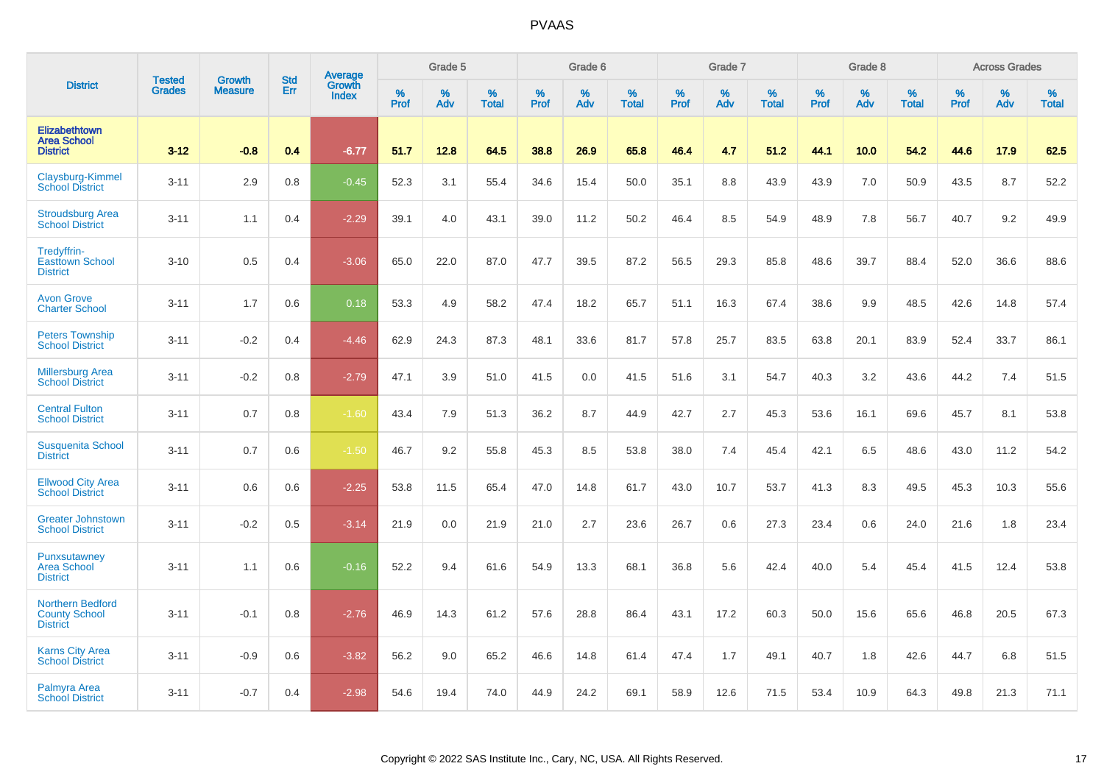|                                                                    |                                | <b>Growth</b>  | <b>Std</b> | Average                |              | Grade 5  |                   |           | Grade 6  |                   |           | Grade 7  |                   |           | Grade 8  |                   |           | <b>Across Grades</b> |                   |
|--------------------------------------------------------------------|--------------------------------|----------------|------------|------------------------|--------------|----------|-------------------|-----------|----------|-------------------|-----------|----------|-------------------|-----------|----------|-------------------|-----------|----------------------|-------------------|
| <b>District</b>                                                    | <b>Tested</b><br><b>Grades</b> | <b>Measure</b> | Err        | Growth<br><b>Index</b> | $\%$<br>Prof | %<br>Adv | %<br><b>Total</b> | %<br>Prof | %<br>Adv | %<br><b>Total</b> | %<br>Prof | %<br>Adv | %<br><b>Total</b> | %<br>Prof | %<br>Adv | %<br><b>Total</b> | %<br>Prof | %<br>Adv             | %<br><b>Total</b> |
| <b>Elizabethtown</b><br><b>Area School</b><br><b>District</b>      | $3 - 12$                       | $-0.8$         | 0.4        | $-6.77$                | 51.7         | 12.8     | 64.5              | 38.8      | 26.9     | 65.8              | 46.4      | 4.7      | 51.2              | 44.1      | 10.0     | 54.2              | 44.6      | 17.9                 | 62.5              |
| Claysburg-Kimmel<br><b>School District</b>                         | $3 - 11$                       | 2.9            | 0.8        | $-0.45$                | 52.3         | 3.1      | 55.4              | 34.6      | 15.4     | 50.0              | 35.1      | 8.8      | 43.9              | 43.9      | 7.0      | 50.9              | 43.5      | 8.7                  | 52.2              |
| <b>Stroudsburg Area</b><br><b>School District</b>                  | $3 - 11$                       | 1.1            | 0.4        | $-2.29$                | 39.1         | 4.0      | 43.1              | 39.0      | 11.2     | 50.2              | 46.4      | 8.5      | 54.9              | 48.9      | 7.8      | 56.7              | 40.7      | 9.2                  | 49.9              |
| Tredyffrin-<br><b>Easttown School</b><br><b>District</b>           | $3 - 10$                       | 0.5            | 0.4        | $-3.06$                | 65.0         | 22.0     | 87.0              | 47.7      | 39.5     | 87.2              | 56.5      | 29.3     | 85.8              | 48.6      | 39.7     | 88.4              | 52.0      | 36.6                 | 88.6              |
| <b>Avon Grove</b><br><b>Charter School</b>                         | $3 - 11$                       | 1.7            | 0.6        | 0.18                   | 53.3         | 4.9      | 58.2              | 47.4      | 18.2     | 65.7              | 51.1      | 16.3     | 67.4              | 38.6      | 9.9      | 48.5              | 42.6      | 14.8                 | 57.4              |
| <b>Peters Township</b><br><b>School District</b>                   | $3 - 11$                       | $-0.2$         | 0.4        | $-4.46$                | 62.9         | 24.3     | 87.3              | 48.1      | 33.6     | 81.7              | 57.8      | 25.7     | 83.5              | 63.8      | 20.1     | 83.9              | 52.4      | 33.7                 | 86.1              |
| <b>Millersburg Area</b><br><b>School District</b>                  | $3 - 11$                       | $-0.2$         | 0.8        | $-2.79$                | 47.1         | 3.9      | 51.0              | 41.5      | 0.0      | 41.5              | 51.6      | 3.1      | 54.7              | 40.3      | 3.2      | 43.6              | 44.2      | 7.4                  | 51.5              |
| <b>Central Fulton</b><br><b>School District</b>                    | $3 - 11$                       | 0.7            | 0.8        | $-1.60$                | 43.4         | 7.9      | 51.3              | 36.2      | 8.7      | 44.9              | 42.7      | 2.7      | 45.3              | 53.6      | 16.1     | 69.6              | 45.7      | 8.1                  | 53.8              |
| <b>Susquenita School</b><br><b>District</b>                        | $3 - 11$                       | 0.7            | 0.6        | $-1.50$                | 46.7         | 9.2      | 55.8              | 45.3      | 8.5      | 53.8              | 38.0      | 7.4      | 45.4              | 42.1      | 6.5      | 48.6              | 43.0      | 11.2                 | 54.2              |
| <b>Ellwood City Area</b><br><b>School District</b>                 | $3 - 11$                       | 0.6            | 0.6        | $-2.25$                | 53.8         | 11.5     | 65.4              | 47.0      | 14.8     | 61.7              | 43.0      | 10.7     | 53.7              | 41.3      | 8.3      | 49.5              | 45.3      | 10.3                 | 55.6              |
| <b>Greater Johnstown</b><br><b>School District</b>                 | $3 - 11$                       | $-0.2$         | 0.5        | $-3.14$                | 21.9         | 0.0      | 21.9              | 21.0      | 2.7      | 23.6              | 26.7      | 0.6      | 27.3              | 23.4      | 0.6      | 24.0              | 21.6      | 1.8                  | 23.4              |
| Punxsutawney<br><b>Area School</b><br><b>District</b>              | $3 - 11$                       | 1.1            | 0.6        | $-0.16$                | 52.2         | 9.4      | 61.6              | 54.9      | 13.3     | 68.1              | 36.8      | 5.6      | 42.4              | 40.0      | 5.4      | 45.4              | 41.5      | 12.4                 | 53.8              |
| <b>Northern Bedford</b><br><b>County School</b><br><b>District</b> | $3 - 11$                       | $-0.1$         | 0.8        | $-2.76$                | 46.9         | 14.3     | 61.2              | 57.6      | 28.8     | 86.4              | 43.1      | 17.2     | 60.3              | 50.0      | 15.6     | 65.6              | 46.8      | 20.5                 | 67.3              |
| <b>Karns City Area</b><br><b>School District</b>                   | $3 - 11$                       | $-0.9$         | 0.6        | $-3.82$                | 56.2         | 9.0      | 65.2              | 46.6      | 14.8     | 61.4              | 47.4      | 1.7      | 49.1              | 40.7      | 1.8      | 42.6              | 44.7      | 6.8                  | 51.5              |
| Palmyra Area<br><b>School District</b>                             | $3 - 11$                       | $-0.7$         | 0.4        | $-2.98$                | 54.6         | 19.4     | 74.0              | 44.9      | 24.2     | 69.1              | 58.9      | 12.6     | 71.5              | 53.4      | 10.9     | 64.3              | 49.8      | 21.3                 | 71.1              |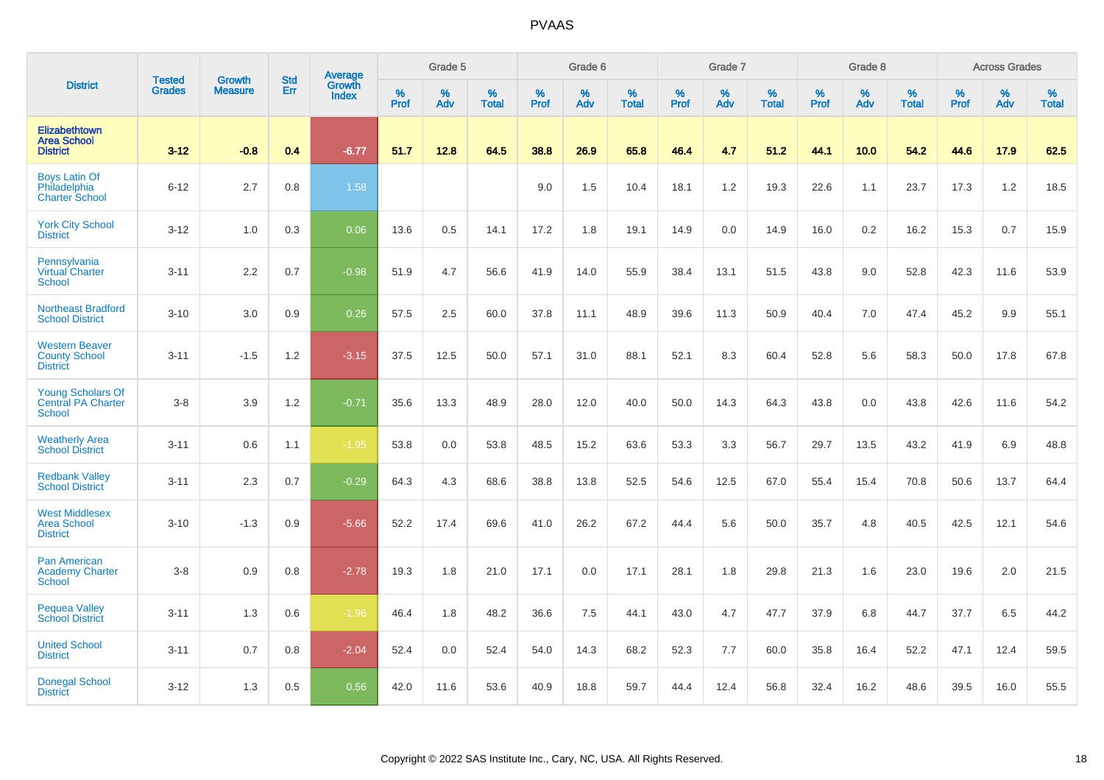|                                                                  |                                |                                 | <b>Std</b> | Average                |           | Grade 5  |                   |           | Grade 6  |                   |           | Grade 7  |                   |           | Grade 8  |                   |           | <b>Across Grades</b> |                   |
|------------------------------------------------------------------|--------------------------------|---------------------------------|------------|------------------------|-----------|----------|-------------------|-----------|----------|-------------------|-----------|----------|-------------------|-----------|----------|-------------------|-----------|----------------------|-------------------|
| <b>District</b>                                                  | <b>Tested</b><br><b>Grades</b> | <b>Growth</b><br><b>Measure</b> | Err        | Growth<br><b>Index</b> | %<br>Prof | %<br>Adv | %<br><b>Total</b> | %<br>Prof | %<br>Adv | %<br><b>Total</b> | %<br>Prof | %<br>Adv | %<br><b>Total</b> | %<br>Prof | %<br>Adv | %<br><b>Total</b> | %<br>Prof | %<br>Adv             | %<br><b>Total</b> |
| Elizabethtown<br><b>Area School</b><br><b>District</b>           | $3 - 12$                       | $-0.8$                          | 0.4        | $-6.77$                | 51.7      | 12.8     | 64.5              | 38.8      | 26.9     | 65.8              | 46.4      | 4.7      | 51.2              | 44.1      | 10.0     | 54.2              | 44.6      | 17.9                 | 62.5              |
| <b>Boys Latin Of</b><br>Philadelphia<br><b>Charter School</b>    | $6 - 12$                       | 2.7                             | 0.8        | 1.58                   |           |          |                   | 9.0       | 1.5      | 10.4              | 18.1      | 1.2      | 19.3              | 22.6      | 1.1      | 23.7              | 17.3      | 1.2                  | 18.5              |
| <b>York City School</b><br><b>District</b>                       | $3 - 12$                       | 1.0                             | 0.3        | 0.06                   | 13.6      | 0.5      | 14.1              | 17.2      | 1.8      | 19.1              | 14.9      | 0.0      | 14.9              | 16.0      | 0.2      | 16.2              | 15.3      | 0.7                  | 15.9              |
| Pennsylvania<br>Virtual Charter<br><b>School</b>                 | $3 - 11$                       | 2.2                             | 0.7        | $-0.98$                | 51.9      | 4.7      | 56.6              | 41.9      | 14.0     | 55.9              | 38.4      | 13.1     | 51.5              | 43.8      | 9.0      | 52.8              | 42.3      | 11.6                 | 53.9              |
| <b>Northeast Bradford</b><br><b>School District</b>              | $3 - 10$                       | 3.0                             | 0.9        | 0.26                   | 57.5      | 2.5      | 60.0              | 37.8      | 11.1     | 48.9              | 39.6      | 11.3     | 50.9              | 40.4      | 7.0      | 47.4              | 45.2      | 9.9                  | 55.1              |
| <b>Western Beaver</b><br><b>County School</b><br><b>District</b> | $3 - 11$                       | $-1.5$                          | 1.2        | $-3.15$                | 37.5      | 12.5     | 50.0              | 57.1      | 31.0     | 88.1              | 52.1      | 8.3      | 60.4              | 52.8      | 5.6      | 58.3              | 50.0      | 17.8                 | 67.8              |
| <b>Young Scholars Of</b><br><b>Central PA Charter</b><br>School  | $3 - 8$                        | 3.9                             | 1.2        | $-0.71$                | 35.6      | 13.3     | 48.9              | 28.0      | 12.0     | 40.0              | 50.0      | 14.3     | 64.3              | 43.8      | 0.0      | 43.8              | 42.6      | 11.6                 | 54.2              |
| <b>Weatherly Area</b><br><b>School District</b>                  | $3 - 11$                       | 0.6                             | 1.1        | $-1.95$                | 53.8      | 0.0      | 53.8              | 48.5      | 15.2     | 63.6              | 53.3      | 3.3      | 56.7              | 29.7      | 13.5     | 43.2              | 41.9      | 6.9                  | 48.8              |
| <b>Redbank Valley</b><br><b>School District</b>                  | $3 - 11$                       | 2.3                             | 0.7        | $-0.29$                | 64.3      | 4.3      | 68.6              | 38.8      | 13.8     | 52.5              | 54.6      | 12.5     | 67.0              | 55.4      | 15.4     | 70.8              | 50.6      | 13.7                 | 64.4              |
| <b>West Middlesex</b><br><b>Area School</b><br><b>District</b>   | $3 - 10$                       | $-1.3$                          | 0.9        | $-5.66$                | 52.2      | 17.4     | 69.6              | 41.0      | 26.2     | 67.2              | 44.4      | 5.6      | 50.0              | 35.7      | 4.8      | 40.5              | 42.5      | 12.1                 | 54.6              |
| <b>Pan American</b><br><b>Academy Charter</b><br><b>School</b>   | $3 - 8$                        | 0.9                             | 0.8        | $-2.78$                | 19.3      | 1.8      | 21.0              | 17.1      | 0.0      | 17.1              | 28.1      | 1.8      | 29.8              | 21.3      | 1.6      | 23.0              | 19.6      | 2.0                  | 21.5              |
| <b>Pequea Valley</b><br><b>School District</b>                   | $3 - 11$                       | 1.3                             | 0.6        | $-1.96$                | 46.4      | 1.8      | 48.2              | 36.6      | 7.5      | 44.1              | 43.0      | 4.7      | 47.7              | 37.9      | 6.8      | 44.7              | 37.7      | 6.5                  | 44.2              |
| <b>United School</b><br><b>District</b>                          | $3 - 11$                       | 0.7                             | 0.8        | $-2.04$                | 52.4      | 0.0      | 52.4              | 54.0      | 14.3     | 68.2              | 52.3      | 7.7      | 60.0              | 35.8      | 16.4     | 52.2              | 47.1      | 12.4                 | 59.5              |
| <b>Donegal School</b><br><b>District</b>                         | $3 - 12$                       | 1.3                             | 0.5        | 0.56                   | 42.0      | 11.6     | 53.6              | 40.9      | 18.8     | 59.7              | 44.4      | 12.4     | 56.8              | 32.4      | 16.2     | 48.6              | 39.5      | 16.0                 | 55.5              |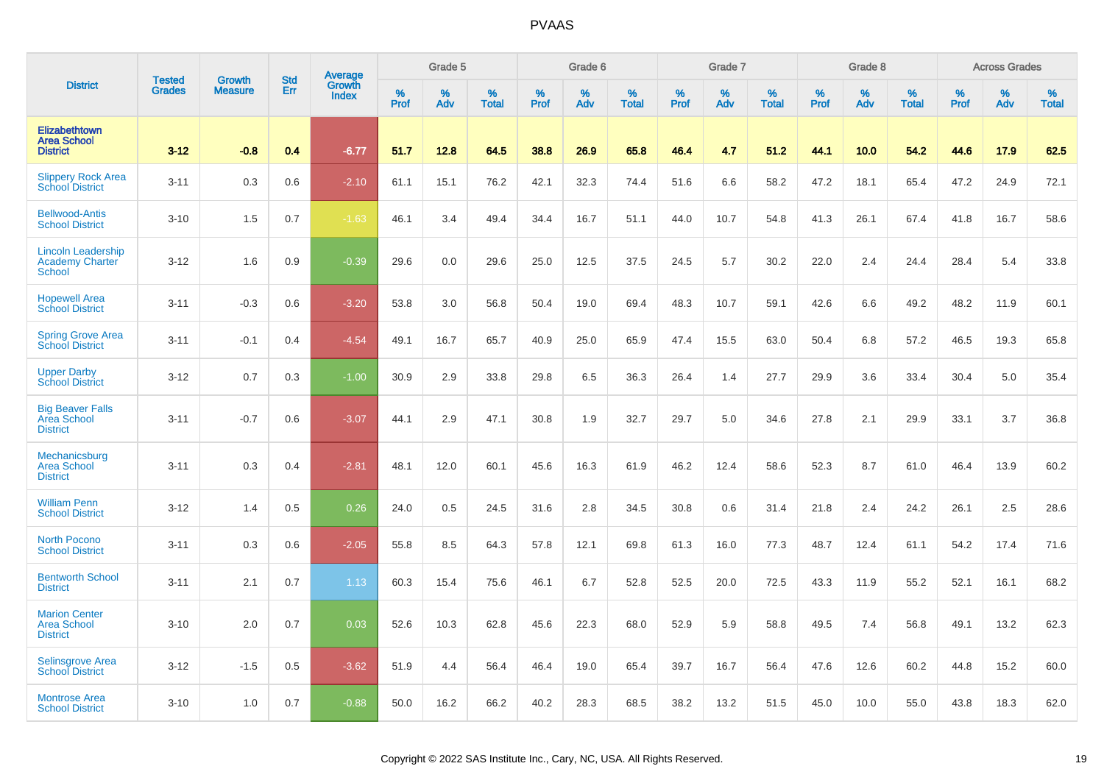|                                                                      | <b>Tested</b> | <b>Growth</b>  | <b>Std</b> | Average                |           | Grade 5  |                   |           | Grade 6  |                   |           | Grade 7  |                   |           | Grade 8  |                   |           | <b>Across Grades</b> |                   |
|----------------------------------------------------------------------|---------------|----------------|------------|------------------------|-----------|----------|-------------------|-----------|----------|-------------------|-----------|----------|-------------------|-----------|----------|-------------------|-----------|----------------------|-------------------|
| <b>District</b>                                                      | <b>Grades</b> | <b>Measure</b> | Err        | Growth<br><b>Index</b> | %<br>Prof | %<br>Adv | %<br><b>Total</b> | %<br>Prof | %<br>Adv | %<br><b>Total</b> | %<br>Prof | %<br>Adv | %<br><b>Total</b> | %<br>Prof | %<br>Adv | %<br><b>Total</b> | %<br>Prof | %<br>Adv             | %<br><b>Total</b> |
| Elizabethtown<br><b>Area School</b><br><b>District</b>               | $3 - 12$      | $-0.8$         | 0.4        | $-6.77$                | 51.7      | 12.8     | 64.5              | 38.8      | 26.9     | 65.8              | 46.4      | 4.7      | 51.2              | 44.1      | 10.0     | 54.2              | 44.6      | 17.9                 | 62.5              |
| <b>Slippery Rock Area</b><br><b>School District</b>                  | $3 - 11$      | 0.3            | 0.6        | $-2.10$                | 61.1      | 15.1     | 76.2              | 42.1      | 32.3     | 74.4              | 51.6      | 6.6      | 58.2              | 47.2      | 18.1     | 65.4              | 47.2      | 24.9                 | 72.1              |
| <b>Bellwood-Antis</b><br><b>School District</b>                      | $3 - 10$      | 1.5            | 0.7        | $-1.63$                | 46.1      | 3.4      | 49.4              | 34.4      | 16.7     | 51.1              | 44.0      | 10.7     | 54.8              | 41.3      | 26.1     | 67.4              | 41.8      | 16.7                 | 58.6              |
| <b>Lincoln Leadership</b><br><b>Academy Charter</b><br><b>School</b> | $3 - 12$      | 1.6            | 0.9        | $-0.39$                | 29.6      | 0.0      | 29.6              | 25.0      | 12.5     | 37.5              | 24.5      | 5.7      | 30.2              | 22.0      | 2.4      | 24.4              | 28.4      | 5.4                  | 33.8              |
| <b>Hopewell Area</b><br><b>School District</b>                       | $3 - 11$      | $-0.3$         | 0.6        | $-3.20$                | 53.8      | 3.0      | 56.8              | 50.4      | 19.0     | 69.4              | 48.3      | 10.7     | 59.1              | 42.6      | 6.6      | 49.2              | 48.2      | 11.9                 | 60.1              |
| <b>Spring Grove Area</b><br>School District                          | $3 - 11$      | $-0.1$         | 0.4        | $-4.54$                | 49.1      | 16.7     | 65.7              | 40.9      | 25.0     | 65.9              | 47.4      | 15.5     | 63.0              | 50.4      | 6.8      | 57.2              | 46.5      | 19.3                 | 65.8              |
| <b>Upper Darby</b><br><b>School District</b>                         | $3 - 12$      | 0.7            | 0.3        | $-1.00$                | 30.9      | 2.9      | 33.8              | 29.8      | 6.5      | 36.3              | 26.4      | 1.4      | 27.7              | 29.9      | 3.6      | 33.4              | 30.4      | 5.0                  | 35.4              |
| <b>Big Beaver Falls</b><br>Area School<br><b>District</b>            | $3 - 11$      | $-0.7$         | 0.6        | $-3.07$                | 44.1      | 2.9      | 47.1              | 30.8      | 1.9      | 32.7              | 29.7      | 5.0      | 34.6              | 27.8      | 2.1      | 29.9              | 33.1      | 3.7                  | 36.8              |
| Mechanicsburg<br><b>Area School</b><br><b>District</b>               | $3 - 11$      | 0.3            | 0.4        | $-2.81$                | 48.1      | 12.0     | 60.1              | 45.6      | 16.3     | 61.9              | 46.2      | 12.4     | 58.6              | 52.3      | 8.7      | 61.0              | 46.4      | 13.9                 | 60.2              |
| <b>William Penn</b><br><b>School District</b>                        | $3 - 12$      | 1.4            | 0.5        | 0.26                   | 24.0      | 0.5      | 24.5              | 31.6      | 2.8      | 34.5              | 30.8      | 0.6      | 31.4              | 21.8      | 2.4      | 24.2              | 26.1      | 2.5                  | 28.6              |
| <b>North Pocono</b><br><b>School District</b>                        | $3 - 11$      | 0.3            | 0.6        | $-2.05$                | 55.8      | 8.5      | 64.3              | 57.8      | 12.1     | 69.8              | 61.3      | 16.0     | 77.3              | 48.7      | 12.4     | 61.1              | 54.2      | 17.4                 | 71.6              |
| <b>Bentworth School</b><br><b>District</b>                           | $3 - 11$      | 2.1            | 0.7        | 1.13                   | 60.3      | 15.4     | 75.6              | 46.1      | 6.7      | 52.8              | 52.5      | 20.0     | 72.5              | 43.3      | 11.9     | 55.2              | 52.1      | 16.1                 | 68.2              |
| <b>Marion Center</b><br><b>Area School</b><br><b>District</b>        | $3 - 10$      | 2.0            | 0.7        | 0.03                   | 52.6      | 10.3     | 62.8              | 45.6      | 22.3     | 68.0              | 52.9      | 5.9      | 58.8              | 49.5      | 7.4      | 56.8              | 49.1      | 13.2                 | 62.3              |
| <b>Selinsgrove Area</b><br><b>School District</b>                    | $3 - 12$      | $-1.5$         | 0.5        | $-3.62$                | 51.9      | 4.4      | 56.4              | 46.4      | 19.0     | 65.4              | 39.7      | 16.7     | 56.4              | 47.6      | 12.6     | 60.2              | 44.8      | 15.2                 | 60.0              |
| <b>Montrose Area</b><br><b>School District</b>                       | $3 - 10$      | 1.0            | 0.7        | $-0.88$                | 50.0      | 16.2     | 66.2              | 40.2      | 28.3     | 68.5              | 38.2      | 13.2     | 51.5              | 45.0      | 10.0     | 55.0              | 43.8      | 18.3                 | 62.0              |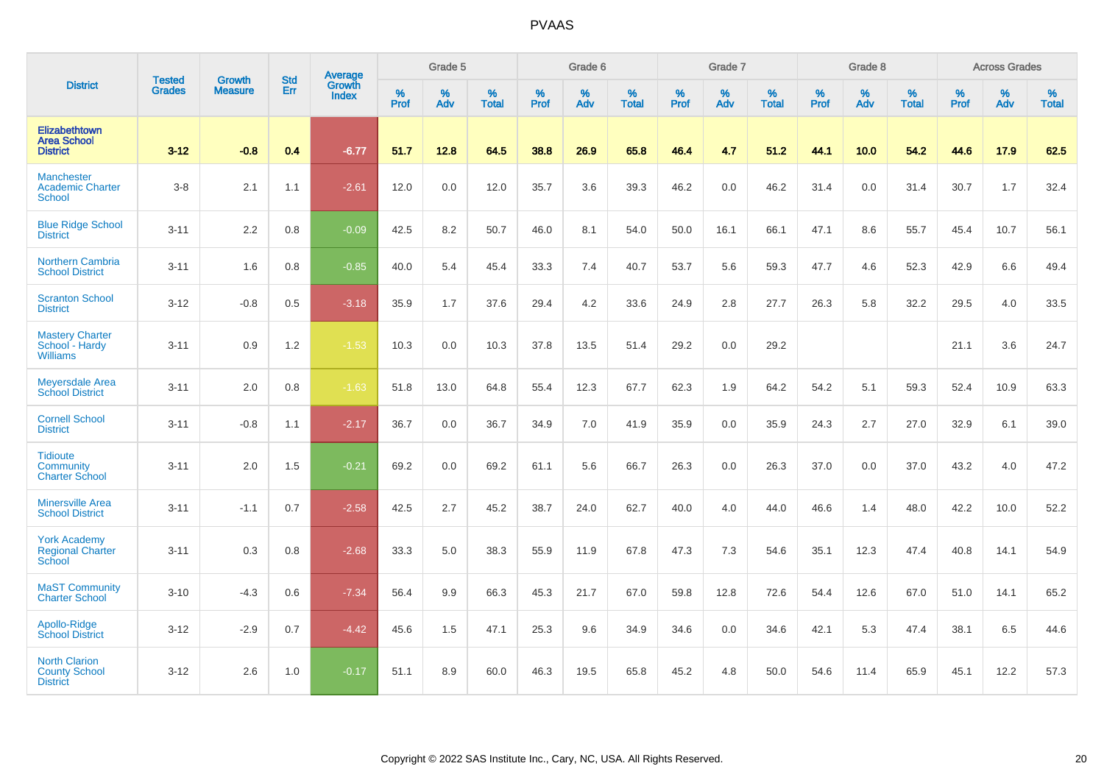|                                                                 |                                |                                 | <b>Std</b> | <b>Average</b>                |              | Grade 5  |                   |           | Grade 6  |                   |           | Grade 7  |                   |           | Grade 8  |                   |           | <b>Across Grades</b> |                   |
|-----------------------------------------------------------------|--------------------------------|---------------------------------|------------|-------------------------------|--------------|----------|-------------------|-----------|----------|-------------------|-----------|----------|-------------------|-----------|----------|-------------------|-----------|----------------------|-------------------|
| <b>District</b>                                                 | <b>Tested</b><br><b>Grades</b> | <b>Growth</b><br><b>Measure</b> | Err        | <b>Growth</b><br><b>Index</b> | $\%$<br>Prof | %<br>Adv | %<br><b>Total</b> | %<br>Prof | %<br>Adv | %<br><b>Total</b> | %<br>Prof | %<br>Adv | %<br><b>Total</b> | %<br>Prof | %<br>Adv | %<br><b>Total</b> | %<br>Prof | %<br>Adv             | %<br><b>Total</b> |
| Elizabethtown<br><b>Area School</b><br><b>District</b>          | $3 - 12$                       | $-0.8$                          | 0.4        | $-6.77$                       | 51.7         | 12.8     | 64.5              | 38.8      | 26.9     | 65.8              | 46.4      | 4.7      | 51.2              | 44.1      | 10.0     | 54.2              | 44.6      | 17.9                 | 62.5              |
| <b>Manchester</b><br><b>Academic Charter</b><br><b>School</b>   | $3-8$                          | 2.1                             | 1.1        | $-2.61$                       | 12.0         | 0.0      | 12.0              | 35.7      | 3.6      | 39.3              | 46.2      | 0.0      | 46.2              | 31.4      | 0.0      | 31.4              | 30.7      | 1.7                  | 32.4              |
| <b>Blue Ridge School</b><br><b>District</b>                     | $3 - 11$                       | 2.2                             | 0.8        | $-0.09$                       | 42.5         | 8.2      | 50.7              | 46.0      | 8.1      | 54.0              | 50.0      | 16.1     | 66.1              | 47.1      | 8.6      | 55.7              | 45.4      | 10.7                 | 56.1              |
| <b>Northern Cambria</b><br><b>School District</b>               | $3 - 11$                       | 1.6                             | 0.8        | $-0.85$                       | 40.0         | 5.4      | 45.4              | 33.3      | 7.4      | 40.7              | 53.7      | 5.6      | 59.3              | 47.7      | 4.6      | 52.3              | 42.9      | 6.6                  | 49.4              |
| <b>Scranton School</b><br><b>District</b>                       | $3 - 12$                       | $-0.8$                          | 0.5        | $-3.18$                       | 35.9         | 1.7      | 37.6              | 29.4      | 4.2      | 33.6              | 24.9      | 2.8      | 27.7              | 26.3      | 5.8      | 32.2              | 29.5      | 4.0                  | 33.5              |
| <b>Mastery Charter</b><br>School - Hardy<br><b>Williams</b>     | $3 - 11$                       | 0.9                             | 1.2        | $-1.53$                       | 10.3         | 0.0      | 10.3              | 37.8      | 13.5     | 51.4              | 29.2      | 0.0      | 29.2              |           |          |                   | 21.1      | 3.6                  | 24.7              |
| <b>Meyersdale Area</b><br><b>School District</b>                | $3 - 11$                       | 2.0                             | 0.8        | $-1.63$                       | 51.8         | 13.0     | 64.8              | 55.4      | 12.3     | 67.7              | 62.3      | 1.9      | 64.2              | 54.2      | 5.1      | 59.3              | 52.4      | 10.9                 | 63.3              |
| <b>Cornell School</b><br><b>District</b>                        | $3 - 11$                       | $-0.8$                          | 1.1        | $-2.17$                       | 36.7         | 0.0      | 36.7              | 34.9      | 7.0      | 41.9              | 35.9      | 0.0      | 35.9              | 24.3      | 2.7      | 27.0              | 32.9      | 6.1                  | 39.0              |
| <b>Tidioute</b><br>Community<br><b>Charter School</b>           | $3 - 11$                       | 2.0                             | 1.5        | $-0.21$                       | 69.2         | 0.0      | 69.2              | 61.1      | 5.6      | 66.7              | 26.3      | 0.0      | 26.3              | 37.0      | 0.0      | 37.0              | 43.2      | 4.0                  | 47.2              |
| <b>Minersville Area</b><br><b>School District</b>               | $3 - 11$                       | $-1.1$                          | 0.7        | $-2.58$                       | 42.5         | 2.7      | 45.2              | 38.7      | 24.0     | 62.7              | 40.0      | 4.0      | 44.0              | 46.6      | 1.4      | 48.0              | 42.2      | 10.0                 | 52.2              |
| <b>York Academy</b><br><b>Regional Charter</b><br>School        | $3 - 11$                       | 0.3                             | 0.8        | $-2.68$                       | 33.3         | 5.0      | 38.3              | 55.9      | 11.9     | 67.8              | 47.3      | 7.3      | 54.6              | 35.1      | 12.3     | 47.4              | 40.8      | 14.1                 | 54.9              |
| <b>MaST Community</b><br><b>Charter School</b>                  | $3 - 10$                       | $-4.3$                          | 0.6        | $-7.34$                       | 56.4         | 9.9      | 66.3              | 45.3      | 21.7     | 67.0              | 59.8      | 12.8     | 72.6              | 54.4      | 12.6     | 67.0              | 51.0      | 14.1                 | 65.2              |
| Apollo-Ridge<br><b>School District</b>                          | $3 - 12$                       | $-2.9$                          | 0.7        | $-4.42$                       | 45.6         | 1.5      | 47.1              | 25.3      | 9.6      | 34.9              | 34.6      | 0.0      | 34.6              | 42.1      | 5.3      | 47.4              | 38.1      | 6.5                  | 44.6              |
| <b>North Clarion</b><br><b>County School</b><br><b>District</b> | $3 - 12$                       | 2.6                             | 1.0        | $-0.17$                       | 51.1         | 8.9      | 60.0              | 46.3      | 19.5     | 65.8              | 45.2      | 4.8      | 50.0              | 54.6      | 11.4     | 65.9              | 45.1      | 12.2                 | 57.3              |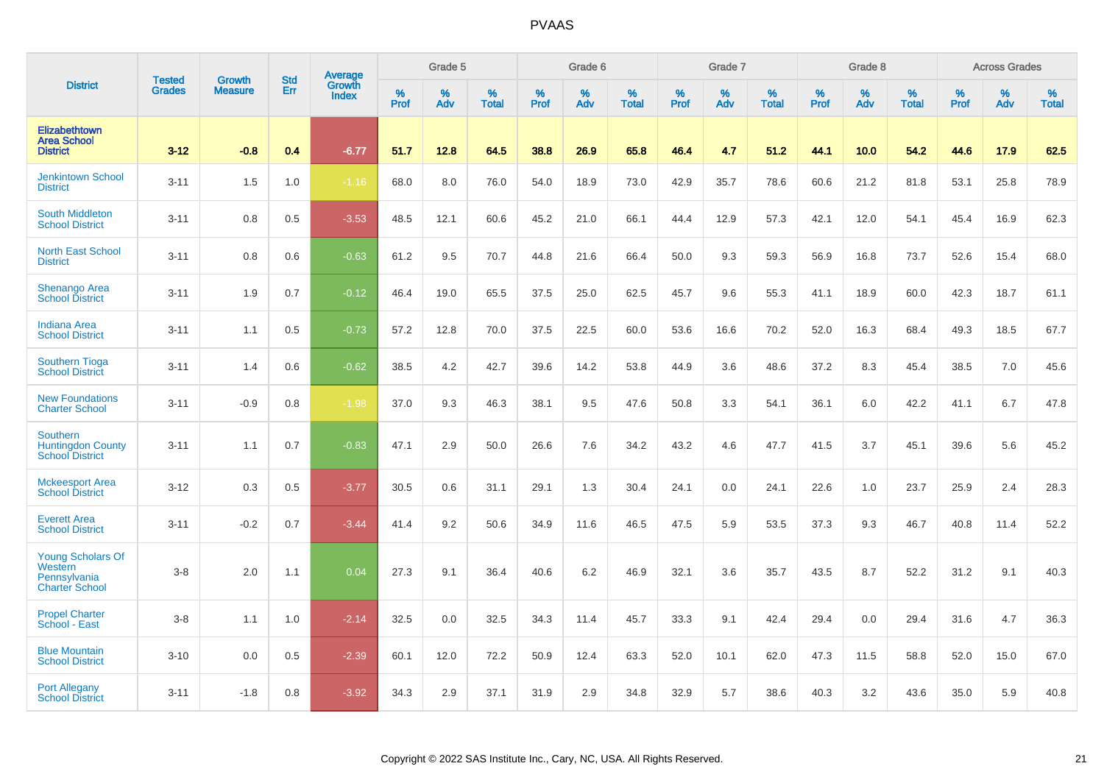|                                                                       | <b>Tested</b> |                                 | <b>Std</b> | Average                |              | Grade 5  |                   |           | Grade 6  |                   |           | Grade 7  |                   |           | Grade 8  |                   |           | <b>Across Grades</b> |                   |
|-----------------------------------------------------------------------|---------------|---------------------------------|------------|------------------------|--------------|----------|-------------------|-----------|----------|-------------------|-----------|----------|-------------------|-----------|----------|-------------------|-----------|----------------------|-------------------|
| <b>District</b>                                                       | <b>Grades</b> | <b>Growth</b><br><b>Measure</b> | Err        | Growth<br><b>Index</b> | $\%$<br>Prof | %<br>Adv | %<br><b>Total</b> | %<br>Prof | %<br>Adv | %<br><b>Total</b> | %<br>Prof | %<br>Adv | %<br><b>Total</b> | %<br>Prof | %<br>Adv | %<br><b>Total</b> | %<br>Prof | %<br>Adv             | %<br><b>Total</b> |
| <b>Elizabethtown</b><br><b>Area School</b><br><b>District</b>         | $3 - 12$      | $-0.8$                          | 0.4        | $-6.77$                | 51.7         | 12.8     | 64.5              | 38.8      | 26.9     | 65.8              | 46.4      | 4.7      | 51.2              | 44.1      | 10.0     | 54.2              | 44.6      | 17.9                 | 62.5              |
| <b>Jenkintown School</b><br><b>District</b>                           | $3 - 11$      | 1.5                             | 1.0        | $-1.16$                | 68.0         | 8.0      | 76.0              | 54.0      | 18.9     | 73.0              | 42.9      | 35.7     | 78.6              | 60.6      | 21.2     | 81.8              | 53.1      | 25.8                 | 78.9              |
| South Middleton<br><b>School District</b>                             | $3 - 11$      | 0.8                             | 0.5        | $-3.53$                | 48.5         | 12.1     | 60.6              | 45.2      | 21.0     | 66.1              | 44.4      | 12.9     | 57.3              | 42.1      | 12.0     | 54.1              | 45.4      | 16.9                 | 62.3              |
| <b>North East School</b><br><b>District</b>                           | $3 - 11$      | 0.8                             | 0.6        | $-0.63$                | 61.2         | 9.5      | 70.7              | 44.8      | 21.6     | 66.4              | 50.0      | 9.3      | 59.3              | 56.9      | 16.8     | 73.7              | 52.6      | 15.4                 | 68.0              |
| Shenango Area<br><b>School District</b>                               | $3 - 11$      | 1.9                             | 0.7        | $-0.12$                | 46.4         | 19.0     | 65.5              | 37.5      | 25.0     | 62.5              | 45.7      | 9.6      | 55.3              | 41.1      | 18.9     | 60.0              | 42.3      | 18.7                 | 61.1              |
| <b>Indiana Area</b><br><b>School District</b>                         | $3 - 11$      | 1.1                             | 0.5        | $-0.73$                | 57.2         | 12.8     | 70.0              | 37.5      | 22.5     | 60.0              | 53.6      | 16.6     | 70.2              | 52.0      | 16.3     | 68.4              | 49.3      | 18.5                 | 67.7              |
| <b>Southern Tioga</b><br><b>School District</b>                       | $3 - 11$      | 1.4                             | 0.6        | $-0.62$                | 38.5         | 4.2      | 42.7              | 39.6      | 14.2     | 53.8              | 44.9      | 3.6      | 48.6              | 37.2      | 8.3      | 45.4              | 38.5      | 7.0                  | 45.6              |
| <b>New Foundations</b><br><b>Charter School</b>                       | $3 - 11$      | $-0.9$                          | 0.8        | $-1.98$                | 37.0         | 9.3      | 46.3              | 38.1      | 9.5      | 47.6              | 50.8      | 3.3      | 54.1              | 36.1      | 6.0      | 42.2              | 41.1      | 6.7                  | 47.8              |
| Southern<br><b>Huntingdon County</b><br><b>School District</b>        | $3 - 11$      | 1.1                             | 0.7        | $-0.83$                | 47.1         | 2.9      | 50.0              | 26.6      | 7.6      | 34.2              | 43.2      | 4.6      | 47.7              | 41.5      | 3.7      | 45.1              | 39.6      | 5.6                  | 45.2              |
| <b>Mckeesport Area</b><br><b>School District</b>                      | $3 - 12$      | 0.3                             | 0.5        | $-3.77$                | 30.5         | 0.6      | 31.1              | 29.1      | 1.3      | 30.4              | 24.1      | 0.0      | 24.1              | 22.6      | 1.0      | 23.7              | 25.9      | 2.4                  | 28.3              |
| <b>Everett Area</b><br><b>School District</b>                         | $3 - 11$      | $-0.2$                          | 0.7        | $-3.44$                | 41.4         | 9.2      | 50.6              | 34.9      | 11.6     | 46.5              | 47.5      | 5.9      | 53.5              | 37.3      | 9.3      | 46.7              | 40.8      | 11.4                 | 52.2              |
| Young Scholars Of<br>Western<br>Pennsylvania<br><b>Charter School</b> | $3-8$         | 2.0                             | 1.1        | 0.04                   | 27.3         | 9.1      | 36.4              | 40.6      | 6.2      | 46.9              | 32.1      | 3.6      | 35.7              | 43.5      | 8.7      | 52.2              | 31.2      | 9.1                  | 40.3              |
| <b>Propel Charter</b><br>School - East                                | $3-8$         | 1.1                             | 1.0        | $-2.14$                | 32.5         | 0.0      | 32.5              | 34.3      | 11.4     | 45.7              | 33.3      | 9.1      | 42.4              | 29.4      | 0.0      | 29.4              | 31.6      | 4.7                  | 36.3              |
| <b>Blue Mountain</b><br><b>School District</b>                        | $3 - 10$      | 0.0                             | 0.5        | $-2.39$                | 60.1         | 12.0     | 72.2              | 50.9      | 12.4     | 63.3              | 52.0      | 10.1     | 62.0              | 47.3      | 11.5     | 58.8              | 52.0      | 15.0                 | 67.0              |
| <b>Port Allegany</b><br><b>School District</b>                        | $3 - 11$      | $-1.8$                          | 0.8        | $-3.92$                | 34.3         | 2.9      | 37.1              | 31.9      | 2.9      | 34.8              | 32.9      | 5.7      | 38.6              | 40.3      | 3.2      | 43.6              | 35.0      | 5.9                  | 40.8              |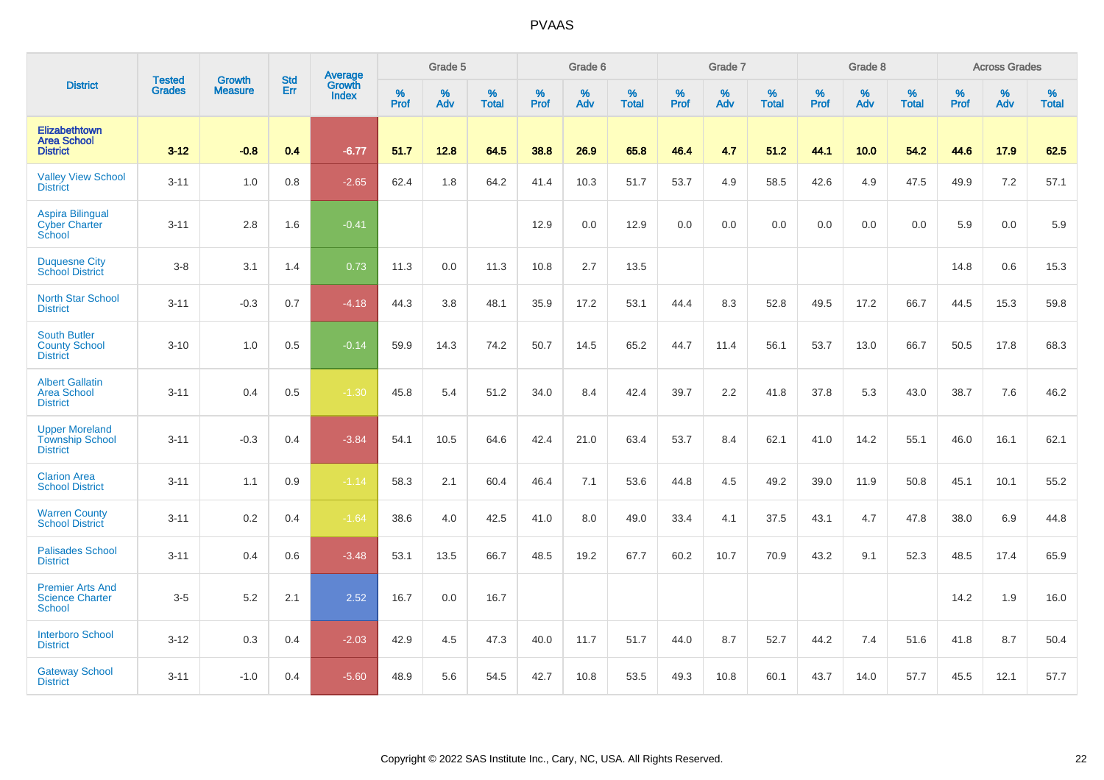|                                                                    | <b>Tested</b> | <b>Growth</b>  | <b>Std</b> | Average                |                     | Grade 5  |                   |              | Grade 6  |                   |              | Grade 7  |                   |              | Grade 8  |                   |              | <b>Across Grades</b> |                   |
|--------------------------------------------------------------------|---------------|----------------|------------|------------------------|---------------------|----------|-------------------|--------------|----------|-------------------|--------------|----------|-------------------|--------------|----------|-------------------|--------------|----------------------|-------------------|
| <b>District</b>                                                    | <b>Grades</b> | <b>Measure</b> | Err        | Growth<br><b>Index</b> | $\%$<br><b>Prof</b> | %<br>Adv | %<br><b>Total</b> | $\%$<br>Prof | %<br>Adv | %<br><b>Total</b> | $\%$<br>Prof | %<br>Adv | %<br><b>Total</b> | $\%$<br>Prof | %<br>Adv | %<br><b>Total</b> | $\%$<br>Prof | %<br>Adv             | %<br><b>Total</b> |
| Elizabethtown<br><b>Area School</b><br><b>District</b>             | $3 - 12$      | $-0.8$         | 0.4        | $-6.77$                | 51.7                | 12.8     | 64.5              | 38.8         | 26.9     | 65.8              | 46.4         | 4.7      | 51.2              | 44.1         | 10.0     | 54.2              | 44.6         | 17.9                 | 62.5              |
| <b>Valley View School</b><br><b>District</b>                       | $3 - 11$      | 1.0            | 0.8        | $-2.65$                | 62.4                | 1.8      | 64.2              | 41.4         | 10.3     | 51.7              | 53.7         | 4.9      | 58.5              | 42.6         | 4.9      | 47.5              | 49.9         | 7.2                  | 57.1              |
| <b>Aspira Bilingual</b><br><b>Cyber Charter</b><br>School          | $3 - 11$      | 2.8            | 1.6        | $-0.41$                |                     |          |                   | 12.9         | 0.0      | 12.9              | 0.0          | $0.0\,$  | 0.0               | 0.0          | 0.0      | 0.0               | 5.9          | $0.0\,$              | 5.9               |
| <b>Duquesne City</b><br><b>School District</b>                     | $3 - 8$       | 3.1            | 1.4        | 0.73                   | 11.3                | 0.0      | 11.3              | 10.8         | 2.7      | 13.5              |              |          |                   |              |          |                   | 14.8         | 0.6                  | 15.3              |
| <b>North Star School</b><br><b>District</b>                        | $3 - 11$      | $-0.3$         | 0.7        | $-4.18$                | 44.3                | 3.8      | 48.1              | 35.9         | 17.2     | 53.1              | 44.4         | 8.3      | 52.8              | 49.5         | 17.2     | 66.7              | 44.5         | 15.3                 | 59.8              |
| <b>South Butler</b><br><b>County School</b><br><b>District</b>     | $3 - 10$      | 1.0            | 0.5        | $-0.14$                | 59.9                | 14.3     | 74.2              | 50.7         | 14.5     | 65.2              | 44.7         | 11.4     | 56.1              | 53.7         | 13.0     | 66.7              | 50.5         | 17.8                 | 68.3              |
| <b>Albert Gallatin</b><br><b>Area School</b><br><b>District</b>    | $3 - 11$      | 0.4            | 0.5        | $-1.30$                | 45.8                | 5.4      | 51.2              | 34.0         | 8.4      | 42.4              | 39.7         | 2.2      | 41.8              | 37.8         | 5.3      | 43.0              | 38.7         | 7.6                  | 46.2              |
| <b>Upper Moreland</b><br><b>Township School</b><br><b>District</b> | $3 - 11$      | $-0.3$         | 0.4        | $-3.84$                | 54.1                | 10.5     | 64.6              | 42.4         | 21.0     | 63.4              | 53.7         | 8.4      | 62.1              | 41.0         | 14.2     | 55.1              | 46.0         | 16.1                 | 62.1              |
| <b>Clarion Area</b><br><b>School District</b>                      | $3 - 11$      | 1.1            | 0.9        | $-1.14$                | 58.3                | 2.1      | 60.4              | 46.4         | 7.1      | 53.6              | 44.8         | 4.5      | 49.2              | 39.0         | 11.9     | 50.8              | 45.1         | 10.1                 | 55.2              |
| <b>Warren County</b><br><b>School District</b>                     | $3 - 11$      | 0.2            | 0.4        | $-1.64$                | 38.6                | 4.0      | 42.5              | 41.0         | 8.0      | 49.0              | 33.4         | 4.1      | 37.5              | 43.1         | 4.7      | 47.8              | 38.0         | 6.9                  | 44.8              |
| <b>Palisades School</b><br><b>District</b>                         | $3 - 11$      | 0.4            | 0.6        | $-3.48$                | 53.1                | 13.5     | 66.7              | 48.5         | 19.2     | 67.7              | 60.2         | 10.7     | 70.9              | 43.2         | 9.1      | 52.3              | 48.5         | 17.4                 | 65.9              |
| <b>Premier Arts And</b><br><b>Science Charter</b><br><b>School</b> | $3-5$         | 5.2            | 2.1        | 2.52                   | 16.7                | 0.0      | 16.7              |              |          |                   |              |          |                   |              |          |                   | 14.2         | 1.9                  | 16.0              |
| <b>Interboro School</b><br><b>District</b>                         | $3 - 12$      | 0.3            | 0.4        | $-2.03$                | 42.9                | 4.5      | 47.3              | 40.0         | 11.7     | 51.7              | 44.0         | 8.7      | 52.7              | 44.2         | 7.4      | 51.6              | 41.8         | 8.7                  | 50.4              |
| <b>Gateway School</b><br><b>District</b>                           | $3 - 11$      | $-1.0$         | 0.4        | $-5.60$                | 48.9                | 5.6      | 54.5              | 42.7         | 10.8     | 53.5              | 49.3         | 10.8     | 60.1              | 43.7         | 14.0     | 57.7              | 45.5         | 12.1                 | 57.7              |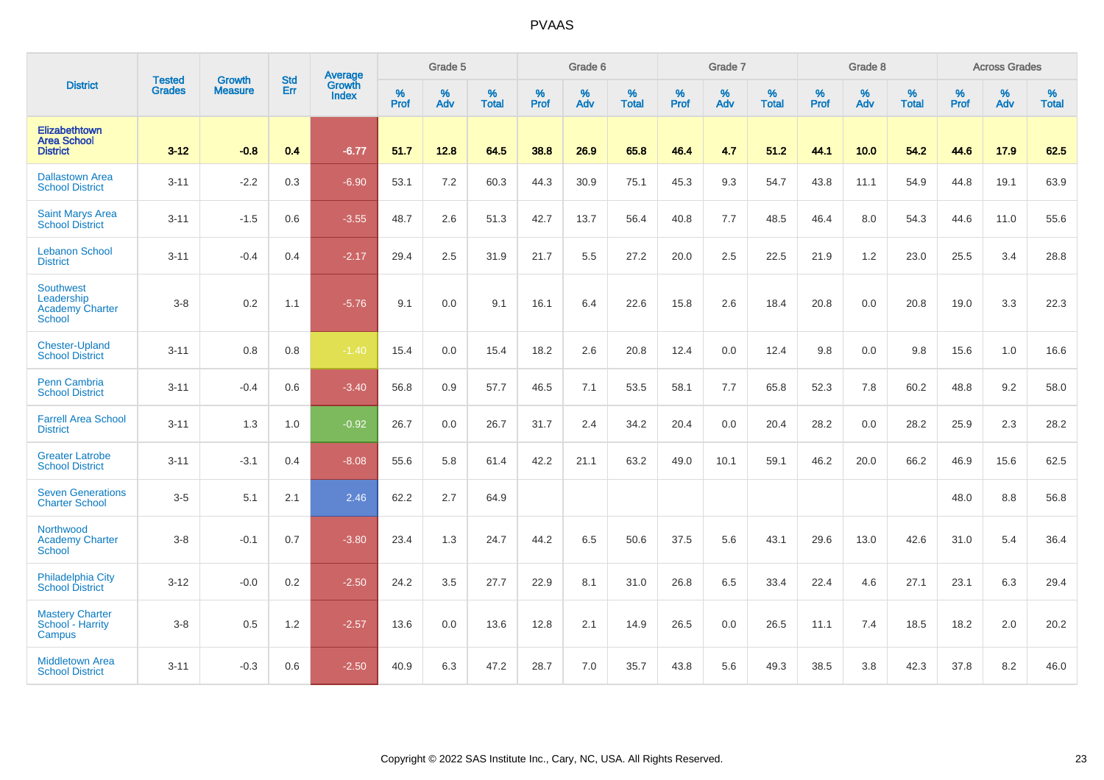|                                                                    |                                |                                 | <b>Std</b> | Average                |                     | Grade 5  |                   |                     | Grade 6  |                   |                     | Grade 7  |                   |                     | Grade 8  |                   |                     | <b>Across Grades</b> |                   |
|--------------------------------------------------------------------|--------------------------------|---------------------------------|------------|------------------------|---------------------|----------|-------------------|---------------------|----------|-------------------|---------------------|----------|-------------------|---------------------|----------|-------------------|---------------------|----------------------|-------------------|
| <b>District</b>                                                    | <b>Tested</b><br><b>Grades</b> | <b>Growth</b><br><b>Measure</b> | Err        | Growth<br><b>Index</b> | $\%$<br><b>Prof</b> | %<br>Adv | %<br><b>Total</b> | $\%$<br><b>Prof</b> | %<br>Adv | %<br><b>Total</b> | $\%$<br><b>Prof</b> | %<br>Adv | %<br><b>Total</b> | $\%$<br><b>Prof</b> | %<br>Adv | %<br><b>Total</b> | $\%$<br><b>Prof</b> | %<br>Adv             | %<br><b>Total</b> |
| Elizabethtown<br><b>Area School</b><br><b>District</b>             | $3 - 12$                       | $-0.8$                          | 0.4        | $-6.77$                | 51.7                | 12.8     | 64.5              | 38.8                | 26.9     | 65.8              | 46.4                | 4.7      | 51.2              | 44.1                | 10.0     | 54.2              | 44.6                | 17.9                 | 62.5              |
| <b>Dallastown Area</b><br><b>School District</b>                   | $3 - 11$                       | $-2.2$                          | 0.3        | $-6.90$                | 53.1                | 7.2      | 60.3              | 44.3                | 30.9     | 75.1              | 45.3                | 9.3      | 54.7              | 43.8                | 11.1     | 54.9              | 44.8                | 19.1                 | 63.9              |
| <b>Saint Marys Area</b><br><b>School District</b>                  | $3 - 11$                       | $-1.5$                          | 0.6        | $-3.55$                | 48.7                | 2.6      | 51.3              | 42.7                | 13.7     | 56.4              | 40.8                | 7.7      | 48.5              | 46.4                | 8.0      | 54.3              | 44.6                | 11.0                 | 55.6              |
| <b>Lebanon School</b><br><b>District</b>                           | $3 - 11$                       | $-0.4$                          | 0.4        | $-2.17$                | 29.4                | 2.5      | 31.9              | 21.7                | 5.5      | 27.2              | 20.0                | 2.5      | 22.5              | 21.9                | 1.2      | 23.0              | 25.5                | 3.4                  | 28.8              |
| Southwest<br>Leadership<br><b>Academy Charter</b><br><b>School</b> | $3 - 8$                        | 0.2                             | 1.1        | $-5.76$                | 9.1                 | 0.0      | 9.1               | 16.1                | 6.4      | 22.6              | 15.8                | 2.6      | 18.4              | 20.8                | 0.0      | 20.8              | 19.0                | 3.3                  | 22.3              |
| <b>Chester-Upland</b><br><b>School District</b>                    | $3 - 11$                       | 0.8                             | 0.8        | $-1.40$                | 15.4                | 0.0      | 15.4              | 18.2                | 2.6      | 20.8              | 12.4                | 0.0      | 12.4              | 9.8                 | 0.0      | 9.8               | 15.6                | 1.0                  | 16.6              |
| <b>Penn Cambria</b><br><b>School District</b>                      | $3 - 11$                       | $-0.4$                          | 0.6        | $-3.40$                | 56.8                | 0.9      | 57.7              | 46.5                | 7.1      | 53.5              | 58.1                | 7.7      | 65.8              | 52.3                | 7.8      | 60.2              | 48.8                | 9.2                  | 58.0              |
| <b>Farrell Area School</b><br><b>District</b>                      | $3 - 11$                       | 1.3                             | 1.0        | $-0.92$                | 26.7                | 0.0      | 26.7              | 31.7                | 2.4      | 34.2              | 20.4                | 0.0      | 20.4              | 28.2                | 0.0      | 28.2              | 25.9                | 2.3                  | 28.2              |
| <b>Greater Latrobe</b><br><b>School District</b>                   | $3 - 11$                       | $-3.1$                          | 0.4        | $-8.08$                | 55.6                | 5.8      | 61.4              | 42.2                | 21.1     | 63.2              | 49.0                | 10.1     | 59.1              | 46.2                | 20.0     | 66.2              | 46.9                | 15.6                 | 62.5              |
| <b>Seven Generations</b><br><b>Charter School</b>                  | $3-5$                          | 5.1                             | 2.1        | 2.46                   | 62.2                | 2.7      | 64.9              |                     |          |                   |                     |          |                   |                     |          |                   | 48.0                | 8.8                  | 56.8              |
| Northwood<br><b>Academy Charter</b><br>School                      | $3-8$                          | $-0.1$                          | 0.7        | $-3.80$                | 23.4                | 1.3      | 24.7              | 44.2                | 6.5      | 50.6              | 37.5                | 5.6      | 43.1              | 29.6                | 13.0     | 42.6              | 31.0                | 5.4                  | 36.4              |
| <b>Philadelphia City</b><br><b>School District</b>                 | $3 - 12$                       | $-0.0$                          | 0.2        | $-2.50$                | 24.2                | 3.5      | 27.7              | 22.9                | 8.1      | 31.0              | 26.8                | 6.5      | 33.4              | 22.4                | 4.6      | 27.1              | 23.1                | 6.3                  | 29.4              |
| <b>Mastery Charter</b><br>School - Harrity<br>Campus               | $3-8$                          | 0.5                             | 1.2        | $-2.57$                | 13.6                | 0.0      | 13.6              | 12.8                | 2.1      | 14.9              | 26.5                | 0.0      | 26.5              | 11.1                | 7.4      | 18.5              | 18.2                | 2.0                  | 20.2              |
| <b>Middletown Area</b><br><b>School District</b>                   | $3 - 11$                       | $-0.3$                          | 0.6        | $-2.50$                | 40.9                | 6.3      | 47.2              | 28.7                | 7.0      | 35.7              | 43.8                | 5.6      | 49.3              | 38.5                | 3.8      | 42.3              | 37.8                | 8.2                  | 46.0              |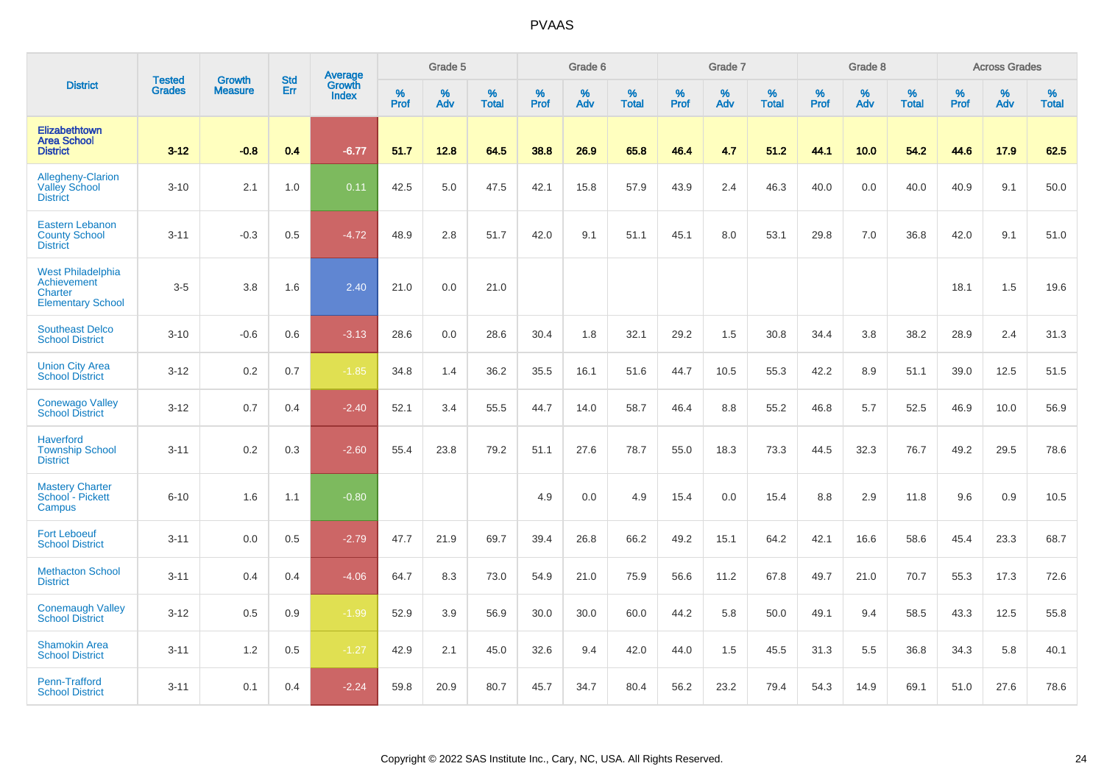|                                                                                |                                |                                 | <b>Std</b> | Average                |           | Grade 5  |                   |           | Grade 6  |                   |           | Grade 7  |                   |           | Grade 8  |                   |           | <b>Across Grades</b> |                   |
|--------------------------------------------------------------------------------|--------------------------------|---------------------------------|------------|------------------------|-----------|----------|-------------------|-----------|----------|-------------------|-----------|----------|-------------------|-----------|----------|-------------------|-----------|----------------------|-------------------|
| <b>District</b>                                                                | <b>Tested</b><br><b>Grades</b> | <b>Growth</b><br><b>Measure</b> | Err        | Growth<br><b>Index</b> | %<br>Prof | %<br>Adv | %<br><b>Total</b> | %<br>Prof | %<br>Adv | %<br><b>Total</b> | %<br>Prof | %<br>Adv | %<br><b>Total</b> | %<br>Prof | %<br>Adv | %<br><b>Total</b> | %<br>Prof | %<br>Adv             | %<br><b>Total</b> |
| Elizabethtown<br><b>Area School</b><br><b>District</b>                         | $3 - 12$                       | $-0.8$                          | 0.4        | $-6.77$                | 51.7      | 12.8     | 64.5              | 38.8      | 26.9     | 65.8              | 46.4      | 4.7      | 51.2              | 44.1      | 10.0     | 54.2              | 44.6      | 17.9                 | 62.5              |
| Allegheny-Clarion<br><b>Valley School</b><br><b>District</b>                   | $3 - 10$                       | 2.1                             | 1.0        | 0.11                   | 42.5      | 5.0      | 47.5              | 42.1      | 15.8     | 57.9              | 43.9      | 2.4      | 46.3              | 40.0      | 0.0      | 40.0              | 40.9      | 9.1                  | 50.0              |
| <b>Eastern Lebanon</b><br><b>County School</b><br><b>District</b>              | $3 - 11$                       | $-0.3$                          | 0.5        | $-4.72$                | 48.9      | 2.8      | 51.7              | 42.0      | 9.1      | 51.1              | 45.1      | 8.0      | 53.1              | 29.8      | 7.0      | 36.8              | 42.0      | 9.1                  | 51.0              |
| <b>West Philadelphia</b><br>Achievement<br>Charter<br><b>Elementary School</b> | $3-5$                          | 3.8                             | 1.6        | 2.40                   | 21.0      | 0.0      | 21.0              |           |          |                   |           |          |                   |           |          |                   | 18.1      | 1.5                  | 19.6              |
| <b>Southeast Delco</b><br><b>School District</b>                               | $3 - 10$                       | $-0.6$                          | 0.6        | $-3.13$                | 28.6      | 0.0      | 28.6              | 30.4      | 1.8      | 32.1              | 29.2      | 1.5      | 30.8              | 34.4      | 3.8      | 38.2              | 28.9      | 2.4                  | 31.3              |
| <b>Union City Area</b><br><b>School District</b>                               | $3 - 12$                       | 0.2                             | 0.7        | $-1.85$                | 34.8      | 1.4      | 36.2              | 35.5      | 16.1     | 51.6              | 44.7      | 10.5     | 55.3              | 42.2      | 8.9      | 51.1              | 39.0      | 12.5                 | 51.5              |
| <b>Conewago Valley</b><br><b>School District</b>                               | $3 - 12$                       | 0.7                             | 0.4        | $-2.40$                | 52.1      | 3.4      | 55.5              | 44.7      | 14.0     | 58.7              | 46.4      | 8.8      | 55.2              | 46.8      | 5.7      | 52.5              | 46.9      | 10.0                 | 56.9              |
| <b>Haverford</b><br><b>Township School</b><br><b>District</b>                  | $3 - 11$                       | 0.2                             | 0.3        | $-2.60$                | 55.4      | 23.8     | 79.2              | 51.1      | 27.6     | 78.7              | 55.0      | 18.3     | 73.3              | 44.5      | 32.3     | 76.7              | 49.2      | 29.5                 | 78.6              |
| <b>Mastery Charter</b><br>School - Pickett<br>Campus                           | $6 - 10$                       | 1.6                             | 1.1        | $-0.80$                |           |          |                   | 4.9       | 0.0      | 4.9               | 15.4      | 0.0      | 15.4              | 8.8       | 2.9      | 11.8              | 9.6       | 0.9                  | 10.5              |
| <b>Fort Leboeuf</b><br><b>School District</b>                                  | $3 - 11$                       | 0.0                             | 0.5        | $-2.79$                | 47.7      | 21.9     | 69.7              | 39.4      | 26.8     | 66.2              | 49.2      | 15.1     | 64.2              | 42.1      | 16.6     | 58.6              | 45.4      | 23.3                 | 68.7              |
| <b>Methacton School</b><br><b>District</b>                                     | $3 - 11$                       | 0.4                             | 0.4        | $-4.06$                | 64.7      | 8.3      | 73.0              | 54.9      | 21.0     | 75.9              | 56.6      | 11.2     | 67.8              | 49.7      | 21.0     | 70.7              | 55.3      | 17.3                 | 72.6              |
| <b>Conemaugh Valley</b><br><b>School District</b>                              | $3 - 12$                       | 0.5                             | 0.9        | $-1.99$                | 52.9      | 3.9      | 56.9              | 30.0      | 30.0     | 60.0              | 44.2      | 5.8      | 50.0              | 49.1      | 9.4      | 58.5              | 43.3      | 12.5                 | 55.8              |
| <b>Shamokin Area</b><br><b>School District</b>                                 | $3 - 11$                       | 1.2                             | 0.5        | $-1.27$                | 42.9      | 2.1      | 45.0              | 32.6      | 9.4      | 42.0              | 44.0      | 1.5      | 45.5              | 31.3      | 5.5      | 36.8              | 34.3      | 5.8                  | 40.1              |
| Penn-Trafford<br><b>School District</b>                                        | $3 - 11$                       | 0.1                             | 0.4        | $-2.24$                | 59.8      | 20.9     | 80.7              | 45.7      | 34.7     | 80.4              | 56.2      | 23.2     | 79.4              | 54.3      | 14.9     | 69.1              | 51.0      | 27.6                 | 78.6              |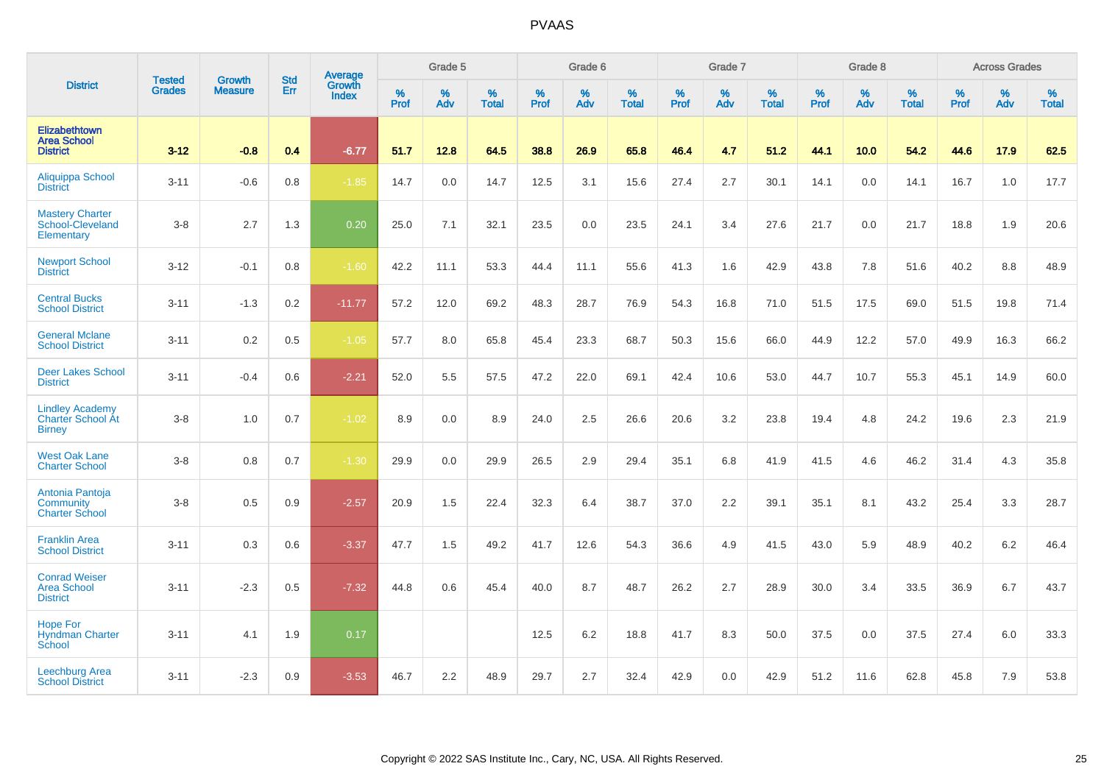|                                                                     |                                |                                 | <b>Std</b> | Average                |           | Grade 5  |                   |           | Grade 6  |                   |           | Grade 7  |                   |           | Grade 8  |                   |           | <b>Across Grades</b> |                   |
|---------------------------------------------------------------------|--------------------------------|---------------------------------|------------|------------------------|-----------|----------|-------------------|-----------|----------|-------------------|-----------|----------|-------------------|-----------|----------|-------------------|-----------|----------------------|-------------------|
| <b>District</b>                                                     | <b>Tested</b><br><b>Grades</b> | <b>Growth</b><br><b>Measure</b> | Err        | Growth<br><b>Index</b> | %<br>Prof | %<br>Adv | %<br><b>Total</b> | %<br>Prof | %<br>Adv | %<br><b>Total</b> | %<br>Prof | %<br>Adv | %<br><b>Total</b> | %<br>Prof | %<br>Adv | %<br><b>Total</b> | %<br>Prof | %<br>Adv             | %<br><b>Total</b> |
| Elizabethtown<br><b>Area School</b><br><b>District</b>              | $3 - 12$                       | $-0.8$                          | 0.4        | $-6.77$                | 51.7      | 12.8     | 64.5              | 38.8      | 26.9     | 65.8              | 46.4      | 4.7      | 51.2              | 44.1      | 10.0     | 54.2              | 44.6      | 17.9                 | 62.5              |
| Aliquippa School<br><b>District</b>                                 | $3 - 11$                       | $-0.6$                          | 0.8        | $-1.85$                | 14.7      | 0.0      | 14.7              | 12.5      | 3.1      | 15.6              | 27.4      | 2.7      | 30.1              | 14.1      | 0.0      | 14.1              | 16.7      | 1.0                  | 17.7              |
| <b>Mastery Charter</b><br>School-Cleveland<br>Elementary            | $3-8$                          | 2.7                             | 1.3        | 0.20                   | 25.0      | 7.1      | 32.1              | 23.5      | 0.0      | 23.5              | 24.1      | 3.4      | 27.6              | 21.7      | 0.0      | 21.7              | 18.8      | 1.9                  | 20.6              |
| <b>Newport School</b><br><b>District</b>                            | $3 - 12$                       | $-0.1$                          | 0.8        | $-1.60$                | 42.2      | 11.1     | 53.3              | 44.4      | 11.1     | 55.6              | 41.3      | 1.6      | 42.9              | 43.8      | 7.8      | 51.6              | 40.2      | 8.8                  | 48.9              |
| <b>Central Bucks</b><br><b>School District</b>                      | $3 - 11$                       | $-1.3$                          | 0.2        | $-11.77$               | 57.2      | 12.0     | 69.2              | 48.3      | 28.7     | 76.9              | 54.3      | 16.8     | 71.0              | 51.5      | 17.5     | 69.0              | 51.5      | 19.8                 | 71.4              |
| <b>General Mclane</b><br><b>School District</b>                     | $3 - 11$                       | 0.2                             | 0.5        | $-1.05$                | 57.7      | 8.0      | 65.8              | 45.4      | 23.3     | 68.7              | 50.3      | 15.6     | 66.0              | 44.9      | 12.2     | 57.0              | 49.9      | 16.3                 | 66.2              |
| <b>Deer Lakes School</b><br><b>District</b>                         | $3 - 11$                       | $-0.4$                          | 0.6        | $-2.21$                | 52.0      | 5.5      | 57.5              | 47.2      | 22.0     | 69.1              | 42.4      | 10.6     | 53.0              | 44.7      | 10.7     | 55.3              | 45.1      | 14.9                 | 60.0              |
| <b>Lindley Academy</b><br><b>Charter School At</b><br><b>Birney</b> | $3-8$                          | 1.0                             | 0.7        | $-1.02$                | 8.9       | 0.0      | 8.9               | 24.0      | 2.5      | 26.6              | 20.6      | 3.2      | 23.8              | 19.4      | 4.8      | 24.2              | 19.6      | 2.3                  | 21.9              |
| <b>West Oak Lane</b><br><b>Charter School</b>                       | $3-8$                          | 0.8                             | 0.7        | $-1.30$                | 29.9      | 0.0      | 29.9              | 26.5      | 2.9      | 29.4              | 35.1      | 6.8      | 41.9              | 41.5      | 4.6      | 46.2              | 31.4      | 4.3                  | 35.8              |
| Antonia Pantoja<br>Community<br><b>Charter School</b>               | $3-8$                          | 0.5                             | 0.9        | $-2.57$                | 20.9      | 1.5      | 22.4              | 32.3      | 6.4      | 38.7              | 37.0      | 2.2      | 39.1              | 35.1      | 8.1      | 43.2              | 25.4      | 3.3                  | 28.7              |
| <b>Franklin Area</b><br><b>School District</b>                      | $3 - 11$                       | 0.3                             | 0.6        | $-3.37$                | 47.7      | 1.5      | 49.2              | 41.7      | 12.6     | 54.3              | 36.6      | 4.9      | 41.5              | 43.0      | 5.9      | 48.9              | 40.2      | 6.2                  | 46.4              |
| <b>Conrad Weiser</b><br><b>Area School</b><br><b>District</b>       | $3 - 11$                       | $-2.3$                          | 0.5        | $-7.32$                | 44.8      | 0.6      | 45.4              | 40.0      | 8.7      | 48.7              | 26.2      | 2.7      | 28.9              | 30.0      | 3.4      | 33.5              | 36.9      | 6.7                  | 43.7              |
| <b>Hope For</b><br><b>Hyndman Charter</b><br>School                 | $3 - 11$                       | 4.1                             | 1.9        | 0.17                   |           |          |                   | 12.5      | 6.2      | 18.8              | 41.7      | 8.3      | 50.0              | 37.5      | 0.0      | 37.5              | 27.4      | 6.0                  | 33.3              |
| <b>Leechburg Area</b><br><b>School District</b>                     | $3 - 11$                       | $-2.3$                          | 0.9        | $-3.53$                | 46.7      | 2.2      | 48.9              | 29.7      | 2.7      | 32.4              | 42.9      | 0.0      | 42.9              | 51.2      | 11.6     | 62.8              | 45.8      | 7.9                  | 53.8              |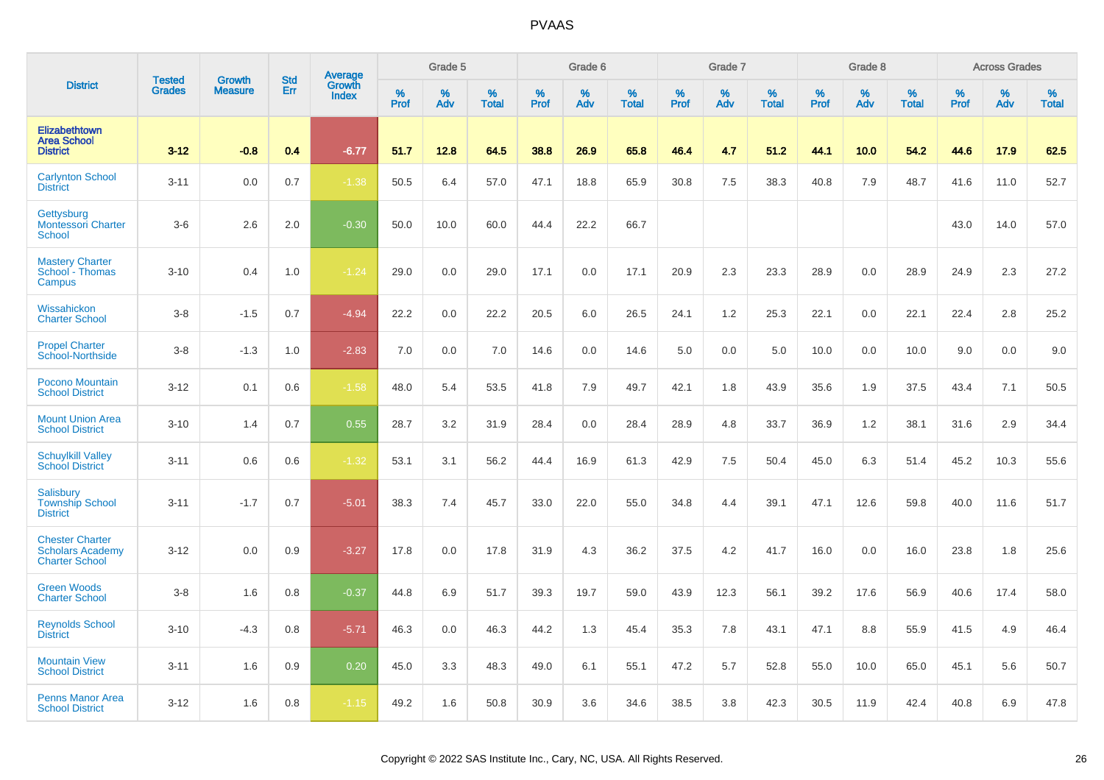|                                                                            | <b>Tested</b> | <b>Growth</b>  | <b>Std</b> | Average                |                     | Grade 5  |                   |                  | Grade 6  |                   |                  | Grade 7  |                   |           | Grade 8  |                   |           | <b>Across Grades</b> |                   |
|----------------------------------------------------------------------------|---------------|----------------|------------|------------------------|---------------------|----------|-------------------|------------------|----------|-------------------|------------------|----------|-------------------|-----------|----------|-------------------|-----------|----------------------|-------------------|
| <b>District</b>                                                            | <b>Grades</b> | <b>Measure</b> | Err        | Growth<br><b>Index</b> | $\%$<br><b>Prof</b> | %<br>Adv | %<br><b>Total</b> | %<br><b>Prof</b> | %<br>Adv | %<br><b>Total</b> | %<br><b>Prof</b> | %<br>Adv | %<br><b>Total</b> | %<br>Prof | %<br>Adv | %<br><b>Total</b> | %<br>Prof | %<br>Adv             | %<br><b>Total</b> |
| Elizabethtown<br><b>Area School</b><br><b>District</b>                     | $3 - 12$      | $-0.8$         | 0.4        | $-6.77$                | 51.7                | 12.8     | 64.5              | 38.8             | 26.9     | 65.8              | 46.4             | 4.7      | 51.2              | 44.1      | 10.0     | 54.2              | 44.6      | 17.9                 | 62.5              |
| <b>Carlynton School</b><br><b>District</b>                                 | $3 - 11$      | 0.0            | 0.7        | $-1.38$                | 50.5                | 6.4      | 57.0              | 47.1             | 18.8     | 65.9              | 30.8             | 7.5      | 38.3              | 40.8      | 7.9      | 48.7              | 41.6      | 11.0                 | 52.7              |
| Gettysburg<br><b>Montessori Charter</b><br><b>School</b>                   | $3-6$         | 2.6            | 2.0        | $-0.30$                | 50.0                | 10.0     | 60.0              | 44.4             | 22.2     | 66.7              |                  |          |                   |           |          |                   | 43.0      | 14.0                 | 57.0              |
| <b>Mastery Charter</b><br>School - Thomas<br>Campus                        | $3 - 10$      | 0.4            | 1.0        | $-1.24$                | 29.0                | 0.0      | 29.0              | 17.1             | 0.0      | 17.1              | 20.9             | 2.3      | 23.3              | 28.9      | 0.0      | 28.9              | 24.9      | 2.3                  | 27.2              |
| Wissahickon<br><b>Charter School</b>                                       | $3 - 8$       | $-1.5$         | 0.7        | $-4.94$                | 22.2                | 0.0      | 22.2              | 20.5             | 6.0      | 26.5              | 24.1             | 1.2      | 25.3              | 22.1      | 0.0      | 22.1              | 22.4      | 2.8                  | 25.2              |
| <b>Propel Charter</b><br>School-Northside                                  | $3 - 8$       | $-1.3$         | 1.0        | $-2.83$                | 7.0                 | 0.0      | 7.0               | 14.6             | 0.0      | 14.6              | 5.0              | 0.0      | 5.0               | 10.0      | 0.0      | 10.0              | 9.0       | 0.0                  | 9.0               |
| <b>Pocono Mountain</b><br><b>School District</b>                           | $3 - 12$      | 0.1            | 0.6        | $-1.58$                | 48.0                | 5.4      | 53.5              | 41.8             | 7.9      | 49.7              | 42.1             | 1.8      | 43.9              | 35.6      | 1.9      | 37.5              | 43.4      | 7.1                  | 50.5              |
| <b>Mount Union Area</b><br><b>School District</b>                          | $3 - 10$      | 1.4            | 0.7        | 0.55                   | 28.7                | 3.2      | 31.9              | 28.4             | 0.0      | 28.4              | 28.9             | 4.8      | 33.7              | 36.9      | 1.2      | 38.1              | 31.6      | 2.9                  | 34.4              |
| <b>Schuylkill Valley</b><br><b>School District</b>                         | $3 - 11$      | 0.6            | 0.6        | $-1.32$                | 53.1                | 3.1      | 56.2              | 44.4             | 16.9     | 61.3              | 42.9             | 7.5      | 50.4              | 45.0      | 6.3      | 51.4              | 45.2      | 10.3                 | 55.6              |
| <b>Salisbury</b><br><b>Township School</b><br><b>District</b>              | $3 - 11$      | $-1.7$         | 0.7        | $-5.01$                | 38.3                | 7.4      | 45.7              | 33.0             | 22.0     | 55.0              | 34.8             | 4.4      | 39.1              | 47.1      | 12.6     | 59.8              | 40.0      | 11.6                 | 51.7              |
| <b>Chester Charter</b><br><b>Scholars Academy</b><br><b>Charter School</b> | $3 - 12$      | 0.0            | 0.9        | $-3.27$                | 17.8                | 0.0      | 17.8              | 31.9             | 4.3      | 36.2              | 37.5             | 4.2      | 41.7              | 16.0      | 0.0      | 16.0              | 23.8      | 1.8                  | 25.6              |
| <b>Green Woods</b><br><b>Charter School</b>                                | $3 - 8$       | 1.6            | 0.8        | $-0.37$                | 44.8                | 6.9      | 51.7              | 39.3             | 19.7     | 59.0              | 43.9             | 12.3     | 56.1              | 39.2      | 17.6     | 56.9              | 40.6      | 17.4                 | 58.0              |
| <b>Reynolds School</b><br><b>District</b>                                  | $3 - 10$      | $-4.3$         | 0.8        | $-5.71$                | 46.3                | 0.0      | 46.3              | 44.2             | 1.3      | 45.4              | 35.3             | 7.8      | 43.1              | 47.1      | 8.8      | 55.9              | 41.5      | 4.9                  | 46.4              |
| <b>Mountain View</b><br><b>School District</b>                             | $3 - 11$      | 1.6            | 0.9        | 0.20                   | 45.0                | 3.3      | 48.3              | 49.0             | 6.1      | 55.1              | 47.2             | 5.7      | 52.8              | 55.0      | 10.0     | 65.0              | 45.1      | 5.6                  | 50.7              |
| <b>Penns Manor Area</b><br><b>School District</b>                          | $3 - 12$      | 1.6            | 0.8        | $-1.15$                | 49.2                | 1.6      | 50.8              | 30.9             | 3.6      | 34.6              | 38.5             | 3.8      | 42.3              | 30.5      | 11.9     | 42.4              | 40.8      | 6.9                  | 47.8              |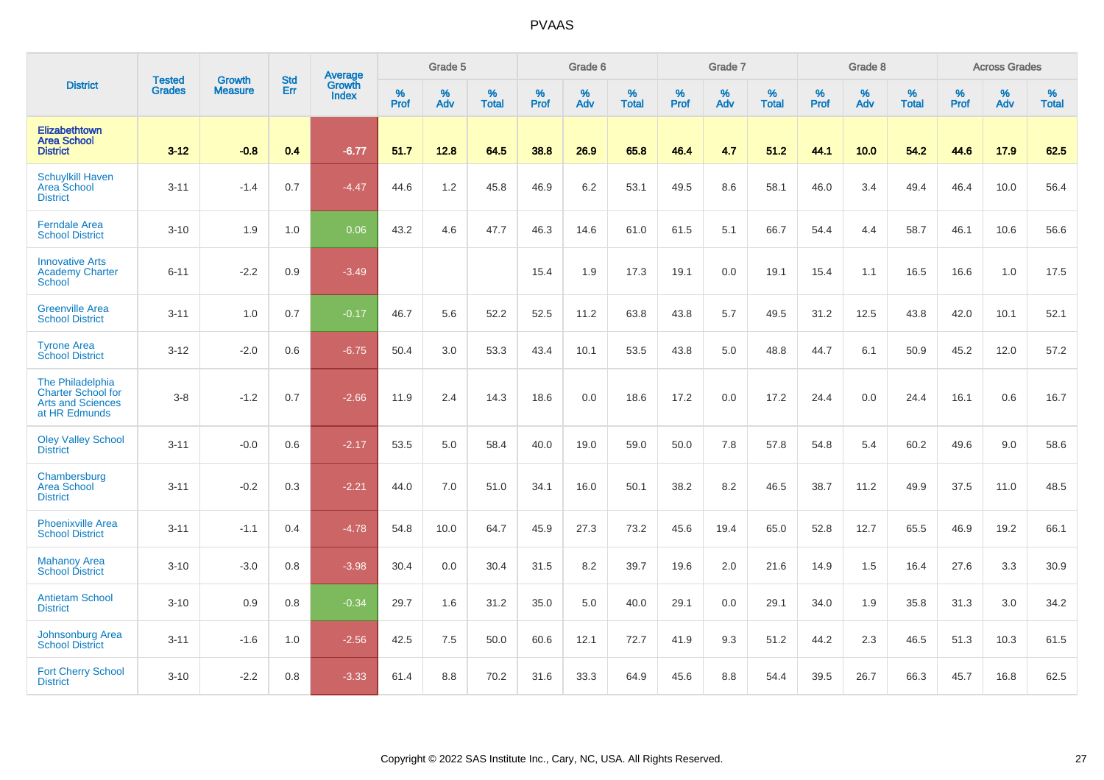|                                                                                            |                                |                                 | <b>Std</b> | <b>Average</b>         |           | Grade 5  |                   |           | Grade 6  |                   |           | Grade 7  |                   |           | Grade 8  |                   |                  | <b>Across Grades</b> |                   |
|--------------------------------------------------------------------------------------------|--------------------------------|---------------------------------|------------|------------------------|-----------|----------|-------------------|-----------|----------|-------------------|-----------|----------|-------------------|-----------|----------|-------------------|------------------|----------------------|-------------------|
| <b>District</b>                                                                            | <b>Tested</b><br><b>Grades</b> | <b>Growth</b><br><b>Measure</b> | Err        | Growth<br><b>Index</b> | %<br>Prof | %<br>Adv | %<br><b>Total</b> | %<br>Prof | %<br>Adv | %<br><b>Total</b> | %<br>Prof | %<br>Adv | %<br><b>Total</b> | %<br>Prof | %<br>Adv | %<br><b>Total</b> | %<br><b>Prof</b> | %<br>Adv             | %<br><b>Total</b> |
| Elizabethtown<br><b>Area School</b><br><b>District</b>                                     | $3 - 12$                       | $-0.8$                          | 0.4        | $-6.77$                | 51.7      | 12.8     | 64.5              | 38.8      | 26.9     | 65.8              | 46.4      | 4.7      | 51.2              | 44.1      | 10.0     | 54.2              | 44.6             | 17.9                 | 62.5              |
| <b>Schuylkill Haven</b><br>Area School<br><b>District</b>                                  | $3 - 11$                       | $-1.4$                          | 0.7        | $-4.47$                | 44.6      | 1.2      | 45.8              | 46.9      | 6.2      | 53.1              | 49.5      | 8.6      | 58.1              | 46.0      | 3.4      | 49.4              | 46.4             | 10.0                 | 56.4              |
| <b>Ferndale Area</b><br><b>School District</b>                                             | $3 - 10$                       | 1.9                             | 1.0        | 0.06                   | 43.2      | 4.6      | 47.7              | 46.3      | 14.6     | 61.0              | 61.5      | 5.1      | 66.7              | 54.4      | 4.4      | 58.7              | 46.1             | 10.6                 | 56.6              |
| <b>Innovative Arts</b><br><b>Academy Charter</b><br><b>School</b>                          | $6 - 11$                       | $-2.2$                          | 0.9        | $-3.49$                |           |          |                   | 15.4      | 1.9      | 17.3              | 19.1      | 0.0      | 19.1              | 15.4      | 1.1      | 16.5              | 16.6             | 1.0                  | 17.5              |
| <b>Greenville Area</b><br><b>School District</b>                                           | $3 - 11$                       | 1.0                             | 0.7        | $-0.17$                | 46.7      | 5.6      | 52.2              | 52.5      | 11.2     | 63.8              | 43.8      | 5.7      | 49.5              | 31.2      | 12.5     | 43.8              | 42.0             | 10.1                 | 52.1              |
| <b>Tyrone Area</b><br><b>School District</b>                                               | $3 - 12$                       | $-2.0$                          | 0.6        | $-6.75$                | 50.4      | 3.0      | 53.3              | 43.4      | 10.1     | 53.5              | 43.8      | 5.0      | 48.8              | 44.7      | 6.1      | 50.9              | 45.2             | 12.0                 | 57.2              |
| The Philadelphia<br><b>Charter School for</b><br><b>Arts and Sciences</b><br>at HR Edmunds | $3-8$                          | $-1.2$                          | 0.7        | $-2.66$                | 11.9      | 2.4      | 14.3              | 18.6      | 0.0      | 18.6              | 17.2      | 0.0      | 17.2              | 24.4      | 0.0      | 24.4              | 16.1             | 0.6                  | 16.7              |
| <b>Oley Valley School</b><br><b>District</b>                                               | $3 - 11$                       | $-0.0$                          | 0.6        | $-2.17$                | 53.5      | 5.0      | 58.4              | 40.0      | 19.0     | 59.0              | 50.0      | 7.8      | 57.8              | 54.8      | 5.4      | 60.2              | 49.6             | 9.0                  | 58.6              |
| Chambersburg<br>Area School<br><b>District</b>                                             | $3 - 11$                       | $-0.2$                          | 0.3        | $-2.21$                | 44.0      | 7.0      | 51.0              | 34.1      | 16.0     | 50.1              | 38.2      | 8.2      | 46.5              | 38.7      | 11.2     | 49.9              | 37.5             | 11.0                 | 48.5              |
| <b>Phoenixville Area</b><br><b>School District</b>                                         | $3 - 11$                       | $-1.1$                          | 0.4        | $-4.78$                | 54.8      | 10.0     | 64.7              | 45.9      | 27.3     | 73.2              | 45.6      | 19.4     | 65.0              | 52.8      | 12.7     | 65.5              | 46.9             | 19.2                 | 66.1              |
| <b>Mahanoy Area</b><br><b>School District</b>                                              | $3 - 10$                       | $-3.0$                          | 0.8        | $-3.98$                | 30.4      | 0.0      | 30.4              | 31.5      | 8.2      | 39.7              | 19.6      | 2.0      | 21.6              | 14.9      | 1.5      | 16.4              | 27.6             | 3.3                  | 30.9              |
| <b>Antietam School</b><br><b>District</b>                                                  | $3 - 10$                       | 0.9                             | 0.8        | $-0.34$                | 29.7      | 1.6      | 31.2              | 35.0      | 5.0      | 40.0              | 29.1      | 0.0      | 29.1              | 34.0      | 1.9      | 35.8              | 31.3             | 3.0                  | 34.2              |
| Johnsonburg Area<br><b>School District</b>                                                 | $3 - 11$                       | $-1.6$                          | 1.0        | $-2.56$                | 42.5      | 7.5      | 50.0              | 60.6      | 12.1     | 72.7              | 41.9      | 9.3      | 51.2              | 44.2      | 2.3      | 46.5              | 51.3             | 10.3                 | 61.5              |
| <b>Fort Cherry School</b><br><b>District</b>                                               | $3 - 10$                       | $-2.2$                          | 0.8        | $-3.33$                | 61.4      | 8.8      | 70.2              | 31.6      | 33.3     | 64.9              | 45.6      | 8.8      | 54.4              | 39.5      | 26.7     | 66.3              | 45.7             | 16.8                 | 62.5              |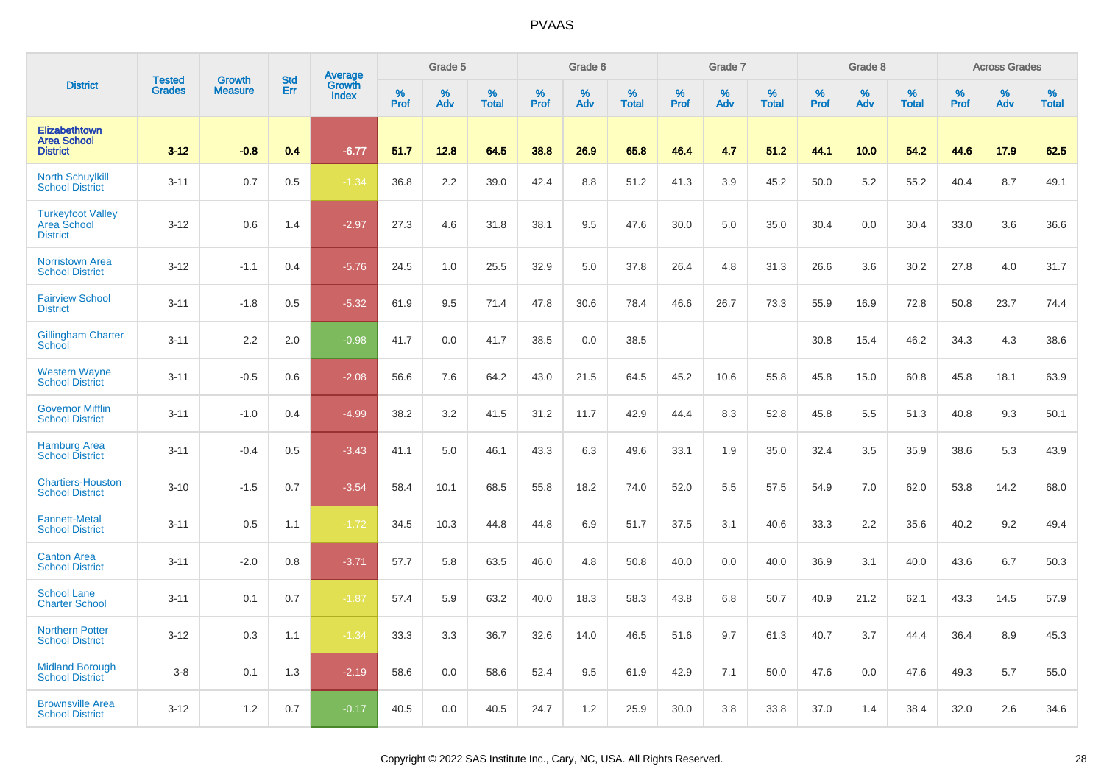|                                                            | <b>Tested</b> | <b>Growth</b>  | <b>Std</b> | <b>Average</b><br>Growth |                     | Grade 5  |                   |                  | Grade 6  |                   |                     | Grade 7  |                   |                  | Grade 8  |                   |              | <b>Across Grades</b> |                   |
|------------------------------------------------------------|---------------|----------------|------------|--------------------------|---------------------|----------|-------------------|------------------|----------|-------------------|---------------------|----------|-------------------|------------------|----------|-------------------|--------------|----------------------|-------------------|
| <b>District</b>                                            | <b>Grades</b> | <b>Measure</b> | Err        | <b>Index</b>             | $\%$<br><b>Prof</b> | %<br>Adv | %<br><b>Total</b> | %<br><b>Prof</b> | %<br>Adv | %<br><b>Total</b> | $\%$<br><b>Prof</b> | %<br>Adv | %<br><b>Total</b> | %<br><b>Prof</b> | %<br>Adv | %<br><b>Total</b> | $\%$<br>Prof | %<br>Adv             | %<br><b>Total</b> |
| Elizabethtown<br><b>Area School</b><br><b>District</b>     | $3 - 12$      | $-0.8$         | 0.4        | $-6.77$                  | 51.7                | 12.8     | 64.5              | 38.8             | 26.9     | 65.8              | 46.4                | 4.7      | 51.2              | 44.1             | 10.0     | 54.2              | 44.6         | 17.9                 | 62.5              |
| <b>North Schuylkill</b><br><b>School District</b>          | $3 - 11$      | 0.7            | 0.5        | $-1.34$                  | 36.8                | 2.2      | 39.0              | 42.4             | 8.8      | 51.2              | 41.3                | 3.9      | 45.2              | 50.0             | 5.2      | 55.2              | 40.4         | 8.7                  | 49.1              |
| <b>Turkeyfoot Valley</b><br>Area School<br><b>District</b> | $3 - 12$      | 0.6            | 1.4        | $-2.97$                  | 27.3                | 4.6      | 31.8              | 38.1             | 9.5      | 47.6              | 30.0                | 5.0      | 35.0              | 30.4             | 0.0      | 30.4              | 33.0         | 3.6                  | 36.6              |
| <b>Norristown Area</b><br><b>School District</b>           | $3 - 12$      | $-1.1$         | 0.4        | $-5.76$                  | 24.5                | 1.0      | 25.5              | 32.9             | 5.0      | 37.8              | 26.4                | 4.8      | 31.3              | 26.6             | 3.6      | 30.2              | 27.8         | 4.0                  | 31.7              |
| <b>Fairview School</b><br><b>District</b>                  | $3 - 11$      | $-1.8$         | 0.5        | $-5.32$                  | 61.9                | 9.5      | 71.4              | 47.8             | 30.6     | 78.4              | 46.6                | 26.7     | 73.3              | 55.9             | 16.9     | 72.8              | 50.8         | 23.7                 | 74.4              |
| Gillingham Charter<br>School                               | $3 - 11$      | 2.2            | 2.0        | $-0.98$                  | 41.7                | 0.0      | 41.7              | 38.5             | 0.0      | 38.5              |                     |          |                   | 30.8             | 15.4     | 46.2              | 34.3         | 4.3                  | 38.6              |
| <b>Western Wayne</b><br><b>School District</b>             | $3 - 11$      | $-0.5$         | 0.6        | $-2.08$                  | 56.6                | 7.6      | 64.2              | 43.0             | 21.5     | 64.5              | 45.2                | 10.6     | 55.8              | 45.8             | 15.0     | 60.8              | 45.8         | 18.1                 | 63.9              |
| <b>Governor Mifflin</b><br><b>School District</b>          | $3 - 11$      | $-1.0$         | 0.4        | $-4.99$                  | 38.2                | 3.2      | 41.5              | 31.2             | 11.7     | 42.9              | 44.4                | 8.3      | 52.8              | 45.8             | 5.5      | 51.3              | 40.8         | 9.3                  | 50.1              |
| <b>Hamburg Area</b><br><b>School District</b>              | $3 - 11$      | $-0.4$         | 0.5        | $-3.43$                  | 41.1                | 5.0      | 46.1              | 43.3             | 6.3      | 49.6              | 33.1                | 1.9      | 35.0              | 32.4             | 3.5      | 35.9              | 38.6         | 5.3                  | 43.9              |
| <b>Chartiers-Houston</b><br><b>School District</b>         | $3 - 10$      | $-1.5$         | 0.7        | $-3.54$                  | 58.4                | 10.1     | 68.5              | 55.8             | 18.2     | 74.0              | 52.0                | 5.5      | 57.5              | 54.9             | 7.0      | 62.0              | 53.8         | 14.2                 | 68.0              |
| <b>Fannett-Metal</b><br><b>School District</b>             | $3 - 11$      | 0.5            | 1.1        | $-1.72$                  | 34.5                | 10.3     | 44.8              | 44.8             | 6.9      | 51.7              | 37.5                | 3.1      | 40.6              | 33.3             | 2.2      | 35.6              | 40.2         | 9.2                  | 49.4              |
| <b>Canton Area</b><br><b>School District</b>               | $3 - 11$      | $-2.0$         | 0.8        | $-3.71$                  | 57.7                | 5.8      | 63.5              | 46.0             | 4.8      | 50.8              | 40.0                | 0.0      | 40.0              | 36.9             | 3.1      | 40.0              | 43.6         | 6.7                  | 50.3              |
| <b>School Lane</b><br><b>Charter School</b>                | $3 - 11$      | 0.1            | 0.7        | $-1.87$                  | 57.4                | 5.9      | 63.2              | 40.0             | 18.3     | 58.3              | 43.8                | 6.8      | 50.7              | 40.9             | 21.2     | 62.1              | 43.3         | 14.5                 | 57.9              |
| <b>Northern Potter</b><br><b>School District</b>           | $3 - 12$      | 0.3            | 1.1        | $-1.34$                  | 33.3                | 3.3      | 36.7              | 32.6             | 14.0     | 46.5              | 51.6                | 9.7      | 61.3              | 40.7             | 3.7      | 44.4              | 36.4         | 8.9                  | 45.3              |
| <b>Midland Borough</b><br><b>School District</b>           | $3 - 8$       | 0.1            | 1.3        | $-2.19$                  | 58.6                | 0.0      | 58.6              | 52.4             | 9.5      | 61.9              | 42.9                | 7.1      | 50.0              | 47.6             | 0.0      | 47.6              | 49.3         | 5.7                  | 55.0              |
| <b>Brownsville Area</b><br><b>School District</b>          | $3 - 12$      | 1.2            | 0.7        | $-0.17$                  | 40.5                | 0.0      | 40.5              | 24.7             | 1.2      | 25.9              | 30.0                | 3.8      | 33.8              | 37.0             | 1.4      | 38.4              | 32.0         | 2.6                  | 34.6              |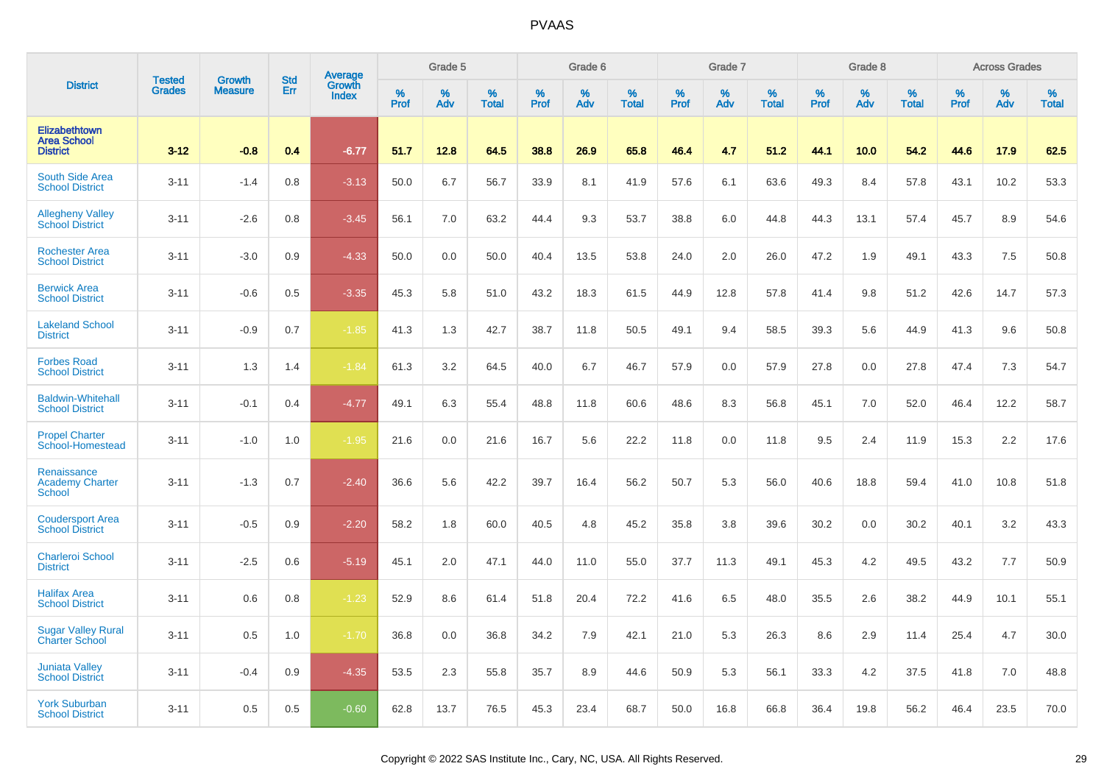|                                                        | <b>Tested</b> | <b>Growth</b>  | <b>Std</b> |                                   |                     | Grade 5  |                   |              | Grade 6  |                   |              | Grade 7  |                   |           | Grade 8  |                   |                  | <b>Across Grades</b> |                   |
|--------------------------------------------------------|---------------|----------------|------------|-----------------------------------|---------------------|----------|-------------------|--------------|----------|-------------------|--------------|----------|-------------------|-----------|----------|-------------------|------------------|----------------------|-------------------|
| <b>District</b>                                        | <b>Grades</b> | <b>Measure</b> | Err        | Average<br>Growth<br><b>Index</b> | $\%$<br><b>Prof</b> | %<br>Adv | %<br><b>Total</b> | $\%$<br>Prof | %<br>Adv | %<br><b>Total</b> | $\%$<br>Prof | %<br>Adv | %<br><b>Total</b> | %<br>Prof | %<br>Adv | %<br><b>Total</b> | %<br><b>Prof</b> | %<br>Adv             | %<br><b>Total</b> |
| Elizabethtown<br><b>Area School</b><br><b>District</b> | $3 - 12$      | $-0.8$         | 0.4        | $-6.77$                           | 51.7                | 12.8     | 64.5              | 38.8         | 26.9     | 65.8              | 46.4         | 4.7      | 51.2              | 44.1      | 10.0     | 54.2              | 44.6             | 17.9                 | 62.5              |
| South Side Area<br><b>School District</b>              | $3 - 11$      | $-1.4$         | 0.8        | $-3.13$                           | 50.0                | 6.7      | 56.7              | 33.9         | 8.1      | 41.9              | 57.6         | 6.1      | 63.6              | 49.3      | 8.4      | 57.8              | 43.1             | 10.2                 | 53.3              |
| <b>Allegheny Valley</b><br><b>School District</b>      | $3 - 11$      | $-2.6$         | 0.8        | $-3.45$                           | 56.1                | 7.0      | 63.2              | 44.4         | 9.3      | 53.7              | 38.8         | 6.0      | 44.8              | 44.3      | 13.1     | 57.4              | 45.7             | 8.9                  | 54.6              |
| <b>Rochester Area</b><br><b>School District</b>        | $3 - 11$      | $-3.0$         | 0.9        | $-4.33$                           | 50.0                | 0.0      | 50.0              | 40.4         | 13.5     | 53.8              | 24.0         | 2.0      | 26.0              | 47.2      | 1.9      | 49.1              | 43.3             | 7.5                  | 50.8              |
| <b>Berwick Area</b><br><b>School District</b>          | $3 - 11$      | $-0.6$         | 0.5        | $-3.35$                           | 45.3                | 5.8      | 51.0              | 43.2         | 18.3     | 61.5              | 44.9         | 12.8     | 57.8              | 41.4      | 9.8      | 51.2              | 42.6             | 14.7                 | 57.3              |
| <b>Lakeland School</b><br><b>District</b>              | $3 - 11$      | $-0.9$         | 0.7        | $-1.85$                           | 41.3                | 1.3      | 42.7              | 38.7         | 11.8     | 50.5              | 49.1         | 9.4      | 58.5              | 39.3      | 5.6      | 44.9              | 41.3             | 9.6                  | 50.8              |
| <b>Forbes Road</b><br><b>School District</b>           | $3 - 11$      | 1.3            | 1.4        | $-1.84$                           | 61.3                | 3.2      | 64.5              | 40.0         | 6.7      | 46.7              | 57.9         | 0.0      | 57.9              | 27.8      | 0.0      | 27.8              | 47.4             | 7.3                  | 54.7              |
| <b>Baldwin-Whitehall</b><br><b>School District</b>     | $3 - 11$      | $-0.1$         | 0.4        | $-4.77$                           | 49.1                | 6.3      | 55.4              | 48.8         | 11.8     | 60.6              | 48.6         | 8.3      | 56.8              | 45.1      | 7.0      | 52.0              | 46.4             | 12.2                 | 58.7              |
| <b>Propel Charter</b><br>School-Homestead              | $3 - 11$      | $-1.0$         | 1.0        | $-1.95$                           | 21.6                | 0.0      | 21.6              | 16.7         | 5.6      | 22.2              | 11.8         | 0.0      | 11.8              | 9.5       | 2.4      | 11.9              | 15.3             | 2.2                  | 17.6              |
| Renaissance<br><b>Academy Charter</b><br><b>School</b> | $3 - 11$      | $-1.3$         | 0.7        | $-2.40$                           | 36.6                | 5.6      | 42.2              | 39.7         | 16.4     | 56.2              | 50.7         | 5.3      | 56.0              | 40.6      | 18.8     | 59.4              | 41.0             | 10.8                 | 51.8              |
| <b>Coudersport Area</b><br><b>School District</b>      | $3 - 11$      | $-0.5$         | 0.9        | $-2.20$                           | 58.2                | 1.8      | 60.0              | 40.5         | 4.8      | 45.2              | 35.8         | 3.8      | 39.6              | 30.2      | 0.0      | 30.2              | 40.1             | 3.2                  | 43.3              |
| <b>Charleroi School</b><br><b>District</b>             | $3 - 11$      | $-2.5$         | 0.6        | $-5.19$                           | 45.1                | 2.0      | 47.1              | 44.0         | 11.0     | 55.0              | 37.7         | 11.3     | 49.1              | 45.3      | 4.2      | 49.5              | 43.2             | 7.7                  | 50.9              |
| <b>Halifax Area</b><br><b>School District</b>          | $3 - 11$      | 0.6            | 0.8        | $-1.23$                           | 52.9                | 8.6      | 61.4              | 51.8         | 20.4     | 72.2              | 41.6         | 6.5      | 48.0              | 35.5      | 2.6      | 38.2              | 44.9             | 10.1                 | 55.1              |
| <b>Sugar Valley Rural</b><br><b>Charter School</b>     | $3 - 11$      | 0.5            | 1.0        | $-1.70$                           | 36.8                | 0.0      | 36.8              | 34.2         | 7.9      | 42.1              | 21.0         | 5.3      | 26.3              | 8.6       | 2.9      | 11.4              | 25.4             | 4.7                  | 30.0              |
| <b>Juniata Valley</b><br><b>School District</b>        | $3 - 11$      | $-0.4$         | 0.9        | $-4.35$                           | 53.5                | 2.3      | 55.8              | 35.7         | 8.9      | 44.6              | 50.9         | 5.3      | 56.1              | 33.3      | 4.2      | 37.5              | 41.8             | 7.0                  | 48.8              |
| <b>York Suburban</b><br><b>School District</b>         | $3 - 11$      | 0.5            | 0.5        | $-0.60$                           | 62.8                | 13.7     | 76.5              | 45.3         | 23.4     | 68.7              | 50.0         | 16.8     | 66.8              | 36.4      | 19.8     | 56.2              | 46.4             | 23.5                 | 70.0              |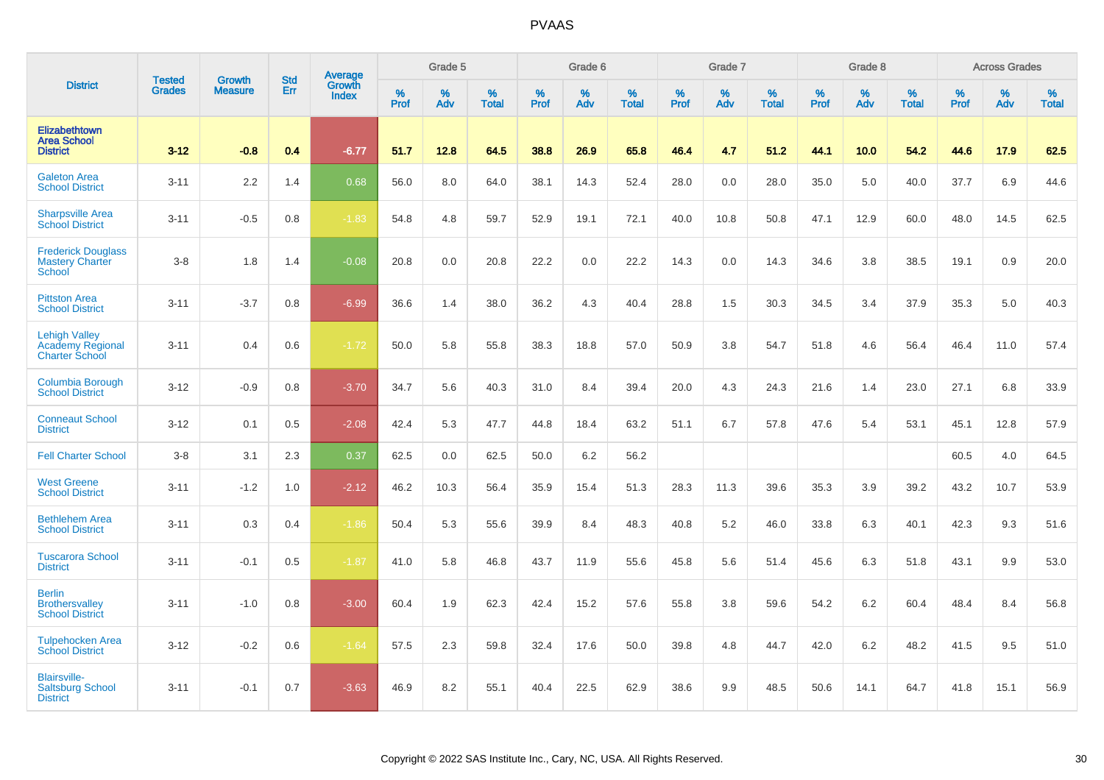|                                                                          |                                |                                 | <b>Std</b> | Average                |           | Grade 5  |                   |           | Grade 6  |                   |           | Grade 7  |                   |           | Grade 8  |                   |           | <b>Across Grades</b> |                   |
|--------------------------------------------------------------------------|--------------------------------|---------------------------------|------------|------------------------|-----------|----------|-------------------|-----------|----------|-------------------|-----------|----------|-------------------|-----------|----------|-------------------|-----------|----------------------|-------------------|
| <b>District</b>                                                          | <b>Tested</b><br><b>Grades</b> | <b>Growth</b><br><b>Measure</b> | Err        | Growth<br><b>Index</b> | %<br>Prof | %<br>Adv | %<br><b>Total</b> | %<br>Prof | %<br>Adv | %<br><b>Total</b> | %<br>Prof | %<br>Adv | %<br><b>Total</b> | %<br>Prof | %<br>Adv | %<br><b>Total</b> | %<br>Prof | %<br>Adv             | %<br><b>Total</b> |
| Elizabethtown<br><b>Area School</b><br><b>District</b>                   | $3 - 12$                       | $-0.8$                          | 0.4        | $-6.77$                | 51.7      | 12.8     | 64.5              | 38.8      | 26.9     | 65.8              | 46.4      | 4.7      | 51.2              | 44.1      | 10.0     | 54.2              | 44.6      | 17.9                 | 62.5              |
| <b>Galeton Area</b><br><b>School District</b>                            | $3 - 11$                       | 2.2                             | 1.4        | 0.68                   | 56.0      | 8.0      | 64.0              | 38.1      | 14.3     | 52.4              | 28.0      | 0.0      | 28.0              | 35.0      | 5.0      | 40.0              | 37.7      | 6.9                  | 44.6              |
| <b>Sharpsville Area</b><br><b>School District</b>                        | $3 - 11$                       | $-0.5$                          | 0.8        | $-1.83$                | 54.8      | 4.8      | 59.7              | 52.9      | 19.1     | 72.1              | 40.0      | 10.8     | 50.8              | 47.1      | 12.9     | 60.0              | 48.0      | 14.5                 | 62.5              |
| <b>Frederick Douglass</b><br><b>Mastery Charter</b><br>School            | $3-8$                          | 1.8                             | 1.4        | $-0.08$                | 20.8      | 0.0      | 20.8              | 22.2      | 0.0      | 22.2              | 14.3      | 0.0      | 14.3              | 34.6      | 3.8      | 38.5              | 19.1      | 0.9                  | 20.0              |
| <b>Pittston Area</b><br><b>School District</b>                           | $3 - 11$                       | $-3.7$                          | 0.8        | $-6.99$                | 36.6      | 1.4      | 38.0              | 36.2      | 4.3      | 40.4              | 28.8      | 1.5      | 30.3              | 34.5      | 3.4      | 37.9              | 35.3      | 5.0                  | 40.3              |
| <b>Lehigh Valley</b><br><b>Academy Regional</b><br><b>Charter School</b> | $3 - 11$                       | 0.4                             | 0.6        | $-1.72$                | 50.0      | 5.8      | 55.8              | 38.3      | 18.8     | 57.0              | 50.9      | 3.8      | 54.7              | 51.8      | 4.6      | 56.4              | 46.4      | 11.0                 | 57.4              |
| <b>Columbia Borough</b><br><b>School District</b>                        | $3 - 12$                       | $-0.9$                          | 0.8        | $-3.70$                | 34.7      | 5.6      | 40.3              | 31.0      | 8.4      | 39.4              | 20.0      | 4.3      | 24.3              | 21.6      | 1.4      | 23.0              | 27.1      | 6.8                  | 33.9              |
| <b>Conneaut School</b><br><b>District</b>                                | $3 - 12$                       | 0.1                             | 0.5        | $-2.08$                | 42.4      | 5.3      | 47.7              | 44.8      | 18.4     | 63.2              | 51.1      | 6.7      | 57.8              | 47.6      | 5.4      | 53.1              | 45.1      | 12.8                 | 57.9              |
| <b>Fell Charter School</b>                                               | $3-8$                          | 3.1                             | 2.3        | 0.37                   | 62.5      | 0.0      | 62.5              | 50.0      | 6.2      | 56.2              |           |          |                   |           |          |                   | 60.5      | 4.0                  | 64.5              |
| <b>West Greene</b><br><b>School District</b>                             | $3 - 11$                       | $-1.2$                          | 1.0        | $-2.12$                | 46.2      | 10.3     | 56.4              | 35.9      | 15.4     | 51.3              | 28.3      | 11.3     | 39.6              | 35.3      | 3.9      | 39.2              | 43.2      | 10.7                 | 53.9              |
| <b>Bethlehem Area</b><br><b>School District</b>                          | $3 - 11$                       | 0.3                             | 0.4        | $-1.86$                | 50.4      | 5.3      | 55.6              | 39.9      | 8.4      | 48.3              | 40.8      | 5.2      | 46.0              | 33.8      | 6.3      | 40.1              | 42.3      | 9.3                  | 51.6              |
| <b>Tuscarora School</b><br><b>District</b>                               | $3 - 11$                       | $-0.1$                          | 0.5        | $-1.87$                | 41.0      | 5.8      | 46.8              | 43.7      | 11.9     | 55.6              | 45.8      | 5.6      | 51.4              | 45.6      | 6.3      | 51.8              | 43.1      | 9.9                  | 53.0              |
| <b>Berlin</b><br><b>Brothersvalley</b><br><b>School District</b>         | $3 - 11$                       | $-1.0$                          | 0.8        | $-3.00$                | 60.4      | 1.9      | 62.3              | 42.4      | 15.2     | 57.6              | 55.8      | 3.8      | 59.6              | 54.2      | 6.2      | 60.4              | 48.4      | 8.4                  | 56.8              |
| <b>Tulpehocken Area</b><br><b>School District</b>                        | $3 - 12$                       | $-0.2$                          | 0.6        | $-1.64$                | 57.5      | 2.3      | 59.8              | 32.4      | 17.6     | 50.0              | 39.8      | 4.8      | 44.7              | 42.0      | 6.2      | 48.2              | 41.5      | 9.5                  | 51.0              |
| <b>Blairsville-</b><br><b>Saltsburg School</b><br><b>District</b>        | $3 - 11$                       | $-0.1$                          | 0.7        | $-3.63$                | 46.9      | 8.2      | 55.1              | 40.4      | 22.5     | 62.9              | 38.6      | 9.9      | 48.5              | 50.6      | 14.1     | 64.7              | 41.8      | 15.1                 | 56.9              |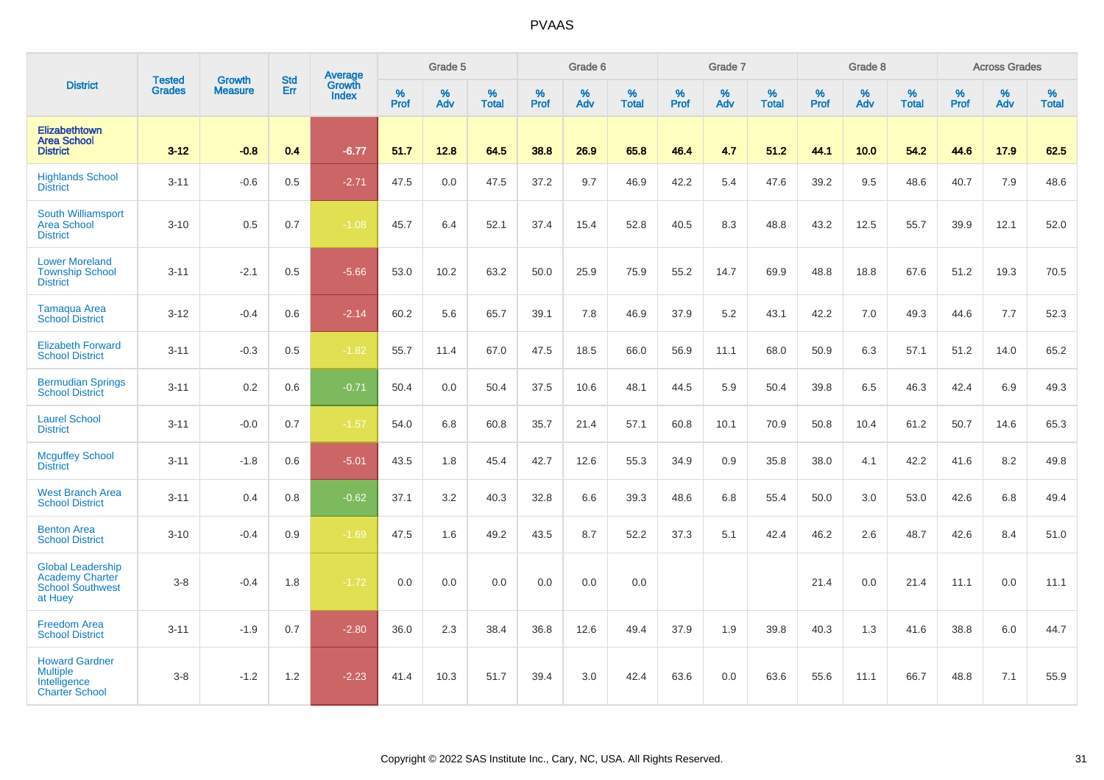|                                                                                          |                                |                                 | <b>Std</b> | Average                |                  | Grade 5  |                   |                  | Grade 6  |                   |           | Grade 7  |                   |           | Grade 8  |                   |           | <b>Across Grades</b> |                   |
|------------------------------------------------------------------------------------------|--------------------------------|---------------------------------|------------|------------------------|------------------|----------|-------------------|------------------|----------|-------------------|-----------|----------|-------------------|-----------|----------|-------------------|-----------|----------------------|-------------------|
| <b>District</b>                                                                          | <b>Tested</b><br><b>Grades</b> | <b>Growth</b><br><b>Measure</b> | Err        | Growth<br><b>Index</b> | %<br><b>Prof</b> | %<br>Adv | %<br><b>Total</b> | %<br><b>Prof</b> | %<br>Adv | %<br><b>Total</b> | %<br>Prof | %<br>Adv | %<br><b>Total</b> | %<br>Prof | %<br>Adv | %<br><b>Total</b> | %<br>Prof | %<br>Adv             | %<br><b>Total</b> |
| Elizabethtown<br><b>Area School</b><br><b>District</b>                                   | $3 - 12$                       | $-0.8$                          | 0.4        | $-6.77$                | 51.7             | 12.8     | 64.5              | 38.8             | 26.9     | 65.8              | 46.4      | 4.7      | 51.2              | 44.1      | 10.0     | 54.2              | 44.6      | 17.9                 | 62.5              |
| <b>Highlands School</b><br><b>District</b>                                               | $3 - 11$                       | $-0.6$                          | 0.5        | $-2.71$                | 47.5             | 0.0      | 47.5              | 37.2             | 9.7      | 46.9              | 42.2      | 5.4      | 47.6              | 39.2      | 9.5      | 48.6              | 40.7      | 7.9                  | 48.6              |
| South Williamsport<br><b>Area School</b><br><b>District</b>                              | $3 - 10$                       | 0.5                             | 0.7        | $-1.08$                | 45.7             | 6.4      | 52.1              | 37.4             | 15.4     | 52.8              | 40.5      | 8.3      | 48.8              | 43.2      | 12.5     | 55.7              | 39.9      | 12.1                 | 52.0              |
| <b>Lower Moreland</b><br><b>Township School</b><br><b>District</b>                       | $3 - 11$                       | $-2.1$                          | 0.5        | $-5.66$                | 53.0             | 10.2     | 63.2              | 50.0             | 25.9     | 75.9              | 55.2      | 14.7     | 69.9              | 48.8      | 18.8     | 67.6              | 51.2      | 19.3                 | 70.5              |
| Tamagua Area<br><b>School District</b>                                                   | $3 - 12$                       | $-0.4$                          | 0.6        | $-2.14$                | 60.2             | 5.6      | 65.7              | 39.1             | 7.8      | 46.9              | 37.9      | 5.2      | 43.1              | 42.2      | 7.0      | 49.3              | 44.6      | 7.7                  | 52.3              |
| <b>Elizabeth Forward</b><br><b>School District</b>                                       | $3 - 11$                       | $-0.3$                          | 0.5        | $-1.82$                | 55.7             | 11.4     | 67.0              | 47.5             | 18.5     | 66.0              | 56.9      | 11.1     | 68.0              | 50.9      | 6.3      | 57.1              | 51.2      | 14.0                 | 65.2              |
| <b>Bermudian Springs</b><br><b>School District</b>                                       | $3 - 11$                       | 0.2                             | 0.6        | $-0.71$                | 50.4             | 0.0      | 50.4              | 37.5             | 10.6     | 48.1              | 44.5      | 5.9      | 50.4              | 39.8      | 6.5      | 46.3              | 42.4      | 6.9                  | 49.3              |
| <b>Laurel School</b><br><b>District</b>                                                  | $3 - 11$                       | $-0.0$                          | 0.7        | $-1.57$                | 54.0             | 6.8      | 60.8              | 35.7             | 21.4     | 57.1              | 60.8      | 10.1     | 70.9              | 50.8      | 10.4     | 61.2              | 50.7      | 14.6                 | 65.3              |
| <b>Mcguffey School</b><br><b>District</b>                                                | $3 - 11$                       | $-1.8$                          | 0.6        | $-5.01$                | 43.5             | 1.8      | 45.4              | 42.7             | 12.6     | 55.3              | 34.9      | 0.9      | 35.8              | 38.0      | 4.1      | 42.2              | 41.6      | 8.2                  | 49.8              |
| <b>West Branch Area</b><br><b>School District</b>                                        | $3 - 11$                       | 0.4                             | 0.8        | $-0.62$                | 37.1             | 3.2      | 40.3              | 32.8             | 6.6      | 39.3              | 48.6      | 6.8      | 55.4              | 50.0      | 3.0      | 53.0              | 42.6      | 6.8                  | 49.4              |
| <b>Benton Area</b><br><b>School District</b>                                             | $3 - 10$                       | $-0.4$                          | 0.9        | $-1.69$                | 47.5             | 1.6      | 49.2              | 43.5             | 8.7      | 52.2              | 37.3      | 5.1      | 42.4              | 46.2      | 2.6      | 48.7              | 42.6      | 8.4                  | 51.0              |
| <b>Global Leadership</b><br><b>Academy Charter</b><br><b>School Southwest</b><br>at Huey | $3 - 8$                        | $-0.4$                          | 1.8        | $-1.72$                | 0.0              | 0.0      | 0.0               | 0.0              | 0.0      | 0.0               |           |          |                   | 21.4      | 0.0      | 21.4              | 11.1      | 0.0                  | 11.1              |
| <b>Freedom Area</b><br><b>School District</b>                                            | $3 - 11$                       | $-1.9$                          | 0.7        | $-2.80$                | 36.0             | 2.3      | 38.4              | 36.8             | 12.6     | 49.4              | 37.9      | 1.9      | 39.8              | 40.3      | 1.3      | 41.6              | 38.8      | 6.0                  | 44.7              |
| <b>Howard Gardner</b><br><b>Multiple</b><br>Intelligence<br><b>Charter School</b>        | $3 - 8$                        | $-1.2$                          | 1.2        | $-2.23$                | 41.4             | 10.3     | 51.7              | 39.4             | 3.0      | 42.4              | 63.6      | 0.0      | 63.6              | 55.6      | 11.1     | 66.7              | 48.8      | 7.1                  | 55.9              |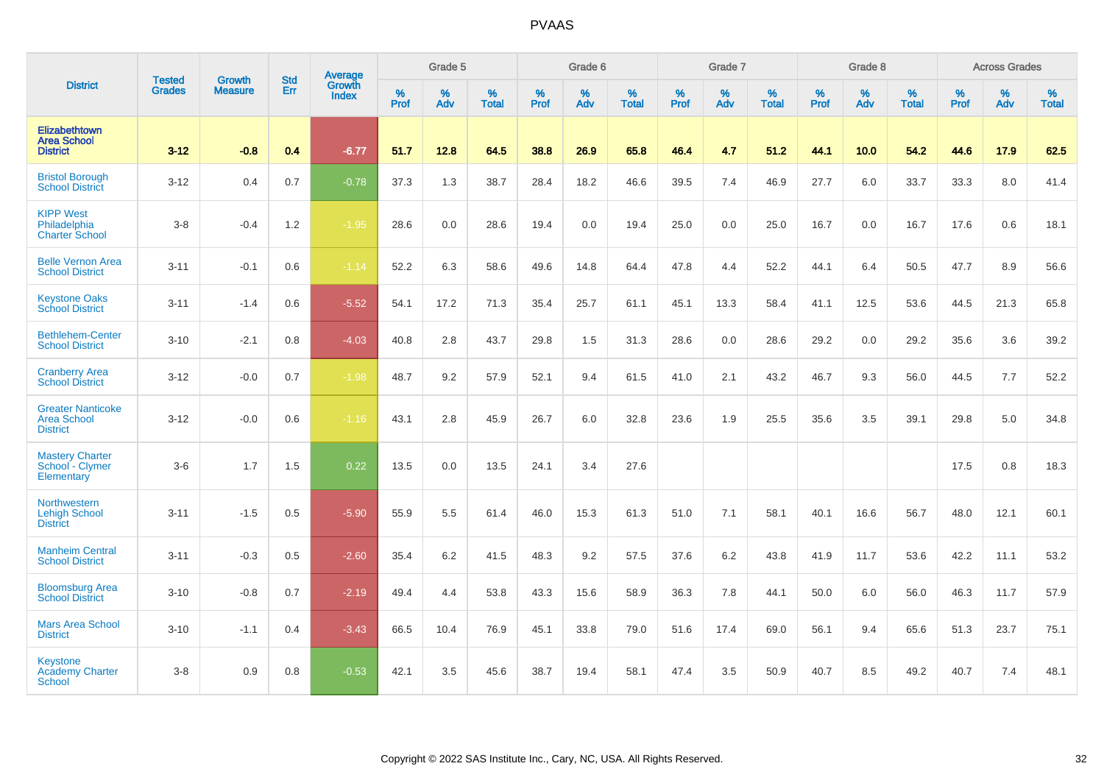|                                                                   |                                |                                 | <b>Std</b> | Average                |           | Grade 5  |                   |           | Grade 6  |                   |           | Grade 7  |                   |           | Grade 8  |                   |           | <b>Across Grades</b> |                   |
|-------------------------------------------------------------------|--------------------------------|---------------------------------|------------|------------------------|-----------|----------|-------------------|-----------|----------|-------------------|-----------|----------|-------------------|-----------|----------|-------------------|-----------|----------------------|-------------------|
| <b>District</b>                                                   | <b>Tested</b><br><b>Grades</b> | <b>Growth</b><br><b>Measure</b> | Err        | Growth<br><b>Index</b> | %<br>Prof | %<br>Adv | %<br><b>Total</b> | %<br>Prof | %<br>Adv | %<br><b>Total</b> | %<br>Prof | %<br>Adv | %<br><b>Total</b> | %<br>Prof | %<br>Adv | %<br><b>Total</b> | %<br>Prof | %<br>Adv             | %<br><b>Total</b> |
| <b>Elizabethtown</b><br><b>Area School</b><br><b>District</b>     | $3 - 12$                       | $-0.8$                          | 0.4        | $-6.77$                | 51.7      | 12.8     | 64.5              | 38.8      | 26.9     | 65.8              | 46.4      | 4.7      | 51.2              | 44.1      | 10.0     | 54.2              | 44.6      | 17.9                 | 62.5              |
| <b>Bristol Borough</b><br><b>School District</b>                  | $3 - 12$                       | 0.4                             | 0.7        | $-0.78$                | 37.3      | 1.3      | 38.7              | 28.4      | 18.2     | 46.6              | 39.5      | 7.4      | 46.9              | 27.7      | 6.0      | 33.7              | 33.3      | 8.0                  | 41.4              |
| <b>KIPP West</b><br>Philadelphia<br><b>Charter School</b>         | $3-8$                          | $-0.4$                          | 1.2        | $-1.95$                | 28.6      | 0.0      | 28.6              | 19.4      | 0.0      | 19.4              | 25.0      | 0.0      | 25.0              | 16.7      | 0.0      | 16.7              | 17.6      | 0.6                  | 18.1              |
| <b>Belle Vernon Area</b><br><b>School District</b>                | $3 - 11$                       | $-0.1$                          | 0.6        | $-1.14$                | 52.2      | 6.3      | 58.6              | 49.6      | 14.8     | 64.4              | 47.8      | 4.4      | 52.2              | 44.1      | 6.4      | 50.5              | 47.7      | 8.9                  | 56.6              |
| <b>Keystone Oaks</b><br><b>School District</b>                    | $3 - 11$                       | $-1.4$                          | 0.6        | $-5.52$                | 54.1      | 17.2     | 71.3              | 35.4      | 25.7     | 61.1              | 45.1      | 13.3     | 58.4              | 41.1      | 12.5     | 53.6              | 44.5      | 21.3                 | 65.8              |
| <b>Bethlehem-Center</b><br><b>School District</b>                 | $3 - 10$                       | $-2.1$                          | 0.8        | $-4.03$                | 40.8      | 2.8      | 43.7              | 29.8      | 1.5      | 31.3              | 28.6      | 0.0      | 28.6              | 29.2      | 0.0      | 29.2              | 35.6      | 3.6                  | 39.2              |
| <b>Cranberry Area</b><br><b>School District</b>                   | $3 - 12$                       | $-0.0$                          | 0.7        | $-1.98$                | 48.7      | 9.2      | 57.9              | 52.1      | 9.4      | 61.5              | 41.0      | 2.1      | 43.2              | 46.7      | 9.3      | 56.0              | 44.5      | 7.7                  | 52.2              |
| <b>Greater Nanticoke</b><br><b>Area School</b><br><b>District</b> | $3 - 12$                       | $-0.0$                          | 0.6        | $-1.16$                | 43.1      | 2.8      | 45.9              | 26.7      | 6.0      | 32.8              | 23.6      | 1.9      | 25.5              | 35.6      | 3.5      | 39.1              | 29.8      | 5.0                  | 34.8              |
| <b>Mastery Charter</b><br>School - Clymer<br>Elementary           | $3-6$                          | 1.7                             | 1.5        | 0.22                   | 13.5      | 0.0      | 13.5              | 24.1      | 3.4      | 27.6              |           |          |                   |           |          |                   | 17.5      | 0.8                  | 18.3              |
| Northwestern<br><b>Lehigh School</b><br><b>District</b>           | $3 - 11$                       | $-1.5$                          | 0.5        | $-5.90$                | 55.9      | 5.5      | 61.4              | 46.0      | 15.3     | 61.3              | 51.0      | 7.1      | 58.1              | 40.1      | 16.6     | 56.7              | 48.0      | 12.1                 | 60.1              |
| <b>Manheim Central</b><br><b>School District</b>                  | $3 - 11$                       | $-0.3$                          | 0.5        | $-2.60$                | 35.4      | 6.2      | 41.5              | 48.3      | 9.2      | 57.5              | 37.6      | 6.2      | 43.8              | 41.9      | 11.7     | 53.6              | 42.2      | 11.1                 | 53.2              |
| <b>Bloomsburg Area</b><br><b>School District</b>                  | $3 - 10$                       | $-0.8$                          | 0.7        | $-2.19$                | 49.4      | 4.4      | 53.8              | 43.3      | 15.6     | 58.9              | 36.3      | 7.8      | 44.1              | 50.0      | 6.0      | 56.0              | 46.3      | 11.7                 | 57.9              |
| <b>Mars Area School</b><br><b>District</b>                        | $3 - 10$                       | $-1.1$                          | 0.4        | $-3.43$                | 66.5      | 10.4     | 76.9              | 45.1      | 33.8     | 79.0              | 51.6      | 17.4     | 69.0              | 56.1      | 9.4      | 65.6              | 51.3      | 23.7                 | 75.1              |
| <b>Keystone</b><br><b>Academy Charter</b><br><b>School</b>        | $3-8$                          | 0.9                             | 0.8        | $-0.53$                | 42.1      | 3.5      | 45.6              | 38.7      | 19.4     | 58.1              | 47.4      | 3.5      | 50.9              | 40.7      | 8.5      | 49.2              | 40.7      | 7.4                  | 48.1              |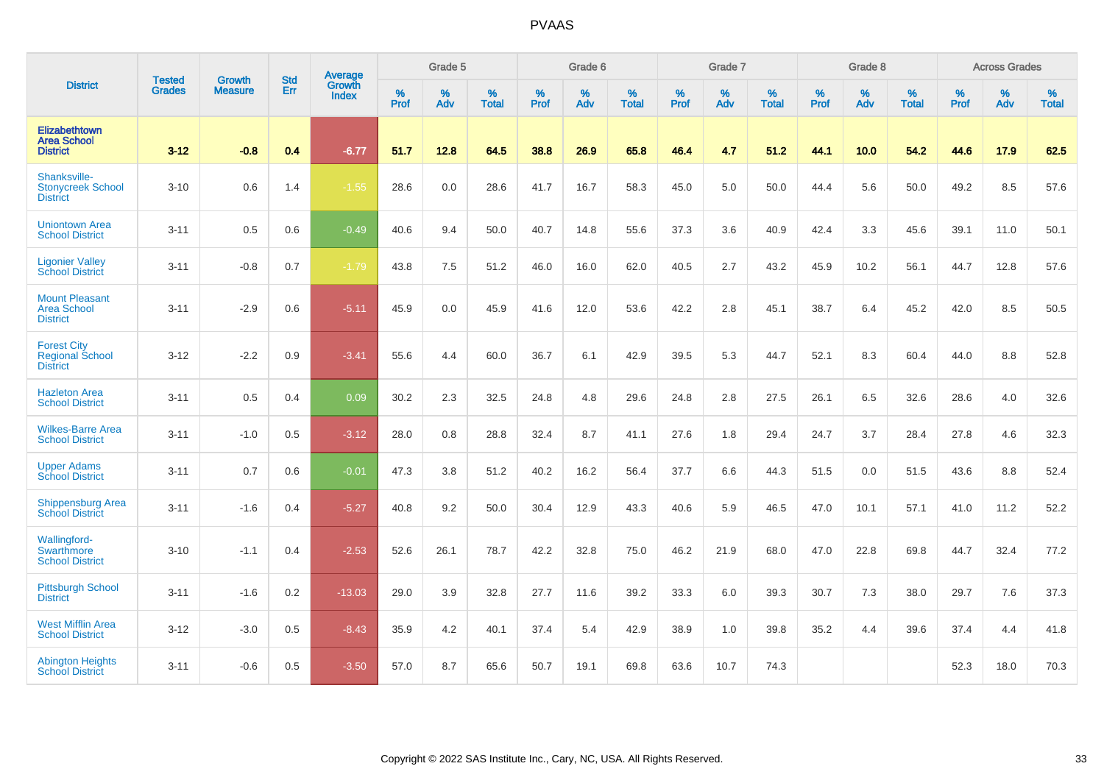|                                                                 | <b>Tested</b> | <b>Growth</b>  | <b>Std</b> | Average                |                     | Grade 5  |                   |                     | Grade 6  |                   |                     | Grade 7  |                   |                     | Grade 8  |                   |                     | <b>Across Grades</b> |                   |
|-----------------------------------------------------------------|---------------|----------------|------------|------------------------|---------------------|----------|-------------------|---------------------|----------|-------------------|---------------------|----------|-------------------|---------------------|----------|-------------------|---------------------|----------------------|-------------------|
| <b>District</b>                                                 | <b>Grades</b> | <b>Measure</b> | Err        | Growth<br><b>Index</b> | $\%$<br><b>Prof</b> | %<br>Adv | %<br><b>Total</b> | $\%$<br><b>Prof</b> | %<br>Adv | %<br><b>Total</b> | $\%$<br><b>Prof</b> | %<br>Adv | %<br><b>Total</b> | $\%$<br><b>Prof</b> | %<br>Adv | %<br><b>Total</b> | $\%$<br><b>Prof</b> | %<br>Adv             | %<br><b>Total</b> |
| Elizabethtown<br><b>Area School</b><br><b>District</b>          | $3 - 12$      | $-0.8$         | 0.4        | $-6.77$                | 51.7                | 12.8     | 64.5              | 38.8                | 26.9     | 65.8              | 46.4                | 4.7      | 51.2              | 44.1                | 10.0     | 54.2              | 44.6                | 17.9                 | 62.5              |
| Shanksville-<br><b>Stonycreek School</b><br><b>District</b>     | $3 - 10$      | 0.6            | 1.4        | $-1.55$                | 28.6                | 0.0      | 28.6              | 41.7                | 16.7     | 58.3              | 45.0                | 5.0      | 50.0              | 44.4                | 5.6      | 50.0              | 49.2                | 8.5                  | 57.6              |
| <b>Uniontown Area</b><br><b>School District</b>                 | $3 - 11$      | 0.5            | 0.6        | $-0.49$                | 40.6                | 9.4      | 50.0              | 40.7                | 14.8     | 55.6              | 37.3                | 3.6      | 40.9              | 42.4                | 3.3      | 45.6              | 39.1                | 11.0                 | 50.1              |
| <b>Ligonier Valley</b><br><b>School District</b>                | $3 - 11$      | $-0.8$         | 0.7        | $-1.79$                | 43.8                | 7.5      | 51.2              | 46.0                | 16.0     | 62.0              | 40.5                | 2.7      | 43.2              | 45.9                | 10.2     | 56.1              | 44.7                | 12.8                 | 57.6              |
| <b>Mount Pleasant</b><br><b>Area School</b><br><b>District</b>  | $3 - 11$      | $-2.9$         | 0.6        | $-5.11$                | 45.9                | 0.0      | 45.9              | 41.6                | 12.0     | 53.6              | 42.2                | 2.8      | 45.1              | 38.7                | 6.4      | 45.2              | 42.0                | 8.5                  | 50.5              |
| <b>Forest City</b><br><b>Regional School</b><br><b>District</b> | $3 - 12$      | $-2.2$         | 0.9        | $-3.41$                | 55.6                | 4.4      | 60.0              | 36.7                | 6.1      | 42.9              | 39.5                | 5.3      | 44.7              | 52.1                | 8.3      | 60.4              | 44.0                | 8.8                  | 52.8              |
| <b>Hazleton Area</b><br><b>School District</b>                  | $3 - 11$      | 0.5            | 0.4        | 0.09                   | 30.2                | 2.3      | 32.5              | 24.8                | 4.8      | 29.6              | 24.8                | 2.8      | 27.5              | 26.1                | 6.5      | 32.6              | 28.6                | 4.0                  | 32.6              |
| <b>Wilkes-Barre Area</b><br><b>School District</b>              | $3 - 11$      | $-1.0$         | 0.5        | $-3.12$                | 28.0                | 0.8      | 28.8              | 32.4                | 8.7      | 41.1              | 27.6                | 1.8      | 29.4              | 24.7                | 3.7      | 28.4              | 27.8                | 4.6                  | 32.3              |
| <b>Upper Adams</b><br><b>School District</b>                    | $3 - 11$      | 0.7            | 0.6        | $-0.01$                | 47.3                | 3.8      | 51.2              | 40.2                | 16.2     | 56.4              | 37.7                | 6.6      | 44.3              | 51.5                | 0.0      | 51.5              | 43.6                | 8.8                  | 52.4              |
| <b>Shippensburg Area</b><br><b>School District</b>              | $3 - 11$      | $-1.6$         | 0.4        | $-5.27$                | 40.8                | 9.2      | 50.0              | 30.4                | 12.9     | 43.3              | 40.6                | 5.9      | 46.5              | 47.0                | 10.1     | 57.1              | 41.0                | 11.2                 | 52.2              |
| Wallingford-<br>Swarthmore<br><b>School District</b>            | $3 - 10$      | $-1.1$         | 0.4        | $-2.53$                | 52.6                | 26.1     | 78.7              | 42.2                | 32.8     | 75.0              | 46.2                | 21.9     | 68.0              | 47.0                | 22.8     | 69.8              | 44.7                | 32.4                 | 77.2              |
| <b>Pittsburgh School</b><br><b>District</b>                     | $3 - 11$      | $-1.6$         | 0.2        | $-13.03$               | 29.0                | 3.9      | 32.8              | 27.7                | 11.6     | 39.2              | 33.3                | 6.0      | 39.3              | 30.7                | 7.3      | 38.0              | 29.7                | 7.6                  | 37.3              |
| <b>West Mifflin Area</b><br><b>School District</b>              | $3 - 12$      | $-3.0$         | 0.5        | $-8.43$                | 35.9                | 4.2      | 40.1              | 37.4                | 5.4      | 42.9              | 38.9                | 1.0      | 39.8              | 35.2                | 4.4      | 39.6              | 37.4                | 4.4                  | 41.8              |
| <b>Abington Heights</b><br><b>School District</b>               | $3 - 11$      | $-0.6$         | 0.5        | $-3.50$                | 57.0                | 8.7      | 65.6              | 50.7                | 19.1     | 69.8              | 63.6                | 10.7     | 74.3              |                     |          |                   | 52.3                | 18.0                 | 70.3              |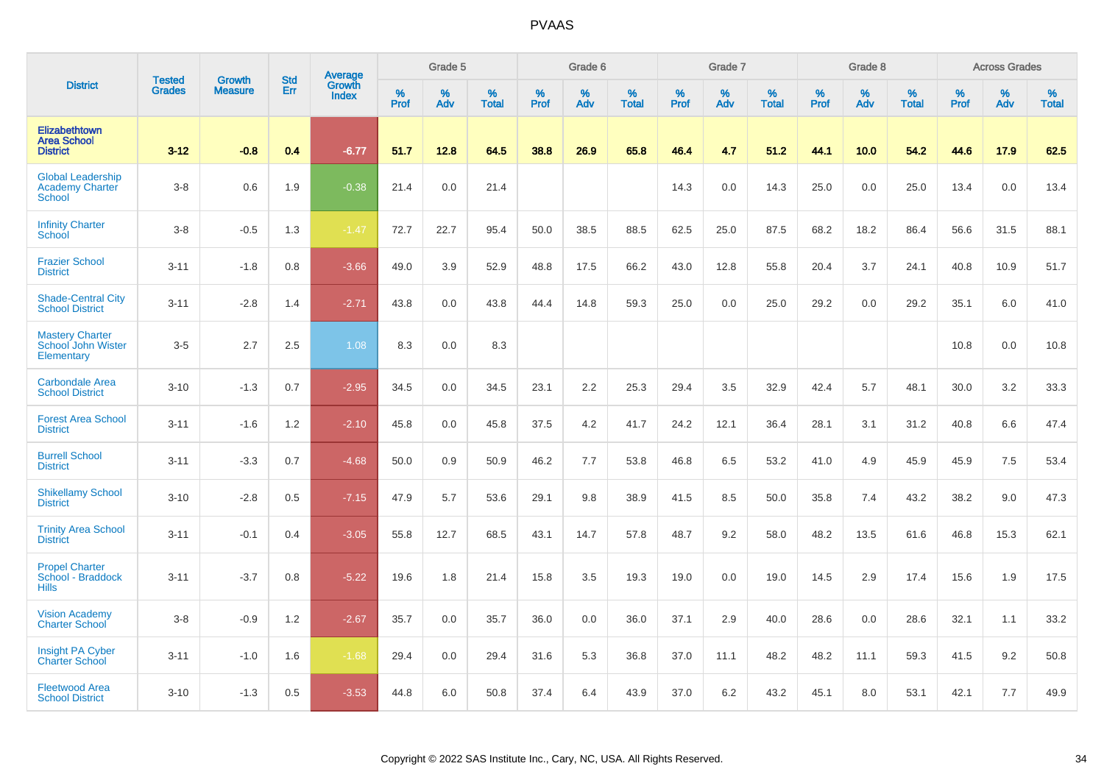|                                                              | <b>Tested</b> | <b>Growth</b>  | <b>Std</b> | Average                |              | Grade 5  |                   |           | Grade 6  |                   |           | Grade 7  |                   |           | Grade 8  |                   |           | <b>Across Grades</b> |                   |
|--------------------------------------------------------------|---------------|----------------|------------|------------------------|--------------|----------|-------------------|-----------|----------|-------------------|-----------|----------|-------------------|-----------|----------|-------------------|-----------|----------------------|-------------------|
| <b>District</b>                                              | <b>Grades</b> | <b>Measure</b> | Err        | Growth<br><b>Index</b> | $\%$<br>Prof | %<br>Adv | %<br><b>Total</b> | %<br>Prof | %<br>Adv | %<br><b>Total</b> | %<br>Prof | %<br>Adv | %<br><b>Total</b> | %<br>Prof | %<br>Adv | %<br><b>Total</b> | %<br>Prof | %<br>Adv             | %<br><b>Total</b> |
| Elizabethtown<br><b>Area School</b><br><b>District</b>       | $3 - 12$      | $-0.8$         | 0.4        | $-6.77$                | 51.7         | 12.8     | 64.5              | 38.8      | 26.9     | 65.8              | 46.4      | 4.7      | 51.2              | 44.1      | 10.0     | 54.2              | 44.6      | 17.9                 | 62.5              |
| <b>Global Leadership</b><br><b>Academy Charter</b><br>School | $3-8$         | 0.6            | 1.9        | $-0.38$                | 21.4         | 0.0      | 21.4              |           |          |                   | 14.3      | 0.0      | 14.3              | 25.0      | 0.0      | 25.0              | 13.4      | 0.0                  | 13.4              |
| <b>Infinity Charter</b><br>School                            | $3-8$         | $-0.5$         | 1.3        | $-1.47$                | 72.7         | 22.7     | 95.4              | 50.0      | 38.5     | 88.5              | 62.5      | 25.0     | 87.5              | 68.2      | 18.2     | 86.4              | 56.6      | 31.5                 | 88.1              |
| <b>Frazier School</b><br><b>District</b>                     | $3 - 11$      | $-1.8$         | 0.8        | $-3.66$                | 49.0         | 3.9      | 52.9              | 48.8      | 17.5     | 66.2              | 43.0      | 12.8     | 55.8              | 20.4      | 3.7      | 24.1              | 40.8      | 10.9                 | 51.7              |
| <b>Shade-Central City</b><br><b>School District</b>          | $3 - 11$      | $-2.8$         | 1.4        | $-2.71$                | 43.8         | 0.0      | 43.8              | 44.4      | 14.8     | 59.3              | 25.0      | 0.0      | 25.0              | 29.2      | 0.0      | 29.2              | 35.1      | 6.0                  | 41.0              |
| <b>Mastery Charter</b><br>School John Wister<br>Elementary   | $3-5$         | 2.7            | 2.5        | 1.08                   | 8.3          | 0.0      | 8.3               |           |          |                   |           |          |                   |           |          |                   | 10.8      | 0.0                  | 10.8              |
| <b>Carbondale Area</b><br><b>School District</b>             | $3 - 10$      | $-1.3$         | 0.7        | $-2.95$                | 34.5         | 0.0      | 34.5              | 23.1      | 2.2      | 25.3              | 29.4      | 3.5      | 32.9              | 42.4      | 5.7      | 48.1              | 30.0      | 3.2                  | 33.3              |
| <b>Forest Area School</b><br><b>District</b>                 | $3 - 11$      | $-1.6$         | 1.2        | $-2.10$                | 45.8         | 0.0      | 45.8              | 37.5      | 4.2      | 41.7              | 24.2      | 12.1     | 36.4              | 28.1      | 3.1      | 31.2              | 40.8      | 6.6                  | 47.4              |
| <b>Burrell School</b><br><b>District</b>                     | $3 - 11$      | $-3.3$         | 0.7        | $-4.68$                | 50.0         | 0.9      | 50.9              | 46.2      | 7.7      | 53.8              | 46.8      | 6.5      | 53.2              | 41.0      | 4.9      | 45.9              | 45.9      | 7.5                  | 53.4              |
| <b>Shikellamy School</b><br><b>District</b>                  | $3 - 10$      | $-2.8$         | 0.5        | $-7.15$                | 47.9         | 5.7      | 53.6              | 29.1      | 9.8      | 38.9              | 41.5      | 8.5      | 50.0              | 35.8      | 7.4      | 43.2              | 38.2      | 9.0                  | 47.3              |
| <b>Trinity Area School</b><br><b>District</b>                | $3 - 11$      | $-0.1$         | 0.4        | $-3.05$                | 55.8         | 12.7     | 68.5              | 43.1      | 14.7     | 57.8              | 48.7      | 9.2      | 58.0              | 48.2      | 13.5     | 61.6              | 46.8      | 15.3                 | 62.1              |
| <b>Propel Charter</b><br>School - Braddock<br><b>Hills</b>   | $3 - 11$      | $-3.7$         | 0.8        | $-5.22$                | 19.6         | 1.8      | 21.4              | 15.8      | 3.5      | 19.3              | 19.0      | 0.0      | 19.0              | 14.5      | 2.9      | 17.4              | 15.6      | 1.9                  | 17.5              |
| <b>Vision Academy</b><br><b>Charter School</b>               | $3-8$         | $-0.9$         | 1.2        | $-2.67$                | 35.7         | 0.0      | 35.7              | 36.0      | 0.0      | 36.0              | 37.1      | 2.9      | 40.0              | 28.6      | 0.0      | 28.6              | 32.1      | 1.1                  | 33.2              |
| <b>Insight PA Cyber</b><br><b>Charter School</b>             | $3 - 11$      | $-1.0$         | 1.6        | $-1.68$                | 29.4         | 0.0      | 29.4              | 31.6      | 5.3      | 36.8              | 37.0      | 11.1     | 48.2              | 48.2      | 11.1     | 59.3              | 41.5      | 9.2                  | 50.8              |
| <b>Fleetwood Area</b><br><b>School District</b>              | $3 - 10$      | $-1.3$         | 0.5        | $-3.53$                | 44.8         | 6.0      | 50.8              | 37.4      | 6.4      | 43.9              | 37.0      | 6.2      | 43.2              | 45.1      | 8.0      | 53.1              | 42.1      | 7.7                  | 49.9              |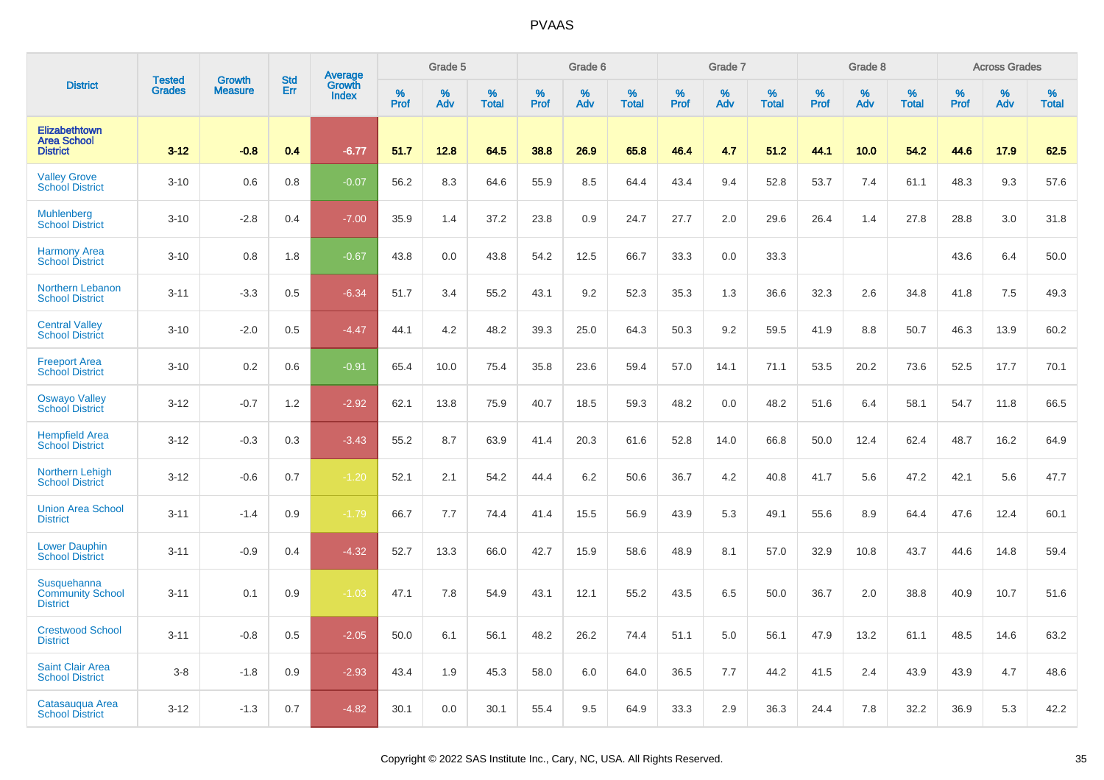|                                                           | <b>Tested</b> | <b>Growth</b>  | <b>Std</b> |                                   |                     | Grade 5  |                   |              | Grade 6  |                   |              | Grade 7  |                   |              | Grade 8  |                   |                  | <b>Across Grades</b> |                   |
|-----------------------------------------------------------|---------------|----------------|------------|-----------------------------------|---------------------|----------|-------------------|--------------|----------|-------------------|--------------|----------|-------------------|--------------|----------|-------------------|------------------|----------------------|-------------------|
| <b>District</b>                                           | <b>Grades</b> | <b>Measure</b> | Err        | Average<br>Growth<br><b>Index</b> | $\%$<br><b>Prof</b> | %<br>Adv | %<br><b>Total</b> | $\%$<br>Prof | %<br>Adv | %<br><b>Total</b> | $\%$<br>Prof | %<br>Adv | %<br><b>Total</b> | $\%$<br>Prof | %<br>Adv | %<br><b>Total</b> | %<br><b>Prof</b> | %<br>Adv             | %<br><b>Total</b> |
| Elizabethtown<br><b>Area School</b><br><b>District</b>    | $3 - 12$      | $-0.8$         | 0.4        | $-6.77$                           | 51.7                | 12.8     | 64.5              | 38.8         | 26.9     | 65.8              | 46.4         | 4.7      | 51.2              | 44.1         | 10.0     | 54.2              | 44.6             | 17.9                 | 62.5              |
| <b>Valley Grove</b><br><b>School District</b>             | $3 - 10$      | 0.6            | 0.8        | $-0.07$                           | 56.2                | 8.3      | 64.6              | 55.9         | 8.5      | 64.4              | 43.4         | 9.4      | 52.8              | 53.7         | 7.4      | 61.1              | 48.3             | 9.3                  | 57.6              |
| <b>Muhlenberg</b><br><b>School District</b>               | $3 - 10$      | $-2.8$         | 0.4        | $-7.00$                           | 35.9                | 1.4      | 37.2              | 23.8         | 0.9      | 24.7              | 27.7         | 2.0      | 29.6              | 26.4         | 1.4      | 27.8              | 28.8             | 3.0                  | 31.8              |
| <b>Harmony Area</b><br><b>School District</b>             | $3 - 10$      | 0.8            | 1.8        | $-0.67$                           | 43.8                | 0.0      | 43.8              | 54.2         | 12.5     | 66.7              | 33.3         | 0.0      | 33.3              |              |          |                   | 43.6             | 6.4                  | 50.0              |
| Northern Lebanon<br><b>School District</b>                | $3 - 11$      | $-3.3$         | 0.5        | $-6.34$                           | 51.7                | 3.4      | 55.2              | 43.1         | 9.2      | 52.3              | 35.3         | 1.3      | 36.6              | 32.3         | 2.6      | 34.8              | 41.8             | 7.5                  | 49.3              |
| <b>Central Valley</b><br><b>School District</b>           | $3 - 10$      | $-2.0$         | 0.5        | $-4.47$                           | 44.1                | 4.2      | 48.2              | 39.3         | 25.0     | 64.3              | 50.3         | 9.2      | 59.5              | 41.9         | 8.8      | 50.7              | 46.3             | 13.9                 | 60.2              |
| <b>Freeport Area</b><br><b>School District</b>            | $3 - 10$      | 0.2            | 0.6        | $-0.91$                           | 65.4                | 10.0     | 75.4              | 35.8         | 23.6     | 59.4              | 57.0         | 14.1     | 71.1              | 53.5         | 20.2     | 73.6              | 52.5             | 17.7                 | 70.1              |
| <b>Oswayo Valley</b><br>School District                   | $3 - 12$      | $-0.7$         | 1.2        | $-2.92$                           | 62.1                | 13.8     | 75.9              | 40.7         | 18.5     | 59.3              | 48.2         | 0.0      | 48.2              | 51.6         | 6.4      | 58.1              | 54.7             | 11.8                 | 66.5              |
| <b>Hempfield Area</b><br><b>School District</b>           | $3 - 12$      | $-0.3$         | 0.3        | $-3.43$                           | 55.2                | 8.7      | 63.9              | 41.4         | 20.3     | 61.6              | 52.8         | 14.0     | 66.8              | 50.0         | 12.4     | 62.4              | 48.7             | 16.2                 | 64.9              |
| <b>Northern Lehigh</b><br><b>School District</b>          | $3 - 12$      | $-0.6$         | 0.7        | $-1.20$                           | 52.1                | 2.1      | 54.2              | 44.4         | 6.2      | 50.6              | 36.7         | 4.2      | 40.8              | 41.7         | 5.6      | 47.2              | 42.1             | 5.6                  | 47.7              |
| <b>Union Area School</b><br><b>District</b>               | $3 - 11$      | $-1.4$         | 0.9        | $-1.79$                           | 66.7                | 7.7      | 74.4              | 41.4         | 15.5     | 56.9              | 43.9         | 5.3      | 49.1              | 55.6         | 8.9      | 64.4              | 47.6             | 12.4                 | 60.1              |
| <b>Lower Dauphin</b><br><b>School District</b>            | $3 - 11$      | $-0.9$         | 0.4        | $-4.32$                           | 52.7                | 13.3     | 66.0              | 42.7         | 15.9     | 58.6              | 48.9         | 8.1      | 57.0              | 32.9         | 10.8     | 43.7              | 44.6             | 14.8                 | 59.4              |
| Susquehanna<br><b>Community School</b><br><b>District</b> | $3 - 11$      | 0.1            | 0.9        | $-1.03$                           | 47.1                | 7.8      | 54.9              | 43.1         | 12.1     | 55.2              | 43.5         | 6.5      | 50.0              | 36.7         | 2.0      | 38.8              | 40.9             | 10.7                 | 51.6              |
| <b>Crestwood School</b><br><b>District</b>                | $3 - 11$      | $-0.8$         | 0.5        | $-2.05$                           | 50.0                | 6.1      | 56.1              | 48.2         | 26.2     | 74.4              | 51.1         | 5.0      | 56.1              | 47.9         | 13.2     | 61.1              | 48.5             | 14.6                 | 63.2              |
| <b>Saint Clair Area</b><br><b>School District</b>         | $3 - 8$       | $-1.8$         | 0.9        | $-2.93$                           | 43.4                | 1.9      | 45.3              | 58.0         | 6.0      | 64.0              | 36.5         | 7.7      | 44.2              | 41.5         | 2.4      | 43.9              | 43.9             | 4.7                  | 48.6              |
| Catasaugua Area<br><b>School District</b>                 | $3 - 12$      | $-1.3$         | 0.7        | $-4.82$                           | 30.1                | 0.0      | 30.1              | 55.4         | 9.5      | 64.9              | 33.3         | 2.9      | 36.3              | 24.4         | 7.8      | 32.2              | 36.9             | 5.3                  | 42.2              |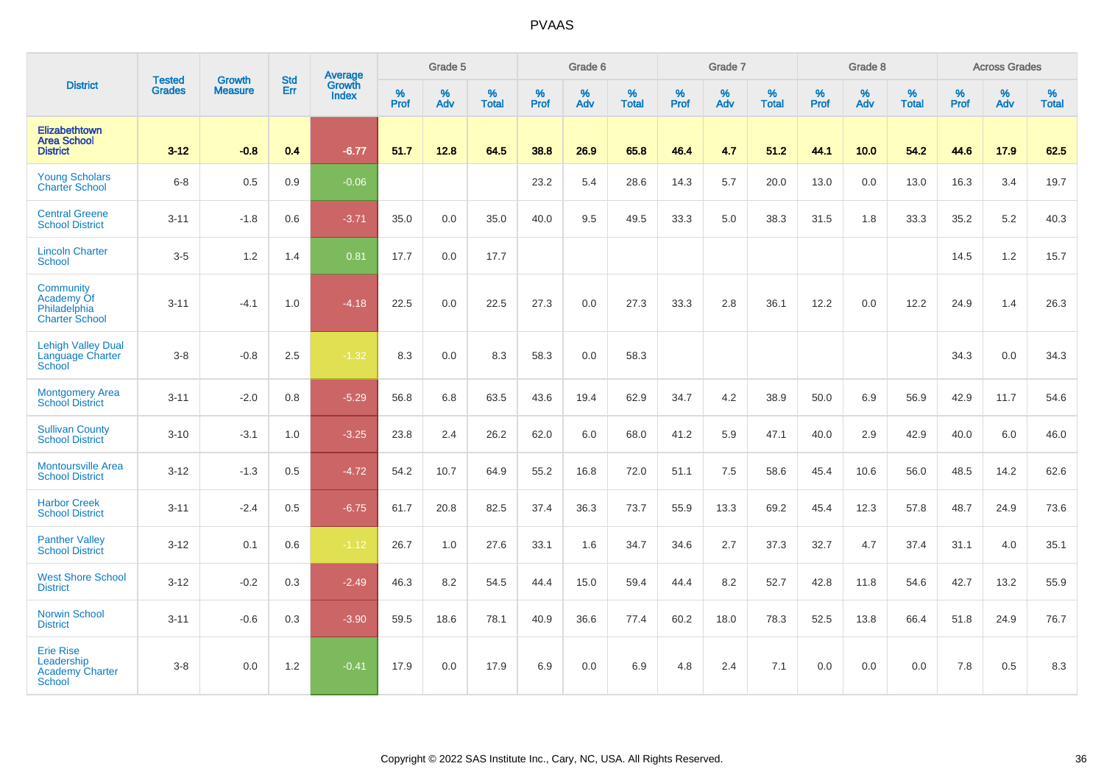|                                                                           | <b>Tested</b> | <b>Growth</b>  | <b>Std</b> | Average                |                     | Grade 5  |                   |              | Grade 6  |                   |           | Grade 7  |                   |              | Grade 8  |                   |                  | <b>Across Grades</b> |                   |
|---------------------------------------------------------------------------|---------------|----------------|------------|------------------------|---------------------|----------|-------------------|--------------|----------|-------------------|-----------|----------|-------------------|--------------|----------|-------------------|------------------|----------------------|-------------------|
| <b>District</b>                                                           | <b>Grades</b> | <b>Measure</b> | Err        | Growth<br><b>Index</b> | $\%$<br><b>Prof</b> | %<br>Adv | %<br><b>Total</b> | $\%$<br>Prof | %<br>Adv | %<br><b>Total</b> | %<br>Prof | %<br>Adv | %<br><b>Total</b> | $\%$<br>Prof | %<br>Adv | %<br><b>Total</b> | %<br><b>Prof</b> | %<br>Adv             | %<br><b>Total</b> |
| <b>Elizabethtown</b><br><b>Area School</b><br><b>District</b>             | $3 - 12$      | $-0.8$         | 0.4        | $-6.77$                | 51.7                | 12.8     | 64.5              | 38.8         | 26.9     | 65.8              | 46.4      | 4.7      | 51.2              | 44.1         | 10.0     | 54.2              | 44.6             | 17.9                 | 62.5              |
| <b>Young Scholars</b><br><b>Charter School</b>                            | $6-8$         | 0.5            | 0.9        | $-0.06$                |                     |          |                   | 23.2         | 5.4      | 28.6              | 14.3      | 5.7      | 20.0              | 13.0         | 0.0      | 13.0              | 16.3             | 3.4                  | 19.7              |
| <b>Central Greene</b><br><b>School District</b>                           | $3 - 11$      | $-1.8$         | 0.6        | $-3.71$                | 35.0                | 0.0      | 35.0              | 40.0         | 9.5      | 49.5              | 33.3      | 5.0      | 38.3              | 31.5         | 1.8      | 33.3              | 35.2             | 5.2                  | 40.3              |
| <b>Lincoln Charter</b><br>School                                          | $3 - 5$       | 1.2            | 1.4        | 0.81                   | 17.7                | 0.0      | 17.7              |              |          |                   |           |          |                   |              |          |                   | 14.5             | 1.2                  | 15.7              |
| Community<br>Academy Of<br>Philadelphia<br><b>Charter School</b>          | $3 - 11$      | $-4.1$         | 1.0        | $-4.18$                | 22.5                | 0.0      | 22.5              | 27.3         | 0.0      | 27.3              | 33.3      | 2.8      | 36.1              | 12.2         | 0.0      | 12.2              | 24.9             | 1.4                  | 26.3              |
| <b>Lehigh Valley Dual</b><br><b>Language Charter</b><br>School            | $3-8$         | $-0.8$         | 2.5        | $-1.32$                | 8.3                 | 0.0      | 8.3               | 58.3         | 0.0      | 58.3              |           |          |                   |              |          |                   | 34.3             | 0.0                  | 34.3              |
| <b>Montgomery Area</b><br><b>School District</b>                          | $3 - 11$      | $-2.0$         | 0.8        | $-5.29$                | 56.8                | 6.8      | 63.5              | 43.6         | 19.4     | 62.9              | 34.7      | 4.2      | 38.9              | 50.0         | 6.9      | 56.9              | 42.9             | 11.7                 | 54.6              |
| <b>Sullivan County</b><br><b>School District</b>                          | $3 - 10$      | $-3.1$         | 1.0        | $-3.25$                | 23.8                | 2.4      | 26.2              | 62.0         | 6.0      | 68.0              | 41.2      | 5.9      | 47.1              | 40.0         | 2.9      | 42.9              | 40.0             | 6.0                  | 46.0              |
| <b>Montoursville Area</b><br><b>School District</b>                       | $3 - 12$      | $-1.3$         | 0.5        | $-4.72$                | 54.2                | 10.7     | 64.9              | 55.2         | 16.8     | 72.0              | 51.1      | 7.5      | 58.6              | 45.4         | 10.6     | 56.0              | 48.5             | 14.2                 | 62.6              |
| <b>Harbor Creek</b><br><b>School District</b>                             | $3 - 11$      | $-2.4$         | 0.5        | $-6.75$                | 61.7                | 20.8     | 82.5              | 37.4         | 36.3     | 73.7              | 55.9      | 13.3     | 69.2              | 45.4         | 12.3     | 57.8              | 48.7             | 24.9                 | 73.6              |
| <b>Panther Valley</b><br><b>School District</b>                           | $3 - 12$      | 0.1            | 0.6        | $-1.12$                | 26.7                | 1.0      | 27.6              | 33.1         | 1.6      | 34.7              | 34.6      | 2.7      | 37.3              | 32.7         | 4.7      | 37.4              | 31.1             | 4.0                  | 35.1              |
| <b>West Shore School</b><br><b>District</b>                               | $3 - 12$      | $-0.2$         | 0.3        | $-2.49$                | 46.3                | 8.2      | 54.5              | 44.4         | 15.0     | 59.4              | 44.4      | 8.2      | 52.7              | 42.8         | 11.8     | 54.6              | 42.7             | 13.2                 | 55.9              |
| <b>Norwin School</b><br><b>District</b>                                   | $3 - 11$      | $-0.6$         | 0.3        | $-3.90$                | 59.5                | 18.6     | 78.1              | 40.9         | 36.6     | 77.4              | 60.2      | 18.0     | 78.3              | 52.5         | 13.8     | 66.4              | 51.8             | 24.9                 | 76.7              |
| <b>Erie Rise</b><br>Leadership<br><b>Academy Charter</b><br><b>School</b> | $3 - 8$       | 0.0            | 1.2        | $-0.41$                | 17.9                | 0.0      | 17.9              | 6.9          | 0.0      | 6.9               | 4.8       | 2.4      | 7.1               | 0.0          | 0.0      | 0.0               | 7.8              | 0.5                  | 8.3               |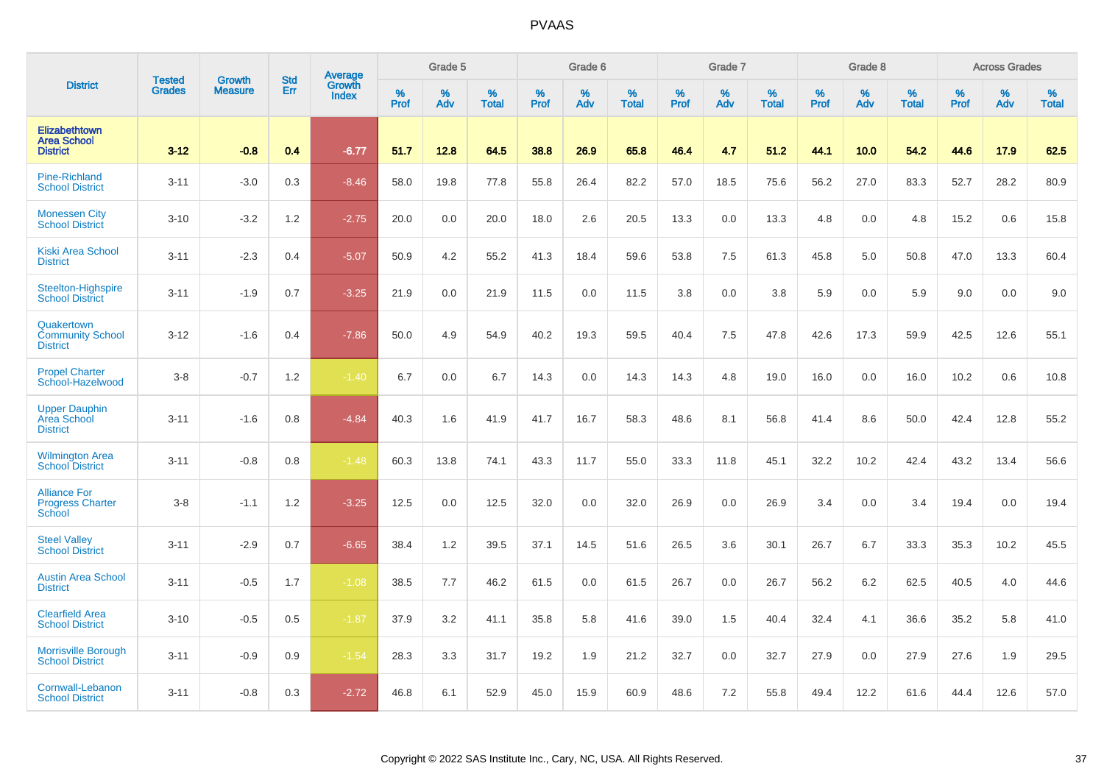|                                                               |                                | <b>Growth</b>  | <b>Std</b> | Average                |              | Grade 5  |                   |           | Grade 6  |                   |           | Grade 7  |                   |           | Grade 8  |                   |           | <b>Across Grades</b> |                   |
|---------------------------------------------------------------|--------------------------------|----------------|------------|------------------------|--------------|----------|-------------------|-----------|----------|-------------------|-----------|----------|-------------------|-----------|----------|-------------------|-----------|----------------------|-------------------|
| <b>District</b>                                               | <b>Tested</b><br><b>Grades</b> | <b>Measure</b> | Err        | Growth<br><b>Index</b> | $\%$<br>Prof | %<br>Adv | %<br><b>Total</b> | %<br>Prof | %<br>Adv | %<br><b>Total</b> | %<br>Prof | %<br>Adv | %<br><b>Total</b> | %<br>Prof | %<br>Adv | %<br><b>Total</b> | %<br>Prof | %<br>Adv             | %<br><b>Total</b> |
| <b>Elizabethtown</b><br><b>Area School</b><br><b>District</b> | $3 - 12$                       | $-0.8$         | 0.4        | $-6.77$                | 51.7         | 12.8     | 64.5              | 38.8      | 26.9     | 65.8              | 46.4      | 4.7      | 51.2              | 44.1      | 10.0     | 54.2              | 44.6      | 17.9                 | 62.5              |
| <b>Pine-Richland</b><br><b>School District</b>                | $3 - 11$                       | $-3.0$         | 0.3        | $-8.46$                | 58.0         | 19.8     | 77.8              | 55.8      | 26.4     | 82.2              | 57.0      | 18.5     | 75.6              | 56.2      | 27.0     | 83.3              | 52.7      | 28.2                 | 80.9              |
| <b>Monessen City</b><br><b>School District</b>                | $3 - 10$                       | $-3.2$         | 1.2        | $-2.75$                | 20.0         | 0.0      | 20.0              | 18.0      | 2.6      | 20.5              | 13.3      | 0.0      | 13.3              | 4.8       | 0.0      | 4.8               | 15.2      | 0.6                  | 15.8              |
| <b>Kiski Area School</b><br><b>District</b>                   | $3 - 11$                       | $-2.3$         | 0.4        | $-5.07$                | 50.9         | 4.2      | 55.2              | 41.3      | 18.4     | 59.6              | 53.8      | 7.5      | 61.3              | 45.8      | 5.0      | 50.8              | 47.0      | 13.3                 | 60.4              |
| <b>Steelton-Highspire</b><br><b>School District</b>           | $3 - 11$                       | $-1.9$         | 0.7        | $-3.25$                | 21.9         | 0.0      | 21.9              | 11.5      | 0.0      | 11.5              | 3.8       | 0.0      | 3.8               | 5.9       | 0.0      | 5.9               | 9.0       | 0.0                  | 9.0               |
| Quakertown<br><b>Community School</b><br><b>District</b>      | $3 - 12$                       | $-1.6$         | 0.4        | $-7.86$                | 50.0         | 4.9      | 54.9              | 40.2      | 19.3     | 59.5              | 40.4      | 7.5      | 47.8              | 42.6      | 17.3     | 59.9              | 42.5      | 12.6                 | 55.1              |
| <b>Propel Charter</b><br>School-Hazelwood                     | $3 - 8$                        | $-0.7$         | 1.2        | $-1.40$                | 6.7          | 0.0      | 6.7               | 14.3      | 0.0      | 14.3              | 14.3      | 4.8      | 19.0              | 16.0      | 0.0      | 16.0              | 10.2      | 0.6                  | 10.8              |
| <b>Upper Dauphin</b><br>Area School<br><b>District</b>        | $3 - 11$                       | $-1.6$         | 0.8        | $-4.84$                | 40.3         | 1.6      | 41.9              | 41.7      | 16.7     | 58.3              | 48.6      | 8.1      | 56.8              | 41.4      | 8.6      | 50.0              | 42.4      | 12.8                 | 55.2              |
| <b>Wilmington Area</b><br><b>School District</b>              | $3 - 11$                       | $-0.8$         | 0.8        | $-1.48$                | 60.3         | 13.8     | 74.1              | 43.3      | 11.7     | 55.0              | 33.3      | 11.8     | 45.1              | 32.2      | 10.2     | 42.4              | 43.2      | 13.4                 | 56.6              |
| <b>Alliance For</b><br><b>Progress Charter</b><br>School      | $3-8$                          | $-1.1$         | 1.2        | $-3.25$                | 12.5         | 0.0      | 12.5              | 32.0      | 0.0      | 32.0              | 26.9      | 0.0      | 26.9              | 3.4       | 0.0      | 3.4               | 19.4      | 0.0                  | 19.4              |
| <b>Steel Valley</b><br><b>School District</b>                 | $3 - 11$                       | $-2.9$         | 0.7        | $-6.65$                | 38.4         | 1.2      | 39.5              | 37.1      | 14.5     | 51.6              | 26.5      | 3.6      | 30.1              | 26.7      | 6.7      | 33.3              | 35.3      | 10.2                 | 45.5              |
| <b>Austin Area School</b><br><b>District</b>                  | $3 - 11$                       | $-0.5$         | 1.7        | $-1.08$                | 38.5         | 7.7      | 46.2              | 61.5      | 0.0      | 61.5              | 26.7      | 0.0      | 26.7              | 56.2      | 6.2      | 62.5              | 40.5      | 4.0                  | 44.6              |
| <b>Clearfield Area</b><br><b>School District</b>              | $3 - 10$                       | $-0.5$         | 0.5        | $-1.87$                | 37.9         | 3.2      | 41.1              | 35.8      | 5.8      | 41.6              | 39.0      | 1.5      | 40.4              | 32.4      | 4.1      | 36.6              | 35.2      | 5.8                  | 41.0              |
| Morrisville Borough<br><b>School District</b>                 | $3 - 11$                       | $-0.9$         | 0.9        | $-1.54$                | 28.3         | 3.3      | 31.7              | 19.2      | 1.9      | 21.2              | 32.7      | 0.0      | 32.7              | 27.9      | 0.0      | 27.9              | 27.6      | 1.9                  | 29.5              |
| Cornwall-Lebanon<br><b>School District</b>                    | $3 - 11$                       | $-0.8$         | 0.3        | $-2.72$                | 46.8         | 6.1      | 52.9              | 45.0      | 15.9     | 60.9              | 48.6      | 7.2      | 55.8              | 49.4      | 12.2     | 61.6              | 44.4      | 12.6                 | 57.0              |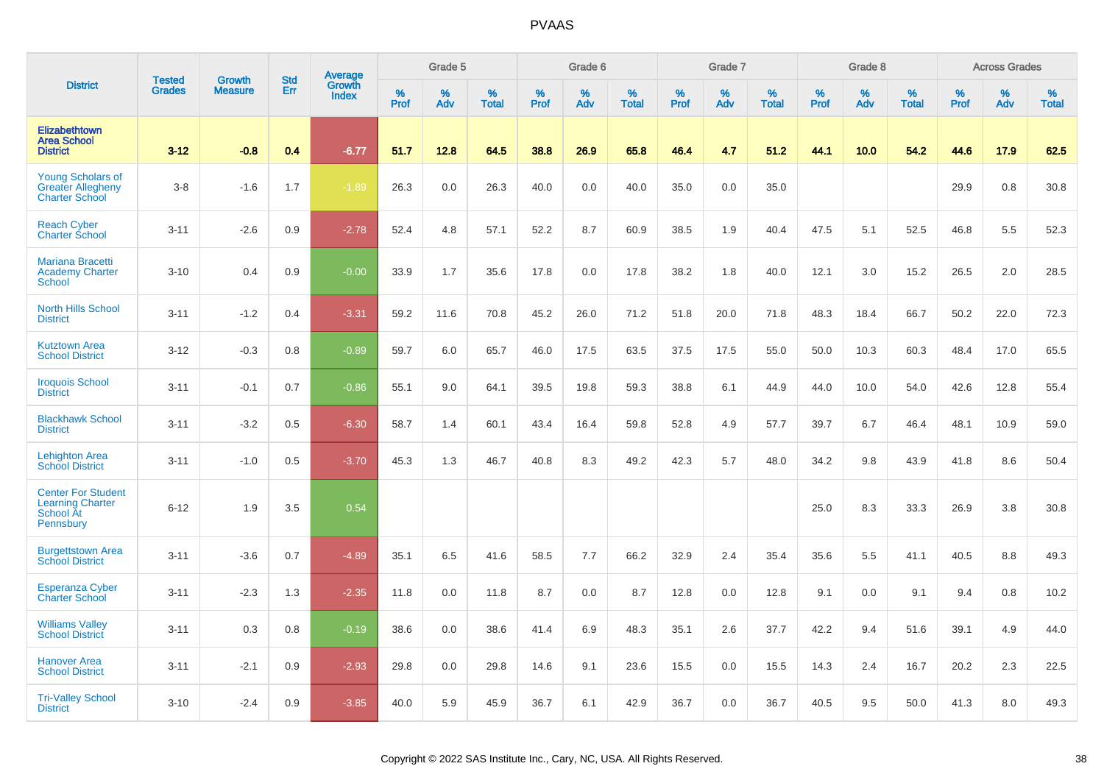|                                                                                |                                | <b>Growth</b>  | <b>Std</b> | <b>Average</b><br>Growth |              | Grade 5  |                   |           | Grade 6  |                   |           | Grade 7  |                   |                  | Grade 8  |                   |           | <b>Across Grades</b> |                   |
|--------------------------------------------------------------------------------|--------------------------------|----------------|------------|--------------------------|--------------|----------|-------------------|-----------|----------|-------------------|-----------|----------|-------------------|------------------|----------|-------------------|-----------|----------------------|-------------------|
| <b>District</b>                                                                | <b>Tested</b><br><b>Grades</b> | <b>Measure</b> | Err        | <b>Index</b>             | $\%$<br>Prof | %<br>Adv | %<br><b>Total</b> | %<br>Prof | %<br>Adv | %<br><b>Total</b> | %<br>Prof | %<br>Adv | %<br><b>Total</b> | %<br><b>Prof</b> | %<br>Adv | %<br><b>Total</b> | %<br>Prof | %<br>Adv             | %<br><b>Total</b> |
| Elizabethtown<br><b>Area School</b><br><b>District</b>                         | $3 - 12$                       | $-0.8$         | 0.4        | $-6.77$                  | 51.7         | 12.8     | 64.5              | 38.8      | 26.9     | 65.8              | 46.4      | 4.7      | 51.2              | 44.1             | 10.0     | 54.2              | 44.6      | 17.9                 | 62.5              |
| <b>Young Scholars of</b><br><b>Greater Allegheny</b><br><b>Charter School</b>  | $3 - 8$                        | $-1.6$         | 1.7        | $-1.89$                  | 26.3         | 0.0      | 26.3              | 40.0      | 0.0      | 40.0              | 35.0      | 0.0      | 35.0              |                  |          |                   | 29.9      | 0.8                  | 30.8              |
| <b>Reach Cyber</b><br>Charter School                                           | $3 - 11$                       | $-2.6$         | 0.9        | $-2.78$                  | 52.4         | 4.8      | 57.1              | 52.2      | 8.7      | 60.9              | 38.5      | 1.9      | 40.4              | 47.5             | 5.1      | 52.5              | 46.8      | 5.5                  | 52.3              |
| Mariana Bracetti<br><b>Academy Charter</b><br><b>School</b>                    | $3 - 10$                       | 0.4            | 0.9        | $-0.00$                  | 33.9         | 1.7      | 35.6              | 17.8      | 0.0      | 17.8              | 38.2      | 1.8      | 40.0              | 12.1             | 3.0      | 15.2              | 26.5      | 2.0                  | 28.5              |
| <b>North Hills School</b><br><b>District</b>                                   | $3 - 11$                       | $-1.2$         | 0.4        | $-3.31$                  | 59.2         | 11.6     | 70.8              | 45.2      | 26.0     | 71.2              | 51.8      | 20.0     | 71.8              | 48.3             | 18.4     | 66.7              | 50.2      | 22.0                 | 72.3              |
| <b>Kutztown Area</b><br><b>School District</b>                                 | $3 - 12$                       | $-0.3$         | 0.8        | $-0.89$                  | 59.7         | 6.0      | 65.7              | 46.0      | 17.5     | 63.5              | 37.5      | 17.5     | 55.0              | 50.0             | 10.3     | 60.3              | 48.4      | 17.0                 | 65.5              |
| <b>Iroquois School</b><br><b>District</b>                                      | $3 - 11$                       | $-0.1$         | 0.7        | $-0.86$                  | 55.1         | 9.0      | 64.1              | 39.5      | 19.8     | 59.3              | 38.8      | 6.1      | 44.9              | 44.0             | 10.0     | 54.0              | 42.6      | 12.8                 | 55.4              |
| <b>Blackhawk School</b><br><b>District</b>                                     | $3 - 11$                       | $-3.2$         | 0.5        | $-6.30$                  | 58.7         | 1.4      | 60.1              | 43.4      | 16.4     | 59.8              | 52.8      | 4.9      | 57.7              | 39.7             | 6.7      | 46.4              | 48.1      | 10.9                 | 59.0              |
| <b>Lehighton Area</b><br><b>School District</b>                                | $3 - 11$                       | $-1.0$         | 0.5        | $-3.70$                  | 45.3         | 1.3      | 46.7              | 40.8      | 8.3      | 49.2              | 42.3      | 5.7      | 48.0              | 34.2             | 9.8      | 43.9              | 41.8      | 8.6                  | 50.4              |
| <b>Center For Student</b><br><b>Learning Charter</b><br>School At<br>Pennsbury | $6 - 12$                       | 1.9            | 3.5        | 0.54                     |              |          |                   |           |          |                   |           |          |                   | 25.0             | 8.3      | 33.3              | 26.9      | 3.8                  | 30.8              |
| <b>Burgettstown Area</b><br><b>School District</b>                             | $3 - 11$                       | $-3.6$         | 0.7        | $-4.89$                  | 35.1         | 6.5      | 41.6              | 58.5      | 7.7      | 66.2              | 32.9      | 2.4      | 35.4              | 35.6             | 5.5      | 41.1              | 40.5      | 8.8                  | 49.3              |
| <b>Esperanza Cyber</b><br><b>Charter School</b>                                | $3 - 11$                       | $-2.3$         | 1.3        | $-2.35$                  | 11.8         | 0.0      | 11.8              | 8.7       | 0.0      | 8.7               | 12.8      | 0.0      | 12.8              | 9.1              | 0.0      | 9.1               | 9.4       | 0.8                  | 10.2              |
| <b>Williams Valley</b><br><b>School District</b>                               | $3 - 11$                       | 0.3            | 0.8        | $-0.19$                  | 38.6         | 0.0      | 38.6              | 41.4      | 6.9      | 48.3              | 35.1      | 2.6      | 37.7              | 42.2             | 9.4      | 51.6              | 39.1      | 4.9                  | 44.0              |
| <b>Hanover Area</b><br><b>School District</b>                                  | $3 - 11$                       | $-2.1$         | 0.9        | $-2.93$                  | 29.8         | 0.0      | 29.8              | 14.6      | 9.1      | 23.6              | 15.5      | 0.0      | 15.5              | 14.3             | 2.4      | 16.7              | 20.2      | 2.3                  | 22.5              |
| <b>Tri-Valley School</b><br><b>District</b>                                    | $3 - 10$                       | $-2.4$         | 0.9        | $-3.85$                  | 40.0         | 5.9      | 45.9              | 36.7      | 6.1      | 42.9              | 36.7      | 0.0      | 36.7              | 40.5             | 9.5      | 50.0              | 41.3      | 8.0                  | 49.3              |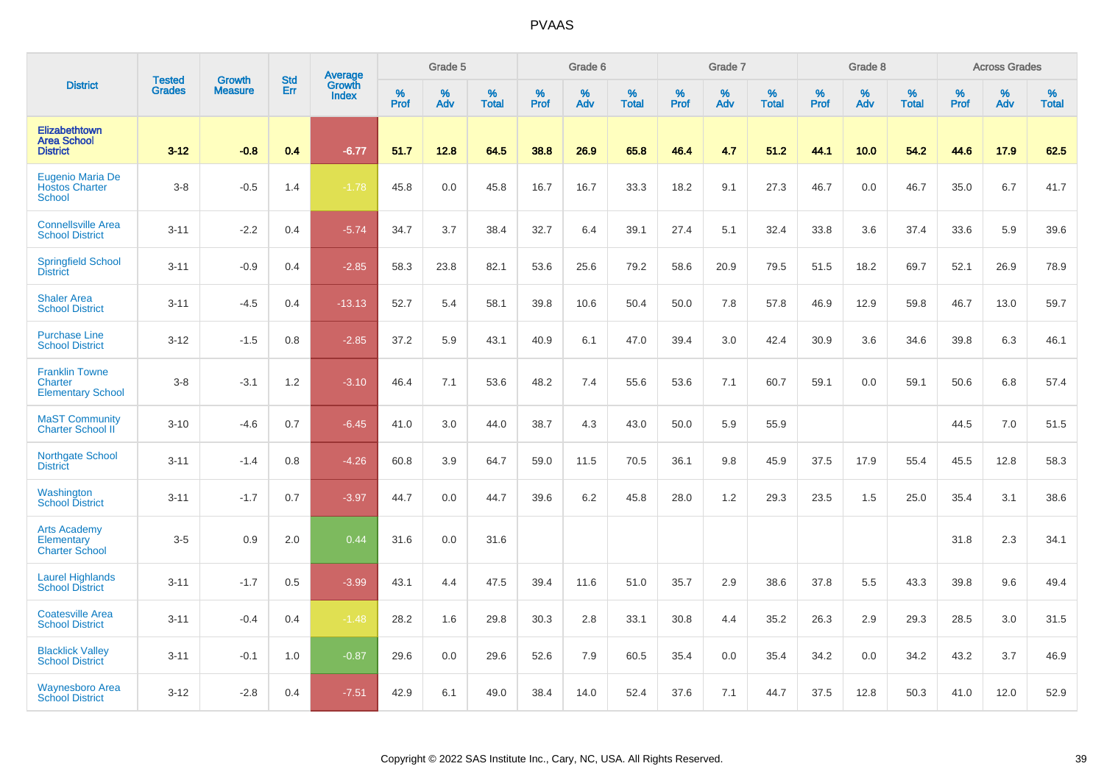|                                                               |                                | <b>Growth</b>  | <b>Std</b> | Average                |              | Grade 5  |                   |           | Grade 6  |                   |           | Grade 7  |                   |           | Grade 8  |                   |           | <b>Across Grades</b> |                   |
|---------------------------------------------------------------|--------------------------------|----------------|------------|------------------------|--------------|----------|-------------------|-----------|----------|-------------------|-----------|----------|-------------------|-----------|----------|-------------------|-----------|----------------------|-------------------|
| <b>District</b>                                               | <b>Tested</b><br><b>Grades</b> | <b>Measure</b> | Err        | Growth<br><b>Index</b> | $\%$<br>Prof | %<br>Adv | %<br><b>Total</b> | %<br>Prof | %<br>Adv | %<br><b>Total</b> | %<br>Prof | %<br>Adv | %<br><b>Total</b> | %<br>Prof | %<br>Adv | %<br><b>Total</b> | %<br>Prof | %<br>Adv             | %<br><b>Total</b> |
| <b>Elizabethtown</b><br><b>Area School</b><br><b>District</b> | $3 - 12$                       | $-0.8$         | 0.4        | $-6.77$                | 51.7         | 12.8     | 64.5              | 38.8      | 26.9     | 65.8              | 46.4      | 4.7      | 51.2              | 44.1      | 10.0     | 54.2              | 44.6      | 17.9                 | 62.5              |
| Eugenio Maria De<br><b>Hostos Charter</b><br><b>School</b>    | $3-8$                          | $-0.5$         | 1.4        | $-1.78$                | 45.8         | 0.0      | 45.8              | 16.7      | 16.7     | 33.3              | 18.2      | 9.1      | 27.3              | 46.7      | 0.0      | 46.7              | 35.0      | 6.7                  | 41.7              |
| <b>Connellsville Area</b><br><b>School District</b>           | $3 - 11$                       | $-2.2$         | 0.4        | $-5.74$                | 34.7         | 3.7      | 38.4              | 32.7      | 6.4      | 39.1              | 27.4      | 5.1      | 32.4              | 33.8      | 3.6      | 37.4              | 33.6      | 5.9                  | 39.6              |
| <b>Springfield School</b><br><b>District</b>                  | $3 - 11$                       | $-0.9$         | 0.4        | $-2.85$                | 58.3         | 23.8     | 82.1              | 53.6      | 25.6     | 79.2              | 58.6      | 20.9     | 79.5              | 51.5      | 18.2     | 69.7              | 52.1      | 26.9                 | 78.9              |
| <b>Shaler Area</b><br><b>School District</b>                  | $3 - 11$                       | $-4.5$         | 0.4        | $-13.13$               | 52.7         | 5.4      | 58.1              | 39.8      | 10.6     | 50.4              | 50.0      | 7.8      | 57.8              | 46.9      | 12.9     | 59.8              | 46.7      | 13.0                 | 59.7              |
| <b>Purchase Line</b><br><b>School District</b>                | $3 - 12$                       | $-1.5$         | 0.8        | $-2.85$                | 37.2         | 5.9      | 43.1              | 40.9      | 6.1      | 47.0              | 39.4      | 3.0      | 42.4              | 30.9      | 3.6      | 34.6              | 39.8      | 6.3                  | 46.1              |
| <b>Franklin Towne</b><br>Charter<br><b>Elementary School</b>  | $3 - 8$                        | $-3.1$         | 1.2        | $-3.10$                | 46.4         | 7.1      | 53.6              | 48.2      | 7.4      | 55.6              | 53.6      | 7.1      | 60.7              | 59.1      | 0.0      | 59.1              | 50.6      | 6.8                  | 57.4              |
| <b>MaST Community</b><br>Charter School II                    | $3 - 10$                       | $-4.6$         | 0.7        | $-6.45$                | 41.0         | 3.0      | 44.0              | 38.7      | 4.3      | 43.0              | 50.0      | 5.9      | 55.9              |           |          |                   | 44.5      | 7.0                  | 51.5              |
| <b>Northgate School</b><br><b>District</b>                    | $3 - 11$                       | $-1.4$         | 0.8        | $-4.26$                | 60.8         | 3.9      | 64.7              | 59.0      | 11.5     | 70.5              | 36.1      | 9.8      | 45.9              | 37.5      | 17.9     | 55.4              | 45.5      | 12.8                 | 58.3              |
| Washington<br><b>School District</b>                          | $3 - 11$                       | $-1.7$         | 0.7        | $-3.97$                | 44.7         | 0.0      | 44.7              | 39.6      | 6.2      | 45.8              | 28.0      | 1.2      | 29.3              | 23.5      | 1.5      | 25.0              | 35.4      | 3.1                  | 38.6              |
| <b>Arts Academy</b><br>Elementary<br><b>Charter School</b>    | $3-5$                          | 0.9            | 2.0        | 0.44                   | 31.6         | 0.0      | 31.6              |           |          |                   |           |          |                   |           |          |                   | 31.8      | 2.3                  | 34.1              |
| <b>Laurel Highlands</b><br><b>School District</b>             | $3 - 11$                       | $-1.7$         | 0.5        | $-3.99$                | 43.1         | 4.4      | 47.5              | 39.4      | 11.6     | 51.0              | 35.7      | 2.9      | 38.6              | 37.8      | 5.5      | 43.3              | 39.8      | 9.6                  | 49.4              |
| <b>Coatesville Area</b><br><b>School District</b>             | $3 - 11$                       | $-0.4$         | 0.4        | $-1.48$                | 28.2         | 1.6      | 29.8              | 30.3      | 2.8      | 33.1              | 30.8      | 4.4      | 35.2              | 26.3      | 2.9      | 29.3              | 28.5      | 3.0                  | 31.5              |
| <b>Blacklick Valley</b><br><b>School District</b>             | $3 - 11$                       | $-0.1$         | 1.0        | $-0.87$                | 29.6         | 0.0      | 29.6              | 52.6      | 7.9      | 60.5              | 35.4      | 0.0      | 35.4              | 34.2      | 0.0      | 34.2              | 43.2      | 3.7                  | 46.9              |
| <b>Waynesboro Area</b><br><b>School District</b>              | $3 - 12$                       | $-2.8$         | 0.4        | $-7.51$                | 42.9         | 6.1      | 49.0              | 38.4      | 14.0     | 52.4              | 37.6      | 7.1      | 44.7              | 37.5      | 12.8     | 50.3              | 41.0      | 12.0                 | 52.9              |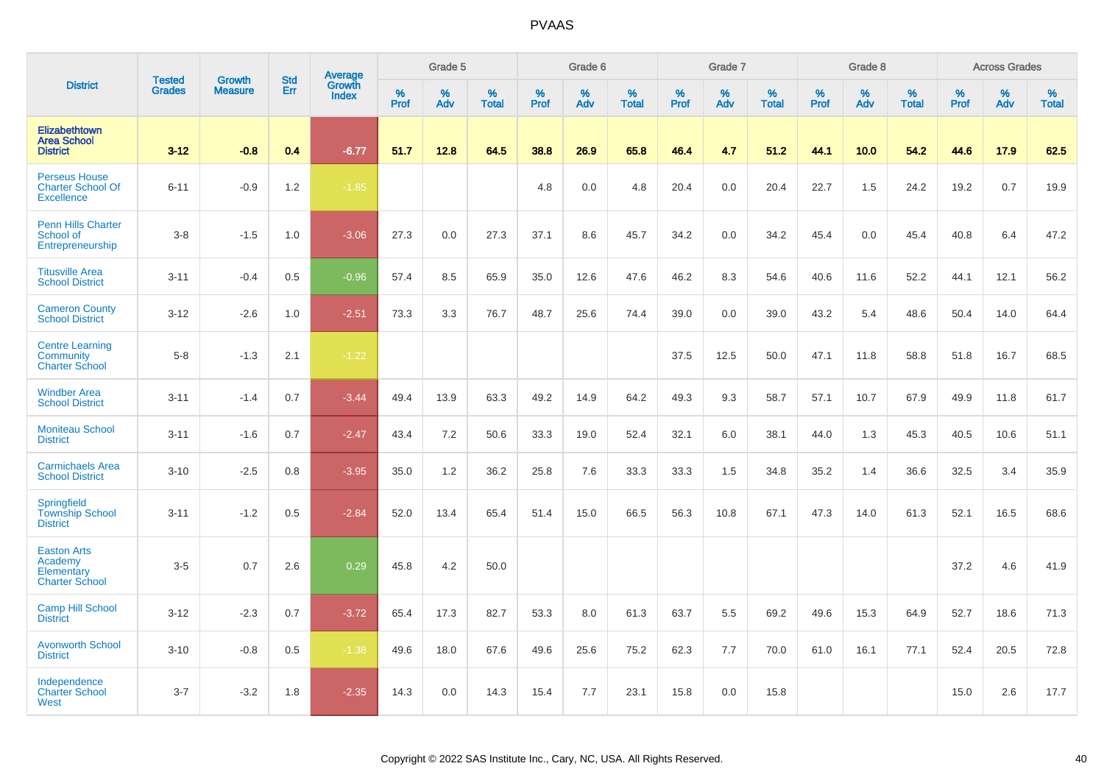|                                                                       | <b>Tested</b> | <b>Growth</b>  | <b>Std</b> | Average<br>Growth |              | Grade 5  |                   |              | Grade 6  |                   |              | Grade 7  |                   |              | Grade 8           |                   |                  | <b>Across Grades</b> |                   |
|-----------------------------------------------------------------------|---------------|----------------|------------|-------------------|--------------|----------|-------------------|--------------|----------|-------------------|--------------|----------|-------------------|--------------|-------------------|-------------------|------------------|----------------------|-------------------|
| <b>District</b>                                                       | <b>Grades</b> | <b>Measure</b> | Err        | <b>Index</b>      | $\%$<br>Prof | %<br>Adv | %<br><b>Total</b> | $\%$<br>Prof | %<br>Adv | %<br><b>Total</b> | $\%$<br>Prof | %<br>Adv | %<br><b>Total</b> | $\%$<br>Prof | %<br>Adv          | %<br><b>Total</b> | %<br><b>Prof</b> | %<br>Adv             | %<br><b>Total</b> |
| <b>Elizabethtown</b><br><b>Area School</b><br><b>District</b>         | $3 - 12$      | $-0.8$         | 0.4        | $-6.77$           | 51.7         | 12.8     | 64.5              | 38.8         | 26.9     | 65.8              | 46.4         | 4.7      | 51.2              | 44.1         | 10.0 <sub>1</sub> | 54.2              | 44.6             | 17.9                 | 62.5              |
| <b>Perseus House</b><br><b>Charter School Of</b><br><b>Excellence</b> | $6 - 11$      | $-0.9$         | 1.2        | $-1.85$           |              |          |                   | 4.8          | 0.0      | 4.8               | 20.4         | 0.0      | 20.4              | 22.7         | 1.5               | 24.2              | 19.2             | 0.7                  | 19.9              |
| <b>Penn Hills Charter</b><br>School of<br>Entrepreneurship            | $3 - 8$       | $-1.5$         | 1.0        | $-3.06$           | 27.3         | 0.0      | 27.3              | 37.1         | 8.6      | 45.7              | 34.2         | 0.0      | 34.2              | 45.4         | 0.0               | 45.4              | 40.8             | 6.4                  | 47.2              |
| <b>Titusville Area</b><br><b>School District</b>                      | $3 - 11$      | $-0.4$         | 0.5        | $-0.96$           | 57.4         | 8.5      | 65.9              | 35.0         | 12.6     | 47.6              | 46.2         | 8.3      | 54.6              | 40.6         | 11.6              | 52.2              | 44.1             | 12.1                 | 56.2              |
| <b>Cameron County</b><br><b>School District</b>                       | $3 - 12$      | $-2.6$         | 1.0        | $-2.51$           | 73.3         | 3.3      | 76.7              | 48.7         | 25.6     | 74.4              | 39.0         | 0.0      | 39.0              | 43.2         | 5.4               | 48.6              | 50.4             | 14.0                 | 64.4              |
| <b>Centre Learning</b><br>Community<br><b>Charter School</b>          | $5-8$         | $-1.3$         | 2.1        | $-1.22$           |              |          |                   |              |          |                   | 37.5         | 12.5     | 50.0              | 47.1         | 11.8              | 58.8              | 51.8             | 16.7                 | 68.5              |
| <b>Windber Area</b><br><b>School District</b>                         | $3 - 11$      | $-1.4$         | 0.7        | $-3.44$           | 49.4         | 13.9     | 63.3              | 49.2         | 14.9     | 64.2              | 49.3         | 9.3      | 58.7              | 57.1         | 10.7              | 67.9              | 49.9             | 11.8                 | 61.7              |
| <b>Moniteau School</b><br><b>District</b>                             | $3 - 11$      | $-1.6$         | 0.7        | $-2.47$           | 43.4         | 7.2      | 50.6              | 33.3         | 19.0     | 52.4              | 32.1         | 6.0      | 38.1              | 44.0         | 1.3               | 45.3              | 40.5             | 10.6                 | 51.1              |
| <b>Carmichaels Area</b><br><b>School District</b>                     | $3 - 10$      | $-2.5$         | 0.8        | $-3.95$           | 35.0         | 1.2      | 36.2              | 25.8         | 7.6      | 33.3              | 33.3         | 1.5      | 34.8              | 35.2         | 1.4               | 36.6              | 32.5             | 3.4                  | 35.9              |
| Springfield<br><b>Township School</b><br><b>District</b>              | $3 - 11$      | $-1.2$         | 0.5        | $-2.84$           | 52.0         | 13.4     | 65.4              | 51.4         | 15.0     | 66.5              | 56.3         | 10.8     | 67.1              | 47.3         | 14.0              | 61.3              | 52.1             | 16.5                 | 68.6              |
| <b>Easton Arts</b><br>Academy<br>Elementary<br><b>Charter School</b>  | $3-5$         | 0.7            | 2.6        | 0.29              | 45.8         | 4.2      | 50.0              |              |          |                   |              |          |                   |              |                   |                   | 37.2             | 4.6                  | 41.9              |
| <b>Camp Hill School</b><br><b>District</b>                            | $3 - 12$      | $-2.3$         | 0.7        | $-3.72$           | 65.4         | 17.3     | 82.7              | 53.3         | 8.0      | 61.3              | 63.7         | 5.5      | 69.2              | 49.6         | 15.3              | 64.9              | 52.7             | 18.6                 | 71.3              |
| <b>Avonworth School</b><br><b>District</b>                            | $3 - 10$      | $-0.8$         | 0.5        | $-1.38$           | 49.6         | 18.0     | 67.6              | 49.6         | 25.6     | 75.2              | 62.3         | 7.7      | 70.0              | 61.0         | 16.1              | 77.1              | 52.4             | 20.5                 | 72.8              |
| Independence<br><b>Charter School</b><br>West                         | $3 - 7$       | $-3.2$         | 1.8        | $-2.35$           | 14.3         | 0.0      | 14.3              | 15.4         | 7.7      | 23.1              | 15.8         | 0.0      | 15.8              |              |                   |                   | 15.0             | 2.6                  | 17.7              |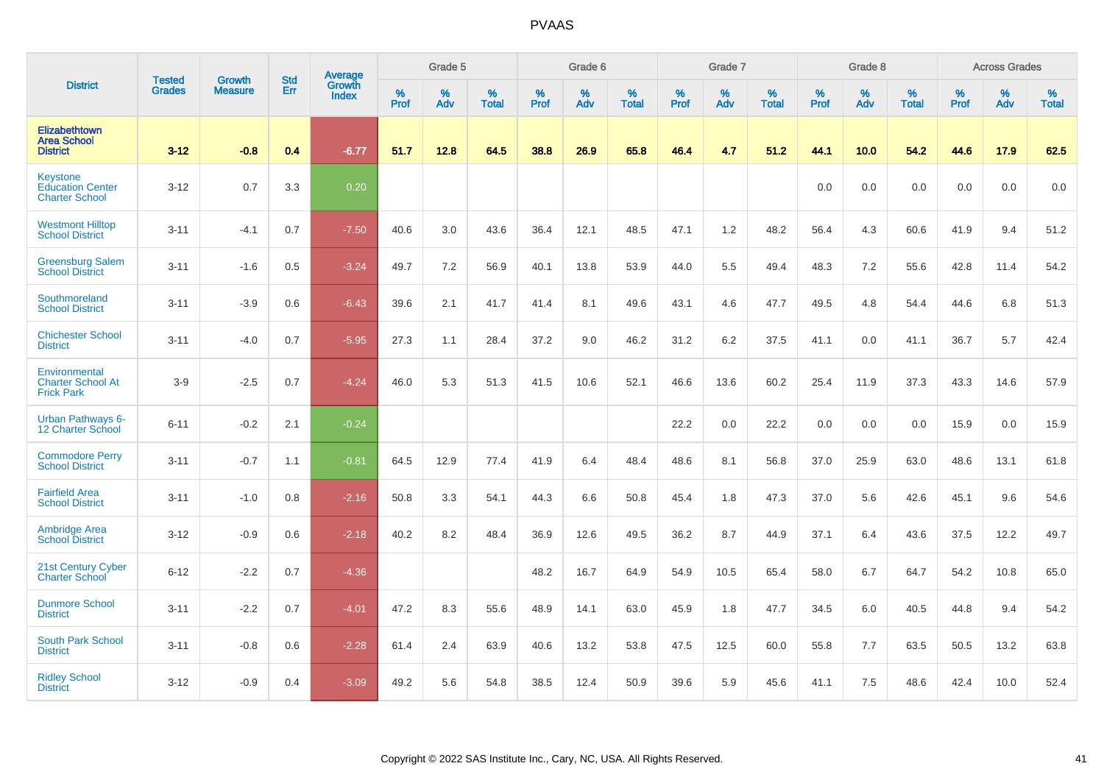|                                                                | <b>Tested</b> | <b>Growth</b>  | <b>Std</b> | Average                |                     | Grade 5  |                   |           | Grade 6  |                   |           | Grade 7  |                   |           | Grade 8  |                   |           | <b>Across Grades</b> |                   |
|----------------------------------------------------------------|---------------|----------------|------------|------------------------|---------------------|----------|-------------------|-----------|----------|-------------------|-----------|----------|-------------------|-----------|----------|-------------------|-----------|----------------------|-------------------|
| <b>District</b>                                                | <b>Grades</b> | <b>Measure</b> | Err        | Growth<br><b>Index</b> | $\%$<br><b>Prof</b> | %<br>Adv | %<br><b>Total</b> | %<br>Prof | %<br>Adv | %<br><b>Total</b> | %<br>Prof | %<br>Adv | %<br><b>Total</b> | %<br>Prof | %<br>Adv | %<br><b>Total</b> | %<br>Prof | %<br>Adv             | %<br><b>Total</b> |
| <b>Elizabethtown</b><br><b>Area School</b><br><b>District</b>  | $3 - 12$      | $-0.8$         | 0.4        | $-6.77$                | 51.7                | 12.8     | 64.5              | 38.8      | 26.9     | 65.8              | 46.4      | 4.7      | 51.2              | 44.1      | 10.0     | 54.2              | 44.6      | 17.9                 | 62.5              |
| Keystone<br><b>Education Center</b><br><b>Charter School</b>   | $3 - 12$      | 0.7            | 3.3        | 0.20                   |                     |          |                   |           |          |                   |           |          |                   | 0.0       | 0.0      | 0.0               | 0.0       | 0.0                  | 0.0               |
| <b>Westmont Hilltop</b><br><b>School District</b>              | $3 - 11$      | $-4.1$         | 0.7        | $-7.50$                | 40.6                | 3.0      | 43.6              | 36.4      | 12.1     | 48.5              | 47.1      | 1.2      | 48.2              | 56.4      | 4.3      | 60.6              | 41.9      | 9.4                  | 51.2              |
| <b>Greensburg Salem</b><br><b>School District</b>              | $3 - 11$      | $-1.6$         | 0.5        | $-3.24$                | 49.7                | 7.2      | 56.9              | 40.1      | 13.8     | 53.9              | 44.0      | 5.5      | 49.4              | 48.3      | 7.2      | 55.6              | 42.8      | 11.4                 | 54.2              |
| Southmoreland<br><b>School District</b>                        | $3 - 11$      | $-3.9$         | 0.6        | $-6.43$                | 39.6                | 2.1      | 41.7              | 41.4      | 8.1      | 49.6              | 43.1      | 4.6      | 47.7              | 49.5      | 4.8      | 54.4              | 44.6      | 6.8                  | 51.3              |
| <b>Chichester School</b><br><b>District</b>                    | $3 - 11$      | $-4.0$         | 0.7        | $-5.95$                | 27.3                | 1.1      | 28.4              | 37.2      | 9.0      | 46.2              | 31.2      | 6.2      | 37.5              | 41.1      | 0.0      | 41.1              | 36.7      | 5.7                  | 42.4              |
| Environmental<br><b>Charter School At</b><br><b>Frick Park</b> | $3-9$         | $-2.5$         | 0.7        | $-4.24$                | 46.0                | 5.3      | 51.3              | 41.5      | 10.6     | 52.1              | 46.6      | 13.6     | 60.2              | 25.4      | 11.9     | 37.3              | 43.3      | 14.6                 | 57.9              |
| <b>Urban Pathways 6-</b><br>12 Charter School                  | $6 - 11$      | $-0.2$         | 2.1        | $-0.24$                |                     |          |                   |           |          |                   | 22.2      | 0.0      | 22.2              | 0.0       | 0.0      | 0.0               | 15.9      | 0.0                  | 15.9              |
| <b>Commodore Perry</b><br><b>School District</b>               | $3 - 11$      | $-0.7$         | 1.1        | $-0.81$                | 64.5                | 12.9     | 77.4              | 41.9      | 6.4      | 48.4              | 48.6      | 8.1      | 56.8              | 37.0      | 25.9     | 63.0              | 48.6      | 13.1                 | 61.8              |
| <b>Fairfield Area</b><br><b>School District</b>                | $3 - 11$      | $-1.0$         | 0.8        | $-2.16$                | 50.8                | 3.3      | 54.1              | 44.3      | 6.6      | 50.8              | 45.4      | 1.8      | 47.3              | 37.0      | 5.6      | 42.6              | 45.1      | 9.6                  | 54.6              |
| <b>Ambridge Area</b><br><b>School District</b>                 | $3 - 12$      | $-0.9$         | 0.6        | $-2.18$                | 40.2                | 8.2      | 48.4              | 36.9      | 12.6     | 49.5              | 36.2      | 8.7      | 44.9              | 37.1      | 6.4      | 43.6              | 37.5      | 12.2                 | 49.7              |
| 21st Century Cyber<br><b>Charter School</b>                    | $6 - 12$      | $-2.2$         | 0.7        | $-4.36$                |                     |          |                   | 48.2      | 16.7     | 64.9              | 54.9      | 10.5     | 65.4              | 58.0      | 6.7      | 64.7              | 54.2      | 10.8                 | 65.0              |
| <b>Dunmore School</b><br><b>District</b>                       | $3 - 11$      | $-2.2$         | 0.7        | $-4.01$                | 47.2                | 8.3      | 55.6              | 48.9      | 14.1     | 63.0              | 45.9      | 1.8      | 47.7              | 34.5      | 6.0      | 40.5              | 44.8      | 9.4                  | 54.2              |
| <b>South Park School</b><br><b>District</b>                    | $3 - 11$      | $-0.8$         | 0.6        | $-2.28$                | 61.4                | 2.4      | 63.9              | 40.6      | 13.2     | 53.8              | 47.5      | 12.5     | 60.0              | 55.8      | 7.7      | 63.5              | 50.5      | 13.2                 | 63.8              |
| <b>Ridley School</b><br><b>District</b>                        | $3 - 12$      | $-0.9$         | 0.4        | $-3.09$                | 49.2                | 5.6      | 54.8              | 38.5      | 12.4     | 50.9              | 39.6      | 5.9      | 45.6              | 41.1      | 7.5      | 48.6              | 42.4      | 10.0                 | 52.4              |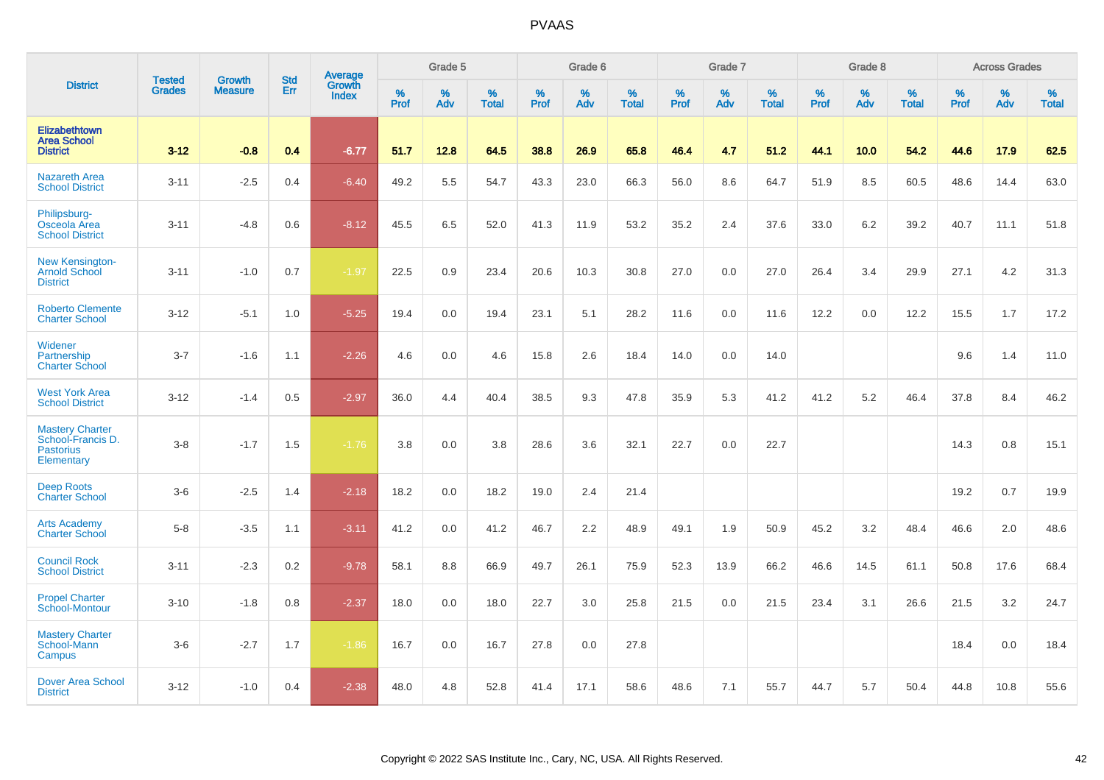|                                                                               |                                |                                 | <b>Std</b> | Average                |           | Grade 5  |                   |           | Grade 6  |                   |           | Grade 7  |                   |           | Grade 8  |                   |           | <b>Across Grades</b> |                   |
|-------------------------------------------------------------------------------|--------------------------------|---------------------------------|------------|------------------------|-----------|----------|-------------------|-----------|----------|-------------------|-----------|----------|-------------------|-----------|----------|-------------------|-----------|----------------------|-------------------|
| <b>District</b>                                                               | <b>Tested</b><br><b>Grades</b> | <b>Growth</b><br><b>Measure</b> | Err        | Growth<br><b>Index</b> | %<br>Prof | %<br>Adv | %<br><b>Total</b> | %<br>Prof | %<br>Adv | %<br><b>Total</b> | %<br>Prof | %<br>Adv | %<br><b>Total</b> | %<br>Prof | %<br>Adv | %<br><b>Total</b> | %<br>Prof | %<br>Adv             | %<br><b>Total</b> |
| Elizabethtown<br><b>Area School</b><br><b>District</b>                        | $3 - 12$                       | $-0.8$                          | 0.4        | $-6.77$                | 51.7      | 12.8     | 64.5              | 38.8      | 26.9     | 65.8              | 46.4      | 4.7      | 51.2              | 44.1      | 10.0     | 54.2              | 44.6      | 17.9                 | 62.5              |
| <b>Nazareth Area</b><br><b>School District</b>                                | $3 - 11$                       | $-2.5$                          | 0.4        | $-6.40$                | 49.2      | 5.5      | 54.7              | 43.3      | 23.0     | 66.3              | 56.0      | 8.6      | 64.7              | 51.9      | 8.5      | 60.5              | 48.6      | 14.4                 | 63.0              |
| Philipsburg-<br>Osceola Area<br><b>School District</b>                        | $3 - 11$                       | $-4.8$                          | 0.6        | $-8.12$                | 45.5      | 6.5      | 52.0              | 41.3      | 11.9     | 53.2              | 35.2      | 2.4      | 37.6              | 33.0      | 6.2      | 39.2              | 40.7      | 11.1                 | 51.8              |
| <b>New Kensington-</b><br><b>Arnold School</b><br><b>District</b>             | $3 - 11$                       | $-1.0$                          | 0.7        | $-1.97$                | 22.5      | 0.9      | 23.4              | 20.6      | 10.3     | 30.8              | 27.0      | 0.0      | 27.0              | 26.4      | 3.4      | 29.9              | 27.1      | 4.2                  | 31.3              |
| <b>Roberto Clemente</b><br><b>Charter School</b>                              | $3 - 12$                       | $-5.1$                          | 1.0        | $-5.25$                | 19.4      | 0.0      | 19.4              | 23.1      | 5.1      | 28.2              | 11.6      | 0.0      | 11.6              | 12.2      | 0.0      | 12.2              | 15.5      | 1.7                  | 17.2              |
| Widener<br>Partnership<br><b>Charter School</b>                               | $3 - 7$                        | $-1.6$                          | 1.1        | $-2.26$                | 4.6       | 0.0      | 4.6               | 15.8      | 2.6      | 18.4              | 14.0      | 0.0      | 14.0              |           |          |                   | 9.6       | 1.4                  | 11.0              |
| <b>West York Area</b><br><b>School District</b>                               | $3 - 12$                       | $-1.4$                          | 0.5        | $-2.97$                | 36.0      | 4.4      | 40.4              | 38.5      | 9.3      | 47.8              | 35.9      | 5.3      | 41.2              | 41.2      | 5.2      | 46.4              | 37.8      | 8.4                  | 46.2              |
| <b>Mastery Charter</b><br>School-Francis D.<br><b>Pastorius</b><br>Elementary | $3-8$                          | $-1.7$                          | 1.5        | $-1.76$                | 3.8       | 0.0      | 3.8               | 28.6      | 3.6      | 32.1              | 22.7      | 0.0      | 22.7              |           |          |                   | 14.3      | 0.8                  | 15.1              |
| <b>Deep Roots</b><br><b>Charter School</b>                                    | $3-6$                          | $-2.5$                          | 1.4        | $-2.18$                | 18.2      | 0.0      | 18.2              | 19.0      | 2.4      | 21.4              |           |          |                   |           |          |                   | 19.2      | 0.7                  | 19.9              |
| <b>Arts Academy</b><br><b>Charter School</b>                                  | $5-8$                          | $-3.5$                          | 1.1        | $-3.11$                | 41.2      | 0.0      | 41.2              | 46.7      | 2.2      | 48.9              | 49.1      | 1.9      | 50.9              | 45.2      | 3.2      | 48.4              | 46.6      | 2.0                  | 48.6              |
| <b>Council Rock</b><br><b>School District</b>                                 | $3 - 11$                       | $-2.3$                          | 0.2        | $-9.78$                | 58.1      | 8.8      | 66.9              | 49.7      | 26.1     | 75.9              | 52.3      | 13.9     | 66.2              | 46.6      | 14.5     | 61.1              | 50.8      | 17.6                 | 68.4              |
| <b>Propel Charter</b><br>School-Montour                                       | $3 - 10$                       | $-1.8$                          | 0.8        | $-2.37$                | 18.0      | 0.0      | 18.0              | 22.7      | 3.0      | 25.8              | 21.5      | 0.0      | 21.5              | 23.4      | 3.1      | 26.6              | 21.5      | 3.2                  | 24.7              |
| <b>Mastery Charter</b><br>School-Mann<br>Campus                               | $3-6$                          | $-2.7$                          | 1.7        | $-1.86$                | 16.7      | 0.0      | 16.7              | 27.8      | 0.0      | 27.8              |           |          |                   |           |          |                   | 18.4      | 0.0                  | 18.4              |
| <b>Dover Area School</b><br><b>District</b>                                   | $3 - 12$                       | $-1.0$                          | 0.4        | $-2.38$                | 48.0      | 4.8      | 52.8              | 41.4      | 17.1     | 58.6              | 48.6      | 7.1      | 55.7              | 44.7      | 5.7      | 50.4              | 44.8      | 10.8                 | 55.6              |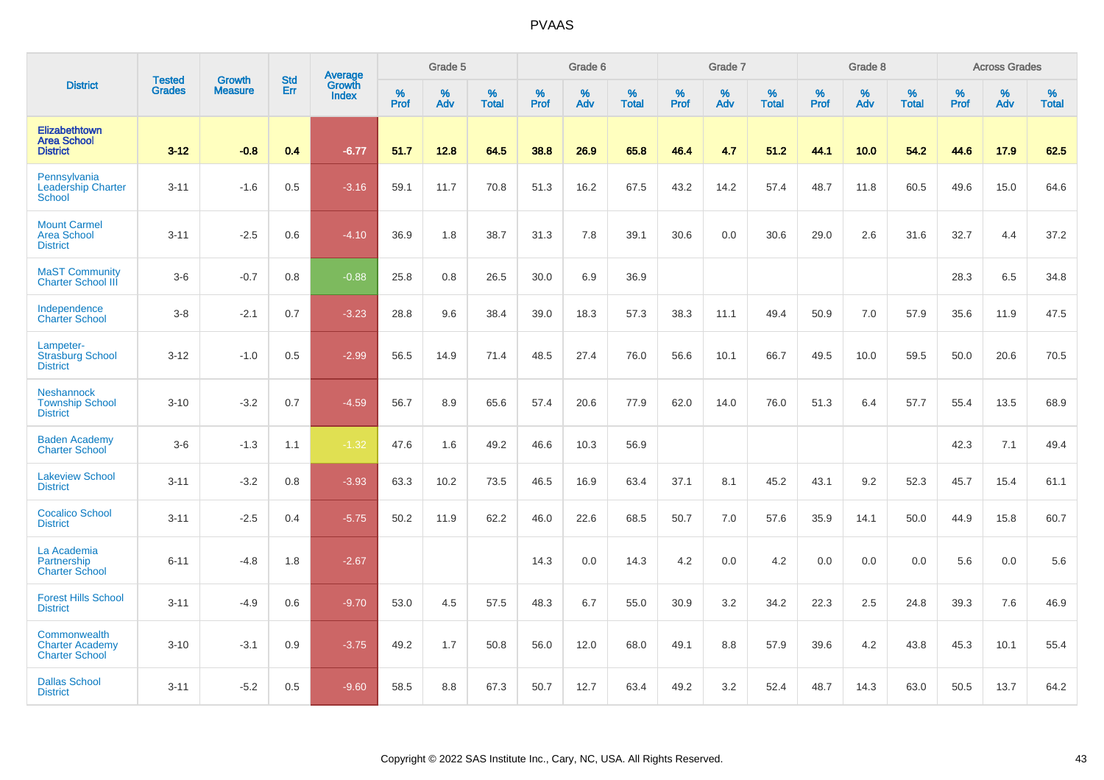|                                                                 |                                |                                 | <b>Std</b> | Average                |           | Grade 5  |                   |           | Grade 6  |                   |           | Grade 7  |                   |           | Grade 8  |                   |           | <b>Across Grades</b> |                   |
|-----------------------------------------------------------------|--------------------------------|---------------------------------|------------|------------------------|-----------|----------|-------------------|-----------|----------|-------------------|-----------|----------|-------------------|-----------|----------|-------------------|-----------|----------------------|-------------------|
| <b>District</b>                                                 | <b>Tested</b><br><b>Grades</b> | <b>Growth</b><br><b>Measure</b> | Err        | Growth<br><b>Index</b> | %<br>Prof | %<br>Adv | %<br><b>Total</b> | %<br>Prof | %<br>Adv | %<br><b>Total</b> | %<br>Prof | %<br>Adv | %<br><b>Total</b> | %<br>Prof | %<br>Adv | %<br><b>Total</b> | %<br>Prof | %<br>Adv             | %<br><b>Total</b> |
| Elizabethtown<br><b>Area School</b><br><b>District</b>          | $3 - 12$                       | $-0.8$                          | 0.4        | $-6.77$                | 51.7      | 12.8     | 64.5              | 38.8      | 26.9     | 65.8              | 46.4      | 4.7      | 51.2              | 44.1      | 10.0     | 54.2              | 44.6      | 17.9                 | 62.5              |
| Pennsylvania<br><b>Leadership Charter</b><br><b>School</b>      | $3 - 11$                       | $-1.6$                          | 0.5        | $-3.16$                | 59.1      | 11.7     | 70.8              | 51.3      | 16.2     | 67.5              | 43.2      | 14.2     | 57.4              | 48.7      | 11.8     | 60.5              | 49.6      | 15.0                 | 64.6              |
| <b>Mount Carmel</b><br><b>Area School</b><br><b>District</b>    | $3 - 11$                       | $-2.5$                          | 0.6        | $-4.10$                | 36.9      | 1.8      | 38.7              | 31.3      | 7.8      | 39.1              | 30.6      | 0.0      | 30.6              | 29.0      | 2.6      | 31.6              | 32.7      | 4.4                  | 37.2              |
| <b>MaST Community</b><br><b>Charter School III</b>              | $3-6$                          | $-0.7$                          | 0.8        | $-0.88$                | 25.8      | 0.8      | 26.5              | 30.0      | 6.9      | 36.9              |           |          |                   |           |          |                   | 28.3      | 6.5                  | 34.8              |
| Independence<br><b>Charter School</b>                           | $3-8$                          | $-2.1$                          | 0.7        | $-3.23$                | 28.8      | 9.6      | 38.4              | 39.0      | 18.3     | 57.3              | 38.3      | 11.1     | 49.4              | 50.9      | 7.0      | 57.9              | 35.6      | 11.9                 | 47.5              |
| Lampeter-<br><b>Strasburg School</b><br><b>District</b>         | $3 - 12$                       | $-1.0$                          | 0.5        | $-2.99$                | 56.5      | 14.9     | 71.4              | 48.5      | 27.4     | 76.0              | 56.6      | 10.1     | 66.7              | 49.5      | 10.0     | 59.5              | 50.0      | 20.6                 | 70.5              |
| <b>Neshannock</b><br><b>Township School</b><br><b>District</b>  | $3 - 10$                       | $-3.2$                          | 0.7        | $-4.59$                | 56.7      | 8.9      | 65.6              | 57.4      | 20.6     | 77.9              | 62.0      | 14.0     | 76.0              | 51.3      | 6.4      | 57.7              | 55.4      | 13.5                 | 68.9              |
| <b>Baden Academy</b><br><b>Charter School</b>                   | $3-6$                          | $-1.3$                          | 1.1        | $-1.32$                | 47.6      | 1.6      | 49.2              | 46.6      | 10.3     | 56.9              |           |          |                   |           |          |                   | 42.3      | 7.1                  | 49.4              |
| <b>Lakeview School</b><br><b>District</b>                       | $3 - 11$                       | $-3.2$                          | 0.8        | $-3.93$                | 63.3      | 10.2     | 73.5              | 46.5      | 16.9     | 63.4              | 37.1      | 8.1      | 45.2              | 43.1      | 9.2      | 52.3              | 45.7      | 15.4                 | 61.1              |
| <b>Cocalico School</b><br><b>District</b>                       | $3 - 11$                       | $-2.5$                          | 0.4        | $-5.75$                | 50.2      | 11.9     | 62.2              | 46.0      | 22.6     | 68.5              | 50.7      | 7.0      | 57.6              | 35.9      | 14.1     | 50.0              | 44.9      | 15.8                 | 60.7              |
| La Academia<br>Partnership<br><b>Charter School</b>             | $6 - 11$                       | $-4.8$                          | 1.8        | $-2.67$                |           |          |                   | 14.3      | 0.0      | 14.3              | 4.2       | 0.0      | 4.2               | 0.0       | 0.0      | 0.0               | 5.6       | 0.0                  | 5.6               |
| <b>Forest Hills School</b><br><b>District</b>                   | $3 - 11$                       | $-4.9$                          | 0.6        | $-9.70$                | 53.0      | 4.5      | 57.5              | 48.3      | 6.7      | 55.0              | 30.9      | 3.2      | 34.2              | 22.3      | 2.5      | 24.8              | 39.3      | 7.6                  | 46.9              |
| Commonwealth<br><b>Charter Academy</b><br><b>Charter School</b> | $3 - 10$                       | $-3.1$                          | 0.9        | $-3.75$                | 49.2      | 1.7      | 50.8              | 56.0      | 12.0     | 68.0              | 49.1      | 8.8      | 57.9              | 39.6      | 4.2      | 43.8              | 45.3      | 10.1                 | 55.4              |
| <b>Dallas School</b><br><b>District</b>                         | $3 - 11$                       | $-5.2$                          | 0.5        | $-9.60$                | 58.5      | 8.8      | 67.3              | 50.7      | 12.7     | 63.4              | 49.2      | 3.2      | 52.4              | 48.7      | 14.3     | 63.0              | 50.5      | 13.7                 | 64.2              |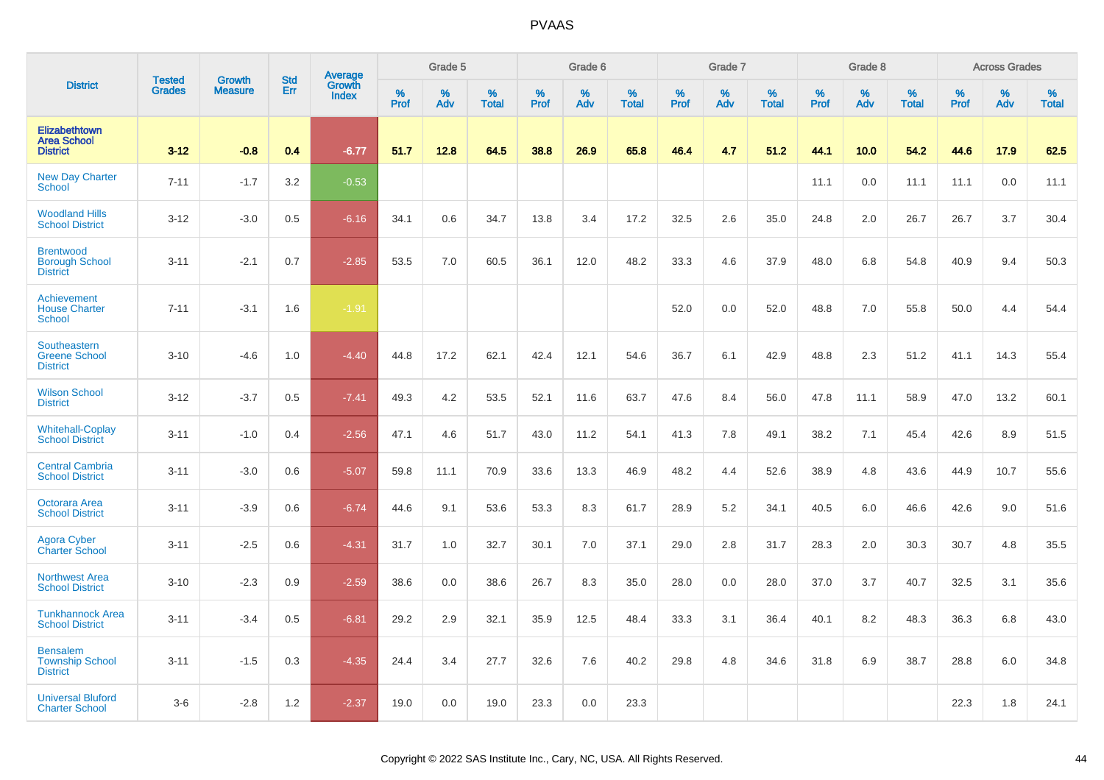|                                                              | <b>Tested</b> | <b>Growth</b>  | <b>Std</b> | Average<br>Growth |              | Grade 5  |                   |           | Grade 6  |                   |           | Grade 7  |                   |           | Grade 8  |                   |           | <b>Across Grades</b> |                   |
|--------------------------------------------------------------|---------------|----------------|------------|-------------------|--------------|----------|-------------------|-----------|----------|-------------------|-----------|----------|-------------------|-----------|----------|-------------------|-----------|----------------------|-------------------|
| <b>District</b>                                              | <b>Grades</b> | <b>Measure</b> | Err        | <b>Index</b>      | $\%$<br>Prof | %<br>Adv | %<br><b>Total</b> | %<br>Prof | %<br>Adv | %<br><b>Total</b> | %<br>Prof | %<br>Adv | %<br><b>Total</b> | %<br>Prof | %<br>Adv | %<br><b>Total</b> | %<br>Prof | %<br>Adv             | %<br><b>Total</b> |
| Elizabethtown<br><b>Area School</b><br><b>District</b>       | $3 - 12$      | $-0.8$         | 0.4        | $-6.77$           | 51.7         | 12.8     | 64.5              | 38.8      | 26.9     | 65.8              | 46.4      | 4.7      | 51.2              | 44.1      | 10.0     | 54.2              | 44.6      | 17.9                 | 62.5              |
| <b>New Day Charter</b><br><b>School</b>                      | $7 - 11$      | $-1.7$         | 3.2        | $-0.53$           |              |          |                   |           |          |                   |           |          |                   | 11.1      | 0.0      | 11.1              | 11.1      | 0.0                  | 11.1              |
| <b>Woodland Hills</b><br><b>School District</b>              | $3 - 12$      | $-3.0$         | 0.5        | $-6.16$           | 34.1         | 0.6      | 34.7              | 13.8      | 3.4      | 17.2              | 32.5      | 2.6      | 35.0              | 24.8      | 2.0      | 26.7              | 26.7      | 3.7                  | 30.4              |
| <b>Brentwood</b><br><b>Borough School</b><br><b>District</b> | $3 - 11$      | $-2.1$         | 0.7        | $-2.85$           | 53.5         | 7.0      | 60.5              | 36.1      | 12.0     | 48.2              | 33.3      | 4.6      | 37.9              | 48.0      | 6.8      | 54.8              | 40.9      | 9.4                  | 50.3              |
| Achievement<br><b>House Charter</b><br><b>School</b>         | $7 - 11$      | $-3.1$         | 1.6        | $-1.91$           |              |          |                   |           |          |                   | 52.0      | 0.0      | 52.0              | 48.8      | 7.0      | 55.8              | 50.0      | 4.4                  | 54.4              |
| Southeastern<br><b>Greene School</b><br><b>District</b>      | $3 - 10$      | $-4.6$         | 1.0        | $-4.40$           | 44.8         | 17.2     | 62.1              | 42.4      | 12.1     | 54.6              | 36.7      | 6.1      | 42.9              | 48.8      | 2.3      | 51.2              | 41.1      | 14.3                 | 55.4              |
| <b>Wilson School</b><br><b>District</b>                      | $3 - 12$      | $-3.7$         | 0.5        | $-7.41$           | 49.3         | 4.2      | 53.5              | 52.1      | 11.6     | 63.7              | 47.6      | 8.4      | 56.0              | 47.8      | 11.1     | 58.9              | 47.0      | 13.2                 | 60.1              |
| <b>Whitehall-Coplay</b><br><b>School District</b>            | $3 - 11$      | $-1.0$         | 0.4        | $-2.56$           | 47.1         | 4.6      | 51.7              | 43.0      | 11.2     | 54.1              | 41.3      | 7.8      | 49.1              | 38.2      | 7.1      | 45.4              | 42.6      | 8.9                  | 51.5              |
| <b>Central Cambria</b><br><b>School District</b>             | $3 - 11$      | $-3.0$         | 0.6        | $-5.07$           | 59.8         | 11.1     | 70.9              | 33.6      | 13.3     | 46.9              | 48.2      | 4.4      | 52.6              | 38.9      | 4.8      | 43.6              | 44.9      | 10.7                 | 55.6              |
| Octorara Area<br><b>School District</b>                      | $3 - 11$      | $-3.9$         | 0.6        | $-6.74$           | 44.6         | 9.1      | 53.6              | 53.3      | 8.3      | 61.7              | 28.9      | 5.2      | 34.1              | 40.5      | 6.0      | 46.6              | 42.6      | 9.0                  | 51.6              |
| <b>Agora Cyber</b><br><b>Charter School</b>                  | $3 - 11$      | $-2.5$         | 0.6        | $-4.31$           | 31.7         | 1.0      | 32.7              | 30.1      | 7.0      | 37.1              | 29.0      | 2.8      | 31.7              | 28.3      | 2.0      | 30.3              | 30.7      | 4.8                  | 35.5              |
| <b>Northwest Area</b><br><b>School District</b>              | $3 - 10$      | $-2.3$         | 0.9        | $-2.59$           | 38.6         | 0.0      | 38.6              | 26.7      | 8.3      | 35.0              | 28.0      | 0.0      | 28.0              | 37.0      | 3.7      | 40.7              | 32.5      | 3.1                  | 35.6              |
| <b>Tunkhannock Area</b><br><b>School District</b>            | $3 - 11$      | $-3.4$         | 0.5        | $-6.81$           | 29.2         | 2.9      | 32.1              | 35.9      | 12.5     | 48.4              | 33.3      | 3.1      | 36.4              | 40.1      | 8.2      | 48.3              | 36.3      | 6.8                  | 43.0              |
| <b>Bensalem</b><br><b>Township School</b><br><b>District</b> | $3 - 11$      | $-1.5$         | 0.3        | $-4.35$           | 24.4         | 3.4      | 27.7              | 32.6      | 7.6      | 40.2              | 29.8      | 4.8      | 34.6              | 31.8      | 6.9      | 38.7              | 28.8      | 6.0                  | 34.8              |
| <b>Universal Bluford</b><br><b>Charter School</b>            | $3-6$         | $-2.8$         | 1.2        | $-2.37$           | 19.0         | 0.0      | 19.0              | 23.3      | 0.0      | 23.3              |           |          |                   |           |          |                   | 22.3      | 1.8                  | 24.1              |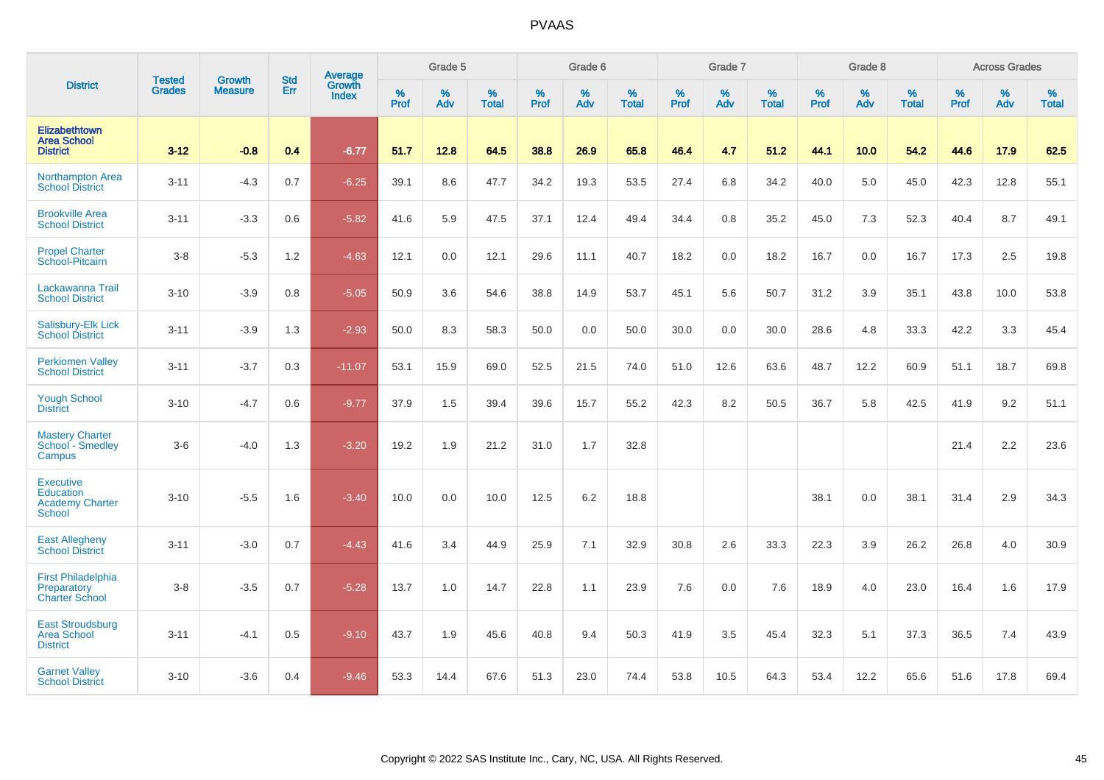|                                                                                 |                                |                                 | <b>Std</b> | <b>Average</b>                |           | Grade 5  |                   |           | Grade 6  |                   |           | Grade 7  |                   |           | Grade 8  |                   |           | <b>Across Grades</b> |                   |
|---------------------------------------------------------------------------------|--------------------------------|---------------------------------|------------|-------------------------------|-----------|----------|-------------------|-----------|----------|-------------------|-----------|----------|-------------------|-----------|----------|-------------------|-----------|----------------------|-------------------|
| <b>District</b>                                                                 | <b>Tested</b><br><b>Grades</b> | <b>Growth</b><br><b>Measure</b> | Err        | <b>Growth</b><br><b>Index</b> | %<br>Prof | %<br>Adv | %<br><b>Total</b> | %<br>Prof | %<br>Adv | %<br><b>Total</b> | %<br>Prof | %<br>Adv | %<br><b>Total</b> | %<br>Prof | %<br>Adv | %<br><b>Total</b> | %<br>Prof | %<br>Adv             | %<br><b>Total</b> |
| Elizabethtown<br><b>Area School</b><br><b>District</b>                          | $3 - 12$                       | $-0.8$                          | 0.4        | $-6.77$                       | 51.7      | 12.8     | 64.5              | 38.8      | 26.9     | 65.8              | 46.4      | 4.7      | 51.2              | 44.1      | 10.0     | 54.2              | 44.6      | 17.9                 | 62.5              |
| <b>Northampton Area</b><br><b>School District</b>                               | $3 - 11$                       | $-4.3$                          | 0.7        | $-6.25$                       | 39.1      | 8.6      | 47.7              | 34.2      | 19.3     | 53.5              | 27.4      | 6.8      | 34.2              | 40.0      | 5.0      | 45.0              | 42.3      | 12.8                 | 55.1              |
| <b>Brookville Area</b><br><b>School District</b>                                | $3 - 11$                       | $-3.3$                          | 0.6        | $-5.82$                       | 41.6      | 5.9      | 47.5              | 37.1      | 12.4     | 49.4              | 34.4      | 0.8      | 35.2              | 45.0      | 7.3      | 52.3              | 40.4      | 8.7                  | 49.1              |
| <b>Propel Charter</b><br>School-Pitcairn                                        | $3-8$                          | $-5.3$                          | 1.2        | $-4.63$                       | 12.1      | 0.0      | 12.1              | 29.6      | 11.1     | 40.7              | 18.2      | 0.0      | 18.2              | 16.7      | 0.0      | 16.7              | 17.3      | 2.5                  | 19.8              |
| Lackawanna Trail<br><b>School District</b>                                      | $3 - 10$                       | $-3.9$                          | 0.8        | $-5.05$                       | 50.9      | 3.6      | 54.6              | 38.8      | 14.9     | 53.7              | 45.1      | 5.6      | 50.7              | 31.2      | 3.9      | 35.1              | 43.8      | 10.0                 | 53.8              |
| Salisbury-Elk Lick<br><b>School District</b>                                    | $3 - 11$                       | $-3.9$                          | 1.3        | $-2.93$                       | 50.0      | 8.3      | 58.3              | 50.0      | 0.0      | 50.0              | 30.0      | 0.0      | 30.0              | 28.6      | 4.8      | 33.3              | 42.2      | 3.3                  | 45.4              |
| <b>Perkiomen Valley</b><br><b>School District</b>                               | $3 - 11$                       | $-3.7$                          | 0.3        | $-11.07$                      | 53.1      | 15.9     | 69.0              | 52.5      | 21.5     | 74.0              | 51.0      | 12.6     | 63.6              | 48.7      | 12.2     | 60.9              | 51.1      | 18.7                 | 69.8              |
| <b>Yough School</b><br><b>District</b>                                          | $3 - 10$                       | $-4.7$                          | 0.6        | $-9.77$                       | 37.9      | 1.5      | 39.4              | 39.6      | 15.7     | 55.2              | 42.3      | 8.2      | 50.5              | 36.7      | 5.8      | 42.5              | 41.9      | 9.2                  | 51.1              |
| <b>Mastery Charter</b><br>School - Smedley<br>Campus                            | $3-6$                          | $-4.0$                          | 1.3        | $-3.20$                       | 19.2      | 1.9      | 21.2              | 31.0      | 1.7      | 32.8              |           |          |                   |           |          |                   | 21.4      | 2.2                  | 23.6              |
| <b>Executive</b><br><b>Education</b><br><b>Academy Charter</b><br><b>School</b> | $3 - 10$                       | $-5.5$                          | 1.6        | $-3.40$                       | 10.0      | 0.0      | 10.0              | 12.5      | 6.2      | 18.8              |           |          |                   | 38.1      | 0.0      | 38.1              | 31.4      | 2.9                  | 34.3              |
| <b>East Allegheny</b><br><b>School District</b>                                 | $3 - 11$                       | $-3.0$                          | 0.7        | $-4.43$                       | 41.6      | 3.4      | 44.9              | 25.9      | 7.1      | 32.9              | 30.8      | 2.6      | 33.3              | 22.3      | 3.9      | 26.2              | 26.8      | 4.0                  | 30.9              |
| <b>First Philadelphia</b><br>Preparatory<br><b>Charter School</b>               | $3-8$                          | $-3.5$                          | 0.7        | $-5.28$                       | 13.7      | 1.0      | 14.7              | 22.8      | 1.1      | 23.9              | 7.6       | 0.0      | 7.6               | 18.9      | 4.0      | 23.0              | 16.4      | 1.6                  | 17.9              |
| <b>East Stroudsburg</b><br><b>Area School</b><br><b>District</b>                | $3 - 11$                       | $-4.1$                          | 0.5        | $-9.10$                       | 43.7      | 1.9      | 45.6              | 40.8      | 9.4      | 50.3              | 41.9      | 3.5      | 45.4              | 32.3      | 5.1      | 37.3              | 36.5      | 7.4                  | 43.9              |
| <b>Garnet Valley</b><br><b>School District</b>                                  | $3 - 10$                       | $-3.6$                          | 0.4        | $-9.46$                       | 53.3      | 14.4     | 67.6              | 51.3      | 23.0     | 74.4              | 53.8      | 10.5     | 64.3              | 53.4      | 12.2     | 65.6              | 51.6      | 17.8                 | 69.4              |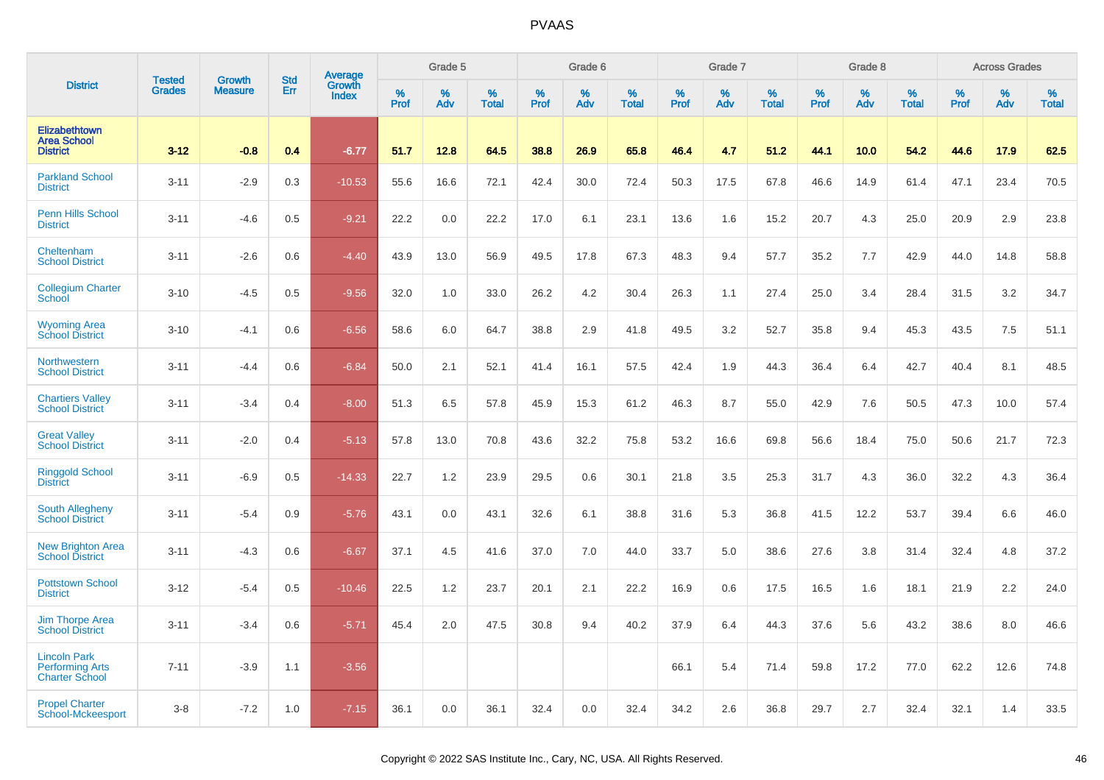|                                                                        | <b>Tested</b> | <b>Growth</b>  | <b>Std</b> |                                   |              | Grade 5  |                   |              | Grade 6  |                   |              | Grade 7  |                   |              | Grade 8  |                   |              | <b>Across Grades</b> |                   |
|------------------------------------------------------------------------|---------------|----------------|------------|-----------------------------------|--------------|----------|-------------------|--------------|----------|-------------------|--------------|----------|-------------------|--------------|----------|-------------------|--------------|----------------------|-------------------|
| <b>District</b>                                                        | <b>Grades</b> | <b>Measure</b> | Err        | Average<br>Growth<br><b>Index</b> | $\%$<br>Prof | %<br>Adv | %<br><b>Total</b> | $\%$<br>Prof | %<br>Adv | %<br><b>Total</b> | $\%$<br>Prof | %<br>Adv | %<br><b>Total</b> | $\%$<br>Prof | %<br>Adv | %<br><b>Total</b> | $\%$<br>Prof | $\%$<br>Adv          | %<br><b>Total</b> |
| Elizabethtown<br><b>Area School</b><br><b>District</b>                 | $3 - 12$      | $-0.8$         | 0.4        | $-6.77$                           | 51.7         | 12.8     | 64.5              | 38.8         | 26.9     | 65.8              | 46.4         | 4.7      | 51.2              | 44.1         | 10.0     | 54.2              | 44.6         | 17.9                 | 62.5              |
| <b>Parkland School</b><br><b>District</b>                              | $3 - 11$      | $-2.9$         | 0.3        | $-10.53$                          | 55.6         | 16.6     | 72.1              | 42.4         | 30.0     | 72.4              | 50.3         | 17.5     | 67.8              | 46.6         | 14.9     | 61.4              | 47.1         | 23.4                 | 70.5              |
| <b>Penn Hills School</b><br><b>District</b>                            | $3 - 11$      | $-4.6$         | 0.5        | $-9.21$                           | 22.2         | 0.0      | 22.2              | 17.0         | 6.1      | 23.1              | 13.6         | 1.6      | 15.2              | 20.7         | 4.3      | 25.0              | 20.9         | 2.9                  | 23.8              |
| Cheltenham<br><b>School District</b>                                   | $3 - 11$      | $-2.6$         | 0.6        | $-4.40$                           | 43.9         | 13.0     | 56.9              | 49.5         | 17.8     | 67.3              | 48.3         | 9.4      | 57.7              | 35.2         | 7.7      | 42.9              | 44.0         | 14.8                 | 58.8              |
| <b>Collegium Charter</b><br>School                                     | $3 - 10$      | $-4.5$         | 0.5        | $-9.56$                           | 32.0         | 1.0      | 33.0              | 26.2         | 4.2      | 30.4              | 26.3         | 1.1      | 27.4              | 25.0         | 3.4      | 28.4              | 31.5         | 3.2                  | 34.7              |
| <b>Wyoming Area</b><br><b>School District</b>                          | $3 - 10$      | $-4.1$         | 0.6        | $-6.56$                           | 58.6         | 6.0      | 64.7              | 38.8         | 2.9      | 41.8              | 49.5         | 3.2      | 52.7              | 35.8         | 9.4      | 45.3              | 43.5         | 7.5                  | 51.1              |
| Northwestern<br><b>School District</b>                                 | $3 - 11$      | $-4.4$         | 0.6        | $-6.84$                           | 50.0         | 2.1      | 52.1              | 41.4         | 16.1     | 57.5              | 42.4         | 1.9      | 44.3              | 36.4         | 6.4      | 42.7              | 40.4         | 8.1                  | 48.5              |
| <b>Chartiers Valley</b><br><b>School District</b>                      | $3 - 11$      | $-3.4$         | 0.4        | $-8.00$                           | 51.3         | 6.5      | 57.8              | 45.9         | 15.3     | 61.2              | 46.3         | 8.7      | 55.0              | 42.9         | 7.6      | 50.5              | 47.3         | 10.0                 | 57.4              |
| <b>Great Valley</b><br><b>School District</b>                          | $3 - 11$      | $-2.0$         | 0.4        | $-5.13$                           | 57.8         | 13.0     | 70.8              | 43.6         | 32.2     | 75.8              | 53.2         | 16.6     | 69.8              | 56.6         | 18.4     | 75.0              | 50.6         | 21.7                 | 72.3              |
| <b>Ringgold School</b><br><b>District</b>                              | $3 - 11$      | $-6.9$         | 0.5        | $-14.33$                          | 22.7         | 1.2      | 23.9              | 29.5         | 0.6      | 30.1              | 21.8         | 3.5      | 25.3              | 31.7         | 4.3      | 36.0              | 32.2         | 4.3                  | 36.4              |
| South Allegheny<br><b>School District</b>                              | $3 - 11$      | $-5.4$         | 0.9        | $-5.76$                           | 43.1         | 0.0      | 43.1              | 32.6         | 6.1      | 38.8              | 31.6         | 5.3      | 36.8              | 41.5         | 12.2     | 53.7              | 39.4         | 6.6                  | 46.0              |
| <b>New Brighton Area</b><br><b>School District</b>                     | $3 - 11$      | $-4.3$         | 0.6        | $-6.67$                           | 37.1         | 4.5      | 41.6              | 37.0         | 7.0      | 44.0              | 33.7         | 5.0      | 38.6              | 27.6         | 3.8      | 31.4              | 32.4         | 4.8                  | 37.2              |
| <b>Pottstown School</b><br><b>District</b>                             | $3-12$        | $-5.4$         | 0.5        | $-10.46$                          | 22.5         | 1.2      | 23.7              | 20.1         | 2.1      | 22.2              | 16.9         | 0.6      | 17.5              | 16.5         | 1.6      | 18.1              | 21.9         | 2.2                  | 24.0              |
| Jim Thorpe Area<br><b>School District</b>                              | $3 - 11$      | $-3.4$         | 0.6        | $-5.71$                           | 45.4         | 2.0      | 47.5              | 30.8         | 9.4      | 40.2              | 37.9         | 6.4      | 44.3              | 37.6         | 5.6      | 43.2              | 38.6         | 8.0                  | 46.6              |
| <b>Lincoln Park</b><br><b>Performing Arts</b><br><b>Charter School</b> | $7 - 11$      | $-3.9$         | 1.1        | $-3.56$                           |              |          |                   |              |          |                   | 66.1         | 5.4      | 71.4              | 59.8         | 17.2     | 77.0              | 62.2         | 12.6                 | 74.8              |
| <b>Propel Charter</b><br>School-Mckeesport                             | $3 - 8$       | $-7.2$         | 1.0        | $-7.15$                           | 36.1         | 0.0      | 36.1              | 32.4         | 0.0      | 32.4              | 34.2         | 2.6      | 36.8              | 29.7         | 2.7      | 32.4              | 32.1         | 1.4                  | 33.5              |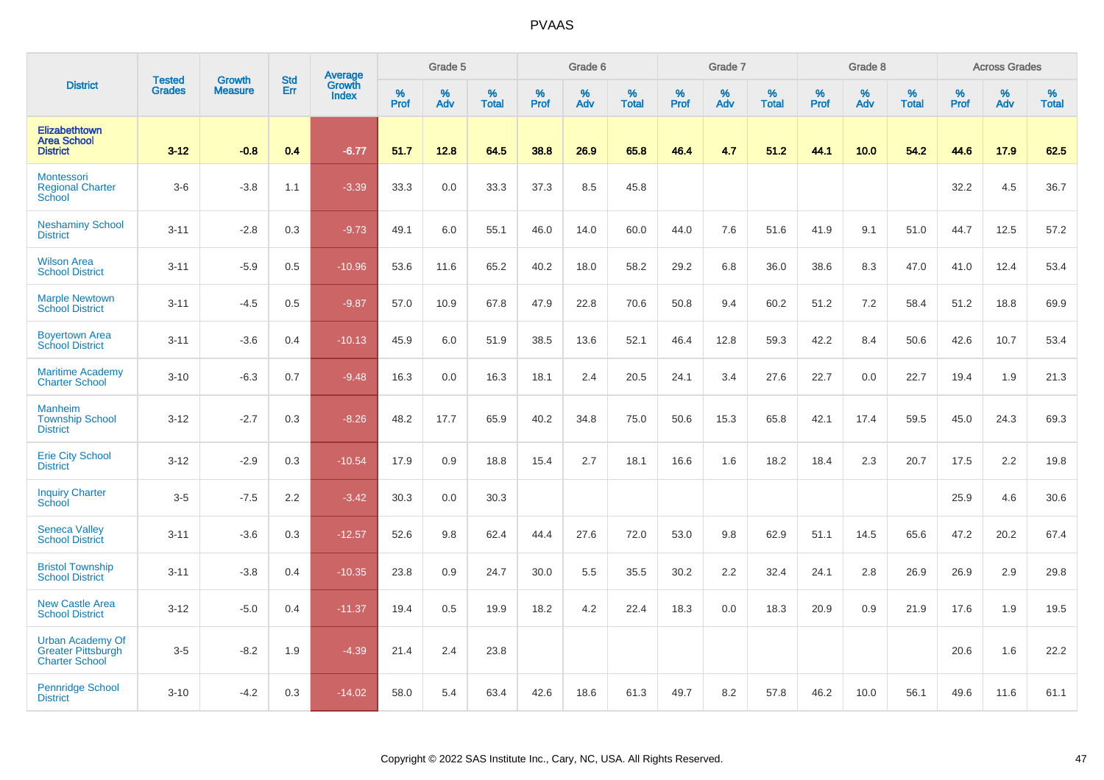|                                                                               |                                | <b>Growth</b>  | <b>Std</b> | Average                |              | Grade 5  |                   |           | Grade 6  |                   |           | Grade 7  |                   |           | Grade 8  |                   |           | <b>Across Grades</b> |                   |
|-------------------------------------------------------------------------------|--------------------------------|----------------|------------|------------------------|--------------|----------|-------------------|-----------|----------|-------------------|-----------|----------|-------------------|-----------|----------|-------------------|-----------|----------------------|-------------------|
| <b>District</b>                                                               | <b>Tested</b><br><b>Grades</b> | <b>Measure</b> | Err        | Growth<br><b>Index</b> | $\%$<br>Prof | %<br>Adv | %<br><b>Total</b> | %<br>Prof | %<br>Adv | %<br><b>Total</b> | %<br>Prof | %<br>Adv | %<br><b>Total</b> | %<br>Prof | %<br>Adv | %<br><b>Total</b> | %<br>Prof | %<br>Adv             | %<br><b>Total</b> |
| <b>Elizabethtown</b><br><b>Area School</b><br><b>District</b>                 | $3 - 12$                       | $-0.8$         | 0.4        | $-6.77$                | 51.7         | 12.8     | 64.5              | 38.8      | 26.9     | 65.8              | 46.4      | 4.7      | 51.2              | 44.1      | 10.0     | 54.2              | 44.6      | 17.9                 | 62.5              |
| Montessori<br><b>Regional Charter</b><br>School                               | $3-6$                          | $-3.8$         | 1.1        | $-3.39$                | 33.3         | 0.0      | 33.3              | 37.3      | 8.5      | 45.8              |           |          |                   |           |          |                   | 32.2      | 4.5                  | 36.7              |
| <b>Neshaminy School</b><br><b>District</b>                                    | $3 - 11$                       | $-2.8$         | 0.3        | $-9.73$                | 49.1         | 6.0      | 55.1              | 46.0      | 14.0     | 60.0              | 44.0      | 7.6      | 51.6              | 41.9      | 9.1      | 51.0              | 44.7      | 12.5                 | 57.2              |
| <b>Wilson Area</b><br><b>School District</b>                                  | $3 - 11$                       | $-5.9$         | 0.5        | $-10.96$               | 53.6         | 11.6     | 65.2              | 40.2      | 18.0     | 58.2              | 29.2      | 6.8      | 36.0              | 38.6      | 8.3      | 47.0              | 41.0      | 12.4                 | 53.4              |
| <b>Marple Newtown</b><br><b>School District</b>                               | $3 - 11$                       | $-4.5$         | 0.5        | $-9.87$                | 57.0         | 10.9     | 67.8              | 47.9      | 22.8     | 70.6              | 50.8      | 9.4      | 60.2              | 51.2      | 7.2      | 58.4              | 51.2      | 18.8                 | 69.9              |
| <b>Boyertown Area</b><br><b>School District</b>                               | $3 - 11$                       | $-3.6$         | 0.4        | $-10.13$               | 45.9         | 6.0      | 51.9              | 38.5      | 13.6     | 52.1              | 46.4      | 12.8     | 59.3              | 42.2      | 8.4      | 50.6              | 42.6      | 10.7                 | 53.4              |
| <b>Maritime Academy</b><br><b>Charter School</b>                              | $3 - 10$                       | $-6.3$         | 0.7        | $-9.48$                | 16.3         | 0.0      | 16.3              | 18.1      | 2.4      | 20.5              | 24.1      | 3.4      | 27.6              | 22.7      | 0.0      | 22.7              | 19.4      | 1.9                  | 21.3              |
| <b>Manheim</b><br><b>Township School</b><br><b>District</b>                   | $3 - 12$                       | $-2.7$         | 0.3        | $-8.26$                | 48.2         | 17.7     | 65.9              | 40.2      | 34.8     | 75.0              | 50.6      | 15.3     | 65.8              | 42.1      | 17.4     | 59.5              | 45.0      | 24.3                 | 69.3              |
| <b>Erie City School</b><br><b>District</b>                                    | $3 - 12$                       | $-2.9$         | 0.3        | $-10.54$               | 17.9         | 0.9      | 18.8              | 15.4      | 2.7      | 18.1              | 16.6      | 1.6      | 18.2              | 18.4      | 2.3      | 20.7              | 17.5      | 2.2                  | 19.8              |
| <b>Inquiry Charter</b><br>School                                              | $3-5$                          | $-7.5$         | 2.2        | $-3.42$                | 30.3         | 0.0      | 30.3              |           |          |                   |           |          |                   |           |          |                   | 25.9      | 4.6                  | 30.6              |
| <b>Seneca Valley</b><br><b>School District</b>                                | $3 - 11$                       | $-3.6$         | 0.3        | $-12.57$               | 52.6         | 9.8      | 62.4              | 44.4      | 27.6     | 72.0              | 53.0      | 9.8      | 62.9              | 51.1      | 14.5     | 65.6              | 47.2      | 20.2                 | 67.4              |
| <b>Bristol Township</b><br><b>School District</b>                             | $3 - 11$                       | $-3.8$         | 0.4        | $-10.35$               | 23.8         | 0.9      | 24.7              | 30.0      | 5.5      | 35.5              | 30.2      | 2.2      | 32.4              | 24.1      | 2.8      | 26.9              | 26.9      | 2.9                  | 29.8              |
| <b>New Castle Area</b><br><b>School District</b>                              | $3 - 12$                       | $-5.0$         | 0.4        | $-11.37$               | 19.4         | 0.5      | 19.9              | 18.2      | 4.2      | 22.4              | 18.3      | 0.0      | 18.3              | 20.9      | 0.9      | 21.9              | 17.6      | 1.9                  | 19.5              |
| <b>Urban Academy Of</b><br><b>Greater Pittsburgh</b><br><b>Charter School</b> | $3-5$                          | $-8.2$         | 1.9        | $-4.39$                | 21.4         | 2.4      | 23.8              |           |          |                   |           |          |                   |           |          |                   | 20.6      | 1.6                  | 22.2              |
| <b>Pennridge School</b><br><b>District</b>                                    | $3 - 10$                       | $-4.2$         | 0.3        | $-14.02$               | 58.0         | 5.4      | 63.4              | 42.6      | 18.6     | 61.3              | 49.7      | 8.2      | 57.8              | 46.2      | 10.0     | 56.1              | 49.6      | 11.6                 | 61.1              |